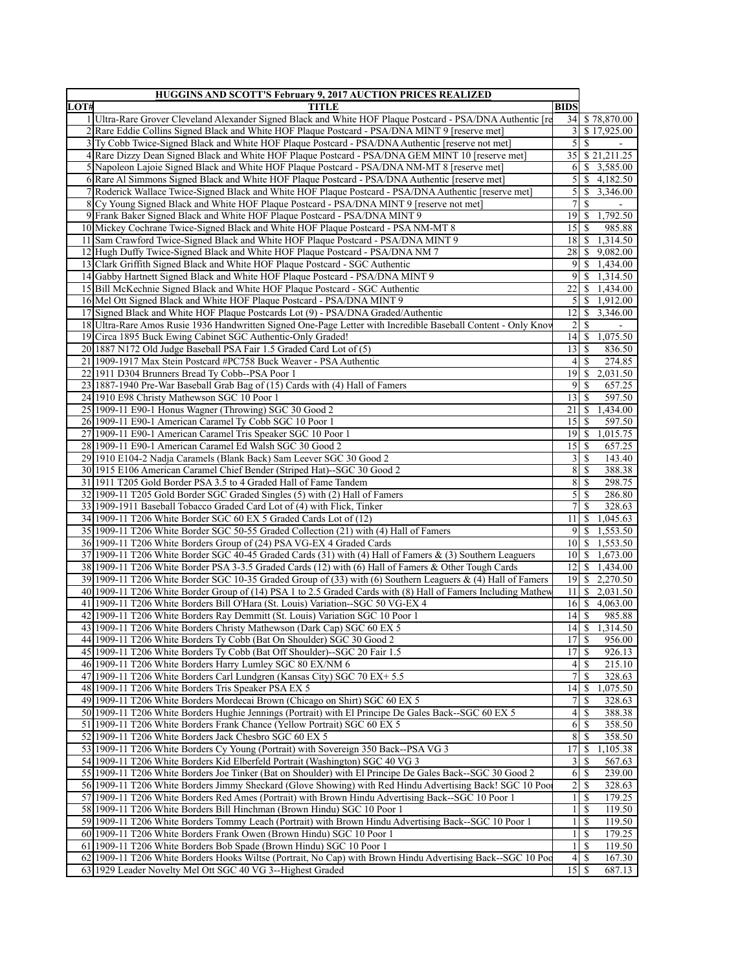|      | <b>HUGGINS AND SCOTT'S February 9, 2017 AUCTION PRICES REALIZED</b>                                                                                         |                         |                 |                             |
|------|-------------------------------------------------------------------------------------------------------------------------------------------------------------|-------------------------|-----------------|-----------------------------|
| LOT# | TITLE                                                                                                                                                       | <b>BIDS</b>             |                 |                             |
|      | 1 Ultra-Rare Grover Cleveland Alexander Signed Black and White HOF Plaque Postcard - PSA/DNA Authentic [re                                                  | 34                      |                 | \$78,870.00                 |
|      | 2 Rare Eddie Collins Signed Black and White HOF Plaque Postcard - PSA/DNA MINT 9 [reserve met]                                                              | 3                       |                 | \$17,925.00                 |
|      | 3 Ty Cobb Twice-Signed Black and White HOF Plaque Postcard - PSA/DNA Authentic [reserve not met]                                                            | 5                       | <sup>\$</sup>   |                             |
|      | 4 Rare Dizzy Dean Signed Black and White HOF Plaque Postcard - PSA/DNA GEM MINT 10 [reserve met]                                                            |                         |                 | 35 \$ 21,211.25             |
|      | 5 Napoleon Lajoie Signed Black and White HOF Plaque Postcard - PSA/DNA NM-MT 8 [reserve met]                                                                |                         |                 | $6 \mid $3,585.00$          |
|      | 6 Rare Al Simmons Signed Black and White HOF Plaque Postcard - PSA/DNA Authentic [reserve met]                                                              | $\mathfrak{S}$          |                 | \$4,182.50                  |
|      | 7 Roderick Wallace Twice-Signed Black and White HOF Plaque Postcard - PSA/DNA Authentic [reserve met                                                        | 5                       |                 | \$3,346.00                  |
|      | 8 Cy Young Signed Black and White HOF Plaque Postcard - PSA/DNA MINT 9 [reserve not met]                                                                    | 7                       | \$              |                             |
|      | 9 Frank Baker Signed Black and White HOF Plaque Postcard - PSA/DNA MINT 9                                                                                   | 19                      | <sup>S</sup>    | 1,792.50                    |
|      | 10 Mickey Cochrane Twice-Signed Black and White HOF Plaque Postcard - PSA NM-MT 8                                                                           | 15 <sup>1</sup>         | -S              | 985.88                      |
|      | 11 Sam Crawford Twice-Signed Black and White HOF Plaque Postcard - PSA/DNA MINT 9                                                                           | 18                      | <sup>\$</sup>   | 1,314.50                    |
|      | 12 Hugh Duffy Twice-Signed Black and White HOF Plaque Postcard - PSA/DNA NM 7                                                                               | 28                      |                 | \$9,082.00                  |
|      | 13 Clark Griffith Signed Black and White HOF Plaque Postcard - SGC Authentic                                                                                | $\overline{9}$          |                 | \$1,434.00                  |
|      | 14 Gabby Hartnett Signed Black and White HOF Plaque Postcard - PSA/DNA MINT 9                                                                               | $\overline{9}$          |                 | \$1,314.50                  |
|      | 15 Bill McKechnie Signed Black and White HOF Plaque Postcard - SGC Authentic                                                                                | 22                      |                 | \$1,434.00                  |
|      |                                                                                                                                                             |                         |                 | $5$ \ \$ 1,912.00           |
|      | 16 Mel Ott Signed Black and White HOF Plaque Postcard - PSA/DNA MINT 9<br>17 Signed Black and White HOF Plaque Postcards Lot (9) - PSA/DNA Graded/Authentic | 12                      |                 | $\overline{3,346.00}$       |
|      |                                                                                                                                                             |                         |                 |                             |
|      | 18 Ultra-Rare Amos Rusie 1936 Handwritten Signed One-Page Letter with Incredible Baseball Content - Only Knov                                               | 2                       | <sup>\$</sup>   |                             |
|      | 19 Circa 1895 Buck Ewing Cabinet SGC Authentic-Only Graded!                                                                                                 |                         |                 | 14 \$ 1,075.50              |
|      | 20 1887 N172 Old Judge Baseball PSA Fair 1.5 Graded Card Lot of (5)                                                                                         | 13                      | <sup>\$</sup>   | 836.50                      |
|      | 21/1909-1917 Max Stein Postcard #PC758 Buck Weaver - PSA Authentic                                                                                          | 4                       | S.              | 274.85                      |
|      | 22 1911 D304 Brunners Bread Ty Cobb--PSA Poor 1                                                                                                             |                         | $19$ $\sqrt{5}$ | 2,031.50                    |
|      | 23 1887-1940 Pre-War Baseball Grab Bag of (15) Cards with (4) Hall of Famers                                                                                | 9                       | <sup>\$</sup>   | 657.25                      |
|      | 24 1910 E98 Christy Mathewson SGC 10 Poor 1                                                                                                                 | 13                      | <sup>\$</sup>   | 597.50                      |
|      | 25 1909-11 E90-1 Honus Wagner (Throwing) SGC 30 Good 2                                                                                                      | 21                      | <sup>\$</sup>   | 1,434.00                    |
|      | 26 1909-11 E90-1 American Caramel Ty Cobb SGC 10 Poor 1                                                                                                     | 15                      | \$              | 597.50                      |
|      | 27 1909-11 E90-1 American Caramel Tris Speaker SGC 10 Poor 1                                                                                                |                         | $19$ $\sqrt{5}$ | 1,015.75                    |
|      | 28 1909-11 E90-1 American Caramel Ed Walsh SGC 30 Good 2                                                                                                    | 15                      | \$              | 657.25                      |
|      | 29 1910 E104-2 Nadja Caramels (Blank Back) Sam Leever SGC 30 Good 2                                                                                         | $\overline{\mathbf{3}}$ | \$              | 143.40                      |
|      | 30 1915 E106 American Caramel Chief Bender (Striped Hat)--SGC 30 Good 2                                                                                     | 8                       | <sup>\$</sup>   | 388.38                      |
|      | 31 1911 T205 Gold Border PSA 3.5 to 4 Graded Hall of Fame Tandem                                                                                            | 8                       | -S              | 298.75                      |
|      | 32 1909-11 T205 Gold Border SGC Graded Singles (5) with (2) Hall of Famers                                                                                  | 5                       | -S              | 286.80                      |
|      | 33 1909-1911 Baseball Tobacco Graded Card Lot of (4) with Flick, Tinker                                                                                     | 7                       | <sup>\$</sup>   | 328.63                      |
|      | 34 1909-11 T206 White Border SGC 60 EX 5 Graded Cards Lot of (12)                                                                                           | 11                      |                 | \$1,045.63                  |
|      | 35 1909-11 T206 White Border SGC 50-55 Graded Collection (21) with (4) Hall of Famers                                                                       | 9                       |                 | \$1,553.50                  |
|      | 36 1909-11 T206 White Borders Group of (24) PSA VG-EX 4 Graded Cards                                                                                        |                         |                 | 10 \$ 1,553.50              |
|      | 37 1909-11 T206 White Border SGC 40-45 Graded Cards (31) with (4) Hall of Famers & (3) Southern Leaguers                                                    |                         |                 | $10 \mid $1,673.00$         |
|      | 38 1909-11 T206 White Border PSA 3-3.5 Graded Cards (12) with (6) Hall of Famers & Other Tough Cards                                                        | 12                      |                 | \$1,434.00                  |
|      | 39 1909-11 T206 White Border SGC 10-35 Graded Group of (33) with (6) Southern Leaguers & (4) Hall of Famers                                                 |                         |                 | $\overline{19}$ \$ 2,270.50 |
|      | 40 1909-11 T206 White Border Group of (14) PSA 1 to 2.5 Graded Cards with (8) Hall of Famers Including Mathew                                               | 11                      |                 | \$2,031.50                  |
|      | 41 1909-11 T206 White Borders Bill O'Hara (St. Louis) Variation-SGC 50 VG-EX 4                                                                              | 16                      | <sup>\$</sup>   | 4,063.00                    |
|      | 42 1909-11 T206 White Borders Ray Demmitt (St. Louis) Variation SGC 10 Poor 1                                                                               | 14                      | \$              | 985.88                      |
|      |                                                                                                                                                             |                         |                 | \$1,314.50                  |
|      | 43 1909-11 T206 White Borders Christy Mathewson (Dark Cap) SGC 60 EX 5                                                                                      | 4                       |                 |                             |
|      | 44 1909-11 1206 White Borders Ty Cobb (Bat On Shoulder) SGC 30 Good 2                                                                                       | 1718                    |                 | 956.00                      |
|      | 45 1909-11 T206 White Borders Ty Cobb (Bat Off Shoulder)--SGC 20 Fair 1.5                                                                                   | 17 <sup>1</sup>         | <sup>\$</sup>   | 926.13                      |
|      | 46 1909-11 T206 White Borders Harry Lumley SGC 80 EX/NM 6                                                                                                   | $\left 4\right $        | <sup>\$</sup>   | 215.10                      |
|      | 47 1909-11 T206 White Borders Carl Lundgren (Kansas City) SGC 70 EX+ 5.5                                                                                    | 7                       | <sup>S</sup>    | 328.63                      |
|      | 48 1909-11 T206 White Borders Tris Speaker PSA EX 5                                                                                                         | 14                      | -S              | 1,075.50                    |
|      | 49 1909-11 T206 White Borders Mordecai Brown (Chicago on Shirt) SGC 60 EX 5                                                                                 | 7                       | <sup>\$</sup>   | 328.63                      |
|      | 50 1909-11 T206 White Borders Hughie Jennings (Portrait) with El Principe De Gales Back--SGC 60 EX 5                                                        | $\left 4\right $        | <sup>\$</sup>   | 388.38                      |
|      | 51 1909-11 T206 White Borders Frank Chance (Yellow Portrait) SGC 60 EX 5                                                                                    | 6                       | <sup>S</sup>    | 358.50                      |
|      | 52 1909-11 T206 White Borders Jack Chesbro SGC 60 EX 5                                                                                                      | 8                       | <sup>\$</sup>   | 358.50                      |
|      | 53 1909-11 T206 White Borders Cy Young (Portrait) with Sovereign 350 Back--PSA VG 3                                                                         | 17                      | <sup>S</sup>    | 1,105.38                    |
|      | 54 1909-11 T206 White Borders Kid Elberfeld Portrait (Washington) SGC 40 VG 3                                                                               | 3                       | <sup>\$</sup>   | $\overline{567.63}$         |
|      | 55 1909-11 T206 White Borders Joe Tinker (Bat on Shoulder) with El Principe De Gales Back--SGC 30 Good 2                                                    | 6                       | <sup>\$</sup>   | 239.00                      |
|      | 56 1909-11 T206 White Borders Jimmy Sheckard (Glove Showing) with Red Hindu Advertising Back! SGC 10 Pool                                                   | 2                       | -S              | 328.63                      |
|      | 57 1909-11 T206 White Borders Red Ames (Portrait) with Brown Hindu Advertising Back--SGC 10 Poor 1                                                          | 1                       | <sup>\$</sup>   | 179.25                      |
|      | 58 1909-11 T206 White Borders Bill Hinchman (Brown Hindu) SGC 10 Poor 1                                                                                     | 1                       | \$              | 119.50                      |
|      | 59 1909-11 T206 White Borders Tommy Leach (Portrait) with Brown Hindu Advertising Back--SGC 10 Poor 1                                                       |                         | \$              | 119.50                      |
|      | 60 1909-11 T206 White Borders Frank Owen (Brown Hindu) SGC 10 Poor 1                                                                                        |                         | \$.             | 179.25                      |
|      | 61 1909-11 T206 White Borders Bob Spade (Brown Hindu) SGC 10 Poor 1                                                                                         | 1                       | <sup>\$</sup>   | 119.50                      |
|      | 62 1909-11 T206 White Borders Hooks Wiltse (Portrait, No Cap) with Brown Hindu Advertising Back-SGC 10 Poc                                                  | 4                       | <sup>\$</sup>   | 167.30                      |
|      |                                                                                                                                                             |                         |                 |                             |
|      | 63 1929 Leader Novelty Mel Ott SGC 40 VG 3--Highest Graded                                                                                                  | 15                      | <sup>\$</sup>   | 687.13                      |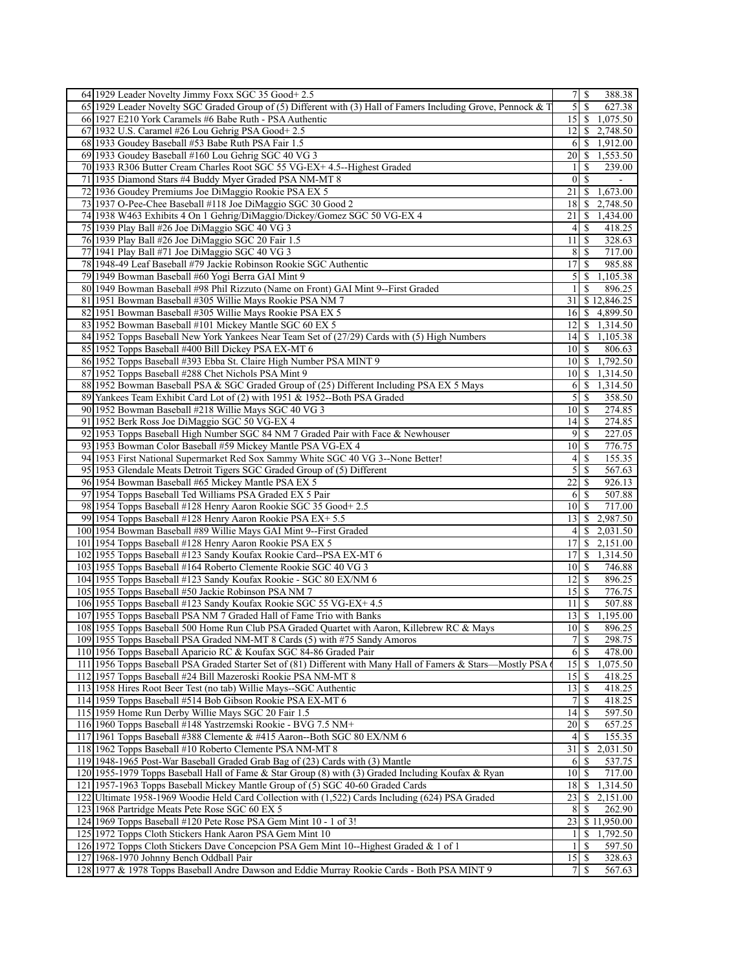| 64 1929 Leader Novelty Jimmy Foxx SGC 35 Good+ 2.5                                                            |                                              | 388.38                |
|---------------------------------------------------------------------------------------------------------------|----------------------------------------------|-----------------------|
| 65 1929 Leader Novelty SGC Graded Group of (5) Different with (3) Hall of Famers Including Grove, Pennock & T | $\mathcal{S}$<br><sup>S</sup>                | 627.38                |
| 66 1927 E210 York Caramels #6 Babe Ruth - PSA Authentic                                                       |                                              | 15 \$ 1,075.50        |
| 67 1932 U.S. Caramel #26 Lou Gehrig PSA Good + 2.5                                                            |                                              | $12 \mid$ \$ 2,748.50 |
| 68 1933 Goudey Baseball #53 Babe Ruth PSA Fair 1.5                                                            | 6                                            | \$1,912.00            |
| 69 1933 Goudey Baseball #160 Lou Gehrig SGC 40 VG 3                                                           |                                              | 20 \ \$ 1,553.50      |
| 70 1933 R306 Butter Cream Charles Root SGC 55 VG-EX+ 4.5--Highest Graded                                      | \$<br>1                                      | 239.00                |
| 71 1935 Diamond Stars #4 Buddy Myer Graded PSA NM-MT 8                                                        | $\mathbf{0}$<br>S                            |                       |
| 72 1936 Goudey Premiums Joe DiMaggio Rookie PSA EX 5                                                          | $21 \mid$ \$                                 | 1,673.00              |
| 73 1937 O-Pee-Chee Baseball #118 Joe DiMaggio SGC 30 Good 2                                                   | 18 <sup> </sup>                              | \$2,748.50            |
| 74 1938 W463 Exhibits 4 On 1 Gehrig/DiMaggio/Dickey/Gomez SGC 50 VG-EX 4                                      | 21                                           | \$1,434.00            |
| 75 1939 Play Ball #26 Joe DiMaggio SGC 40 VG 3                                                                | $\overline{\mathcal{S}}$<br>$\left 4\right $ | 418.25                |
| 76 1939 Play Ball #26 Joe DiMaggio SGC 20 Fair 1.5                                                            | $11 \mid S$                                  | 328.63                |
| 77 1941 Play Ball #71 Joe DiMaggio SGC 40 VG 3                                                                | 8<br>-S                                      | 717.00                |
| 78 1948-49 Leaf Baseball #79 Jackie Robinson Rookie SGC Authentic                                             | 17<br>-S                                     | 985.88                |
| 79 1949 Bowman Baseball #60 Yogi Berra GAI Mint 9                                                             | 5   \$                                       | $\overline{1,}105.38$ |
| 80 1949 Bowman Baseball #98 Phil Rizzuto (Name on Front) GAI Mint 9--First Graded                             | S<br>1                                       | 896.25                |
| 81 1951 Bowman Baseball #305 Willie Mays Rookie PSA NM 7                                                      |                                              | 31 \$12,846.25        |
| 82 1951 Bowman Baseball #305 Willie Mays Rookie PSA EX 5                                                      |                                              | 16 \$ 4,899.50        |
| 83 1952 Bowman Baseball #101 Mickey Mantle SGC 60 EX 5                                                        | 12                                           | \$1,314.50            |
| 84 1952 Topps Baseball New York Yankees Near Team Set of (27/29) Cards with (5) High Numbers                  |                                              | 14 \$ 1,105.38        |
| 85 1952 Topps Baseball #400 Bill Dickey PSA EX-MT 6                                                           | 10I<br>-S                                    | 806.63                |
| 86 1952 Topps Baseball #393 Ebba St. Claire High Number PSA MINT 9                                            |                                              | 10 \$ 1,792.50        |
| 87 1952 Topps Baseball #288 Chet Nichols PSA Mint 9                                                           |                                              | 10 \$ 1,314.50        |
| 88 1952 Bowman Baseball PSA & SGC Graded Group of (25) Different Including PSA EX 5 Mays                      | 6<br>\$                                      | 1,314.50              |
| 89 Yankees Team Exhibit Card Lot of (2) with 1951 & 1952--Both PSA Graded                                     | 5<br>\$                                      | 358.50                |
| 90 1952 Bowman Baseball #218 Willie Mays SGC 40 VG 3                                                          | $10$ $\sigma$                                | 274.85                |
| 91 1952 Berk Ross Joe DiMaggio SGC 50 VG-EX 4                                                                 | $14$   \$                                    | 274.85                |
| 92 1953 Topps Baseball High Number SGC 84 NM 7 Graded Pair with Face & Newhouser                              | 9<br>$\overline{\mathbf{s}}$                 | 227.05                |
| 93 1953 Bowman Color Baseball #59 Mickey Mantle PSA VG-EX 4                                                   | $10\vert S$                                  | 776.75                |
| 94 1953 First National Supermarket Red Sox Sammy White SGC 40 VG 3--None Better!                              | $\frac{4}{3}$<br>\$                          | 155.35                |
| 95 1953 Glendale Meats Detroit Tigers SGC Graded Group of (5) Different                                       | 5<br><sup>\$</sup>                           | 567.63                |
| 96 1954 Bowman Baseball #65 Mickey Mantle PSA EX 5                                                            | 22<br>-S                                     | 926.13                |
| 97 1954 Topps Baseball Ted Williams PSA Graded EX 5 Pair                                                      | -S<br>6                                      | 507.88                |
| 98 1954 Topps Baseball #128 Henry Aaron Rookie SGC 35 Good + 2.5                                              | $10\vert S$                                  | 717.00                |
| 99 1954 Topps Baseball #128 Henry Aaron Rookie PSA EX+ 5.5                                                    | 13 <sup>1</sup><br>S.                        | 2,987.50              |
| 100 1954 Bowman Baseball #89 Willie Mays GAI Mint 9--First Graded                                             | 4<br>\$                                      | 2,031.50              |
| 101 1954 Topps Baseball #128 Henry Aaron Rookie PSA EX 5                                                      | 17 <sup>1</sup><br><sup>\$</sup>             | 2,151.00              |
| 102 1955 Topps Baseball #123 Sandy Koufax Rookie Card--PSA EX-MT 6                                            | \$<br>17                                     | 1,314.50              |
| 103 1955 Topps Baseball #164 Roberto Clemente Rookie SGC 40 VG 3                                              | 10 S                                         | 746.88                |
| 104 1955 Topps Baseball #123 Sandy Koufax Rookie - SGC 80 EX/NM 6                                             | $12 \mid S$                                  | 896.25                |
|                                                                                                               | 15                                           | 776.75                |
| 105 1955 Topps Baseball #50 Jackie Robinson PSA NM 7                                                          | -S<br>111S                                   |                       |
| 106 1955 Topps Baseball #123 Sandy Koufax Rookie SGC 55 VG-EX+ 4.5                                            |                                              | 507.88                |
| 107 1955 Topps Baseball PSA NM 7 Graded Hall of Fame Trio with Banks                                          | <sup>\$</sup><br>13 <sup>1</sup>             | 1,195.00              |
| 108 1955 Topps Baseball 500 Home Run Club PSA Graded Quartet with Aaron, Killebrew RC & Mays                  | 10 <sup>1</sup><br>S<br>7s                   | 896.25                |
| 109 1955 Topps Baseball PSA Graded NM-MT 8 Cards (5) with #75 Sandy Amoros                                    |                                              | 298.75                |
| 110 1956 Topps Baseball Aparicio RC & Koufax SGC 84-86 Graded Pair                                            | 6<br>-S                                      | 478.00                |
| 111 1956 Topps Baseball PSA Graded Starter Set of (81) Different with Many Hall of Famers & Stars-Mostly PSA  |                                              | 1,075.50              |
| 112 1957 Topps Baseball #24 Bill Mazeroski Rookie PSA NM-MT 8                                                 | 15<br>S                                      | 418.25                |
| 113 1958 Hires Root Beer Test (no tab) Willie Mays-SGC Authentic                                              | $13 \mid$ \$                                 | 418.25                |
| 114 1959 Topps Baseball #514 Bob Gibson Rookie PSA EX-MT 6                                                    | 7<br>\$                                      | 418.25                |
| 115 1959 Home Run Derby Willie Mays SGC 20 Fair 1.5                                                           | 14<br>-S                                     | 597.50                |
| 116 1960 Topps Baseball #148 Yastrzemski Rookie - BVG 7.5 NM+                                                 | 20<br>S                                      | 657.25                |
| 117 1961 Topps Baseball #388 Clemente & #415 Aaron--Both SGC 80 EX/NM 6                                       | 4<br>S                                       | 155.35                |
| 118 1962 Topps Baseball #10 Roberto Clemente PSA NM-MT 8                                                      | 31<br><sup>\$</sup>                          | 2,031.50              |
| 119 1948-1965 Post-War Baseball Graded Grab Bag of (23) Cards with (3) Mantle                                 | 6<br>-S                                      | 537.75                |
| 120 1955-1979 Topps Baseball Hall of Fame & Star Group (8) with (3) Graded Including Koufax & Ryan            | 10 <sup>1</sup><br>-S                        | 717.00                |
| 121 1957-1963 Topps Baseball Mickey Mantle Group of (5) SGC 40-60 Graded Cards                                | 18<br><sup>S</sup>                           | 1,314.50              |
| 122 Ultimate 1958-1969 Woodie Held Card Collection with (1,522) Cards Including (624) PSA Graded              | 23<br>\$                                     | 2,151.00              |
| 123 1968 Partridge Meats Pete Rose SGC 60 EX 5                                                                | 8<br>S                                       | 262.90                |
| 124 1969 Topps Baseball #120 Pete Rose PSA Gem Mint 10 - 1 of 3!                                              | 23                                           | \$11,950.00           |
| 125 1972 Topps Cloth Stickers Hank Aaron PSA Gem Mint 10                                                      | 1<br>S.                                      | 1,792.50              |
| 126 1972 Topps Cloth Stickers Dave Concepcion PSA Gem Mint 10--Highest Graded & 1 of 1                        | $\frac{1}{2}$<br>S                           | 597.50                |
| 127 1968-1970 Johnny Bench Oddball Pair                                                                       | $15$ $\sqrt{5}$                              | 328.63                |
| 128 1977 & 1978 Topps Baseball Andre Dawson and Eddie Murray Rookie Cards - Both PSA MINT 9                   | <sup>\$</sup><br>7                           | 567.63                |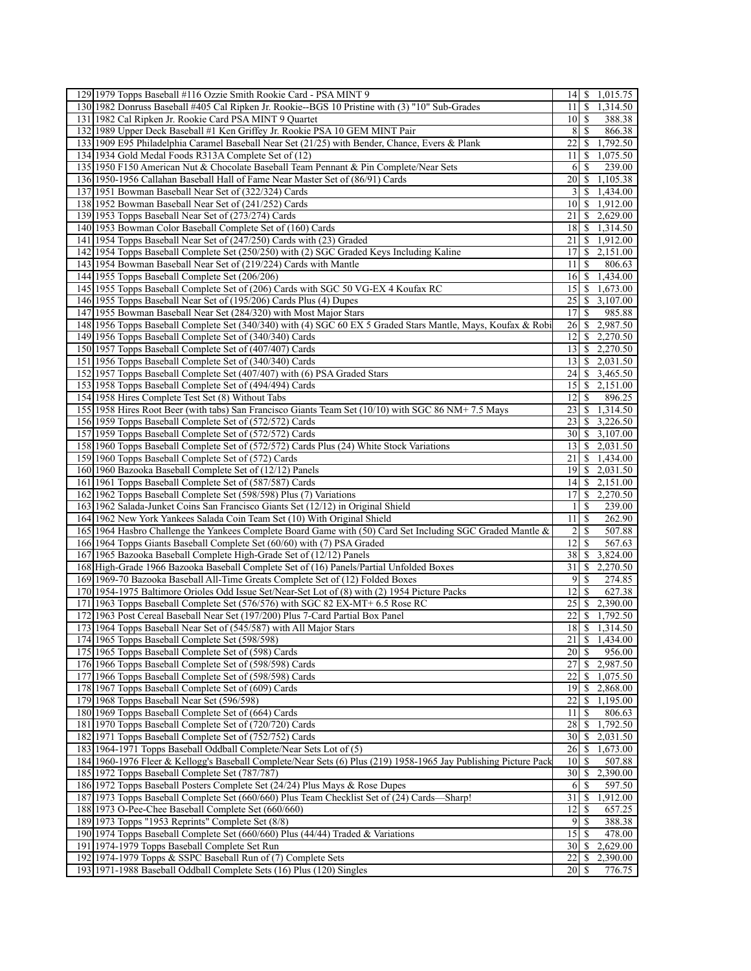| 129 1979 Topps Baseball #116 Ozzie Smith Rookie Card - PSA MINT 9                                                                                             | 14 \$ 1,015.75                                                  |
|---------------------------------------------------------------------------------------------------------------------------------------------------------------|-----------------------------------------------------------------|
| 130/1982 Donruss Baseball #405 Cal Ripken Jr. Rookie--BGS 10 Pristine with (3) "10" Sub-Grades                                                                | 11 I<br>\$<br>1,314.50                                          |
| 131 1982 Cal Ripken Jr. Rookie Card PSA MINT 9 Quartet                                                                                                        | 10 S<br>388.38                                                  |
| 132 1989 Upper Deck Baseball #1 Ken Griffey Jr. Rookie PSA 10 GEM MINT Pair                                                                                   | 8<br>-S<br>866.38                                               |
| 133 1909 E95 Philadelphia Caramel Baseball Near Set (21/25) with Bender, Chance, Evers & Plank                                                                | 22<br>1,792.50<br>\$                                            |
| 134 1934 Gold Medal Foods R313A Complete Set of (12)                                                                                                          | 11 I<br>\$1,075.50                                              |
| 135 1950 F150 American Nut & Chocolate Baseball Team Pennant & Pin Complete/Near Sets                                                                         | 6<br>239.00<br>\$                                               |
| 136 1950-1956 Callahan Baseball Hall of Fame Near Master Set of (86/91) Cards                                                                                 | 1,105.38<br>20<br>S.                                            |
| 137 1951 Bowman Baseball Near Set of (322/324) Cards                                                                                                          | 3<br>\$.<br>1,434.00                                            |
| 138 1952 Bowman Baseball Near Set of (241/252) Cards                                                                                                          | \$1,912.00<br>10 <sup>1</sup>                                   |
| 139 1953 Topps Baseball Near Set of (273/274) Cards                                                                                                           | \$2,629.00<br>21                                                |
| 140 1953 Bowman Color Baseball Complete Set of (160) Cards                                                                                                    | 18 \$ 1,314.50                                                  |
| 141 1954 Topps Baseball Near Set of (247/250) Cards with (23) Graded                                                                                          | 21 \ \$ 1,912.00                                                |
| 142 1954 Topps Baseball Complete Set (250/250) with (2) SGC Graded Keys Including Kaline                                                                      | $17$ \$ 2,151.00                                                |
| 143 1954 Bowman Baseball Near Set of (219/224) Cards with Mantle                                                                                              | \$<br>806.63<br>11                                              |
| 144 1955 Topps Baseball Complete Set (206/206)                                                                                                                | $16 \mid S$<br>1,434.00                                         |
| 145 1955 Topps Baseball Complete Set of (206) Cards with SGC 50 VG-EX 4 Koufax RC                                                                             | 15 \$ 1,673.00                                                  |
| 146 1955 Topps Baseball Near Set of (195/206) Cards Plus (4) Dupes                                                                                            | 25<br>$\mathbb{S}$<br>3,107.00                                  |
| 147 1955 Bowman Baseball Near Set (284/320) with Most Major Stars                                                                                             | 985.88<br>17 <sup>1</sup><br>\$                                 |
| 148 1956 Topps Baseball Complete Set (340/340) with (4) SGC 60 EX 5 Graded Stars Mantle, Mays, Koufax & Robi                                                  | 2,987.50<br>26<br>\$                                            |
| 149 1956 Topps Baseball Complete Set of (340/340) Cards                                                                                                       | 12<br>\$2,270.50                                                |
| 150 1957 Topps Baseball Complete Set of (407/407) Cards                                                                                                       | 2,270.50<br>13<br>\$                                            |
| 151 1956 Topps Baseball Complete Set of (340/340) Cards                                                                                                       | 131<br>$\frac{$2,031.50}{}$                                     |
| 152 1957 Topps Baseball Complete Set (407/407) with (6) PSA Graded Stars                                                                                      | 24 \$ 3,465.50                                                  |
|                                                                                                                                                               | 2,151.00<br>15                                                  |
| 153 1958 Topps Baseball Complete Set of (494/494) Cards<br>154 1958 Hires Complete Test Set (8) Without Tabs                                                  | \$<br>12<br>\$<br>896.25                                        |
|                                                                                                                                                               | 23<br>\$1,314.50                                                |
| 155 1958 Hires Root Beer (with tabs) San Francisco Giants Team Set (10/10) with SGC 86 NM+7.5 Mays<br>156 1959 Topps Baseball Complete Set of (572/572) Cards | \$3,226.50                                                      |
|                                                                                                                                                               | 23<br>$\overline{30}$ \ $\overline{\$}$ \ $\overline{3,107.00}$ |
| 157 1959 Topps Baseball Complete Set of (572/572) Cards                                                                                                       | \$2,031.50                                                      |
| 158 1960 Topps Baseball Complete Set of (572/572) Cards Plus (24) White Stock Variations                                                                      | 13                                                              |
| 159 1960 Topps Baseball Complete Set of (572) Cards                                                                                                           | \$1,434.00<br>21<br>19<br>\$<br>2,031.50                        |
| 160 1960 Bazooka Baseball Complete Set of (12/12) Panels                                                                                                      | \$2,151.00                                                      |
| 161 1961 Topps Baseball Complete Set of (587/587) Cards                                                                                                       | 14<br>\$<br>2,270.50<br>17                                      |
| 162 1962 Topps Baseball Complete Set (598/598) Plus (7) Variations<br>163 1962 Salada-Junket Coins San Francisco Giants Set (12/12) in Original Shield        | S<br>239.00<br>1                                                |
| 164 1962 New York Yankees Salada Coin Team Set (10) With Original Shield                                                                                      | 11 <sup>1</sup><br>262.90                                       |
|                                                                                                                                                               | \$.                                                             |
| 165 1964 Hasbro Challenge the Yankees Complete Board Game with (50) Card Set Including SGC Graded Mantle &                                                    | 2<br>507.88<br>\$                                               |
| 166 1964 Topps Giants Baseball Complete Set (60/60) with (7) PSA Graded                                                                                       | 12<br><sup>\$</sup><br>567.63<br>3,824.00                       |
| 167 1965 Bazooka Baseball Complete High-Grade Set of (12/12) Panels                                                                                           | 38<br>\$                                                        |
| 168 High-Grade 1966 Bazooka Baseball Complete Set of (16) Panels/Partial Unfolded Boxes                                                                       | 31<br>\$2,270.50                                                |
| 169 1969-70 Bazooka Baseball All-Time Greats Complete Set of (12) Folded Boxes                                                                                | $\overline{9}$<br>274.85<br>-S<br>12                            |
| 170 1954-1975 Baltimore Orioles Odd Issue Set/Near-Set Lot of (8) with (2) 1954 Picture Packs                                                                 | \$<br>627.38                                                    |
| 171 1963 Topps Baseball Complete Set (576/576) with SGC 82 EX-MT+ 6.5 Rose RC                                                                                 | 25<br>\$<br>2,390.00                                            |
| 172 1963 Post Cereal Baseball Near Set (197/200) Plus 7-Card Partial Box Panel                                                                                | 22<br>S.<br>1,792.50                                            |
| 173 1964 Topps Baseball Near Set of (545/587) with All Major Stars                                                                                            | 18<br>\$1,314.50                                                |
| 174 1965 Topps Baseball Complete Set (598/598)                                                                                                                | $21 \  \  $1,434.00$                                            |
| 175 1965 Topps Baseball Complete Set of (598) Cards                                                                                                           | 20<br>-S<br>956.00                                              |
| 176 1966 Topps Baseball Complete Set of (598/598) Cards                                                                                                       | $\overline{)2,987.50}$<br>27                                    |
| 177 1966 Topps Baseball Complete Set of (598/598) Cards                                                                                                       | 22<br>\$<br>1,075.50                                            |
| 178 1967 Topps Baseball Complete Set of (609) Cards                                                                                                           | 19<br>\$2,868.00                                                |
| 179 1968 Topps Baseball Near Set (596/598)                                                                                                                    | 22<br>\$<br>1,195.00                                            |
| 180 1969 Topps Baseball Complete Set of (664) Cards                                                                                                           | 806.63<br>11<br>S                                               |
| 181 1970 Topps Baseball Complete Set of (720/720) Cards                                                                                                       | 1,792.50<br>28<br>\$                                            |
| 182 1971 Topps Baseball Complete Set of (752/752) Cards                                                                                                       | 30 <sup>1</sup><br>2,031.50<br><sup>\$</sup>                    |
| 183 1964-1971 Topps Baseball Oddball Complete/Near Sets Lot of (5)                                                                                            | 26<br>1,673.00<br>\$                                            |
| 184 1960-1976 Fleer & Kellogg's Baseball Complete/Near Sets (6) Plus (219) 1958-1965 Jay Publishing Picture Pack                                              | 10<br><sup>\$</sup><br>507.88                                   |
| 185 1972 Topps Baseball Complete Set (787/787)                                                                                                                | 30<br>2,390.00<br><b>S</b>                                      |
| 186 1972 Topps Baseball Posters Complete Set (24/24) Plus Mays & Rose Dupes                                                                                   | 597.50<br>6<br><sup>\$</sup>                                    |
| 187 1973 Topps Baseball Complete Set (660/660) Plus Team Checklist Set of (24) Cards-Sharp!                                                                   | 1,912.00<br>\$<br>31                                            |
| 188 1973 O-Pee-Chee Baseball Complete Set (660/660)                                                                                                           | 12<br>657.25<br>S                                               |
| 189 1973 Topps "1953 Reprints" Complete Set (8/8)                                                                                                             | $\overline{9}$<br>388.38<br><sup>\$</sup>                       |
| 190 1974 Topps Baseball Complete Set (660/660) Plus (44/44) Traded & Variations                                                                               | 478.00<br>15<br><sup>\$</sup>                                   |
| 191 1974-1979 Topps Baseball Complete Set Run                                                                                                                 | 30 <sup>1</sup><br>2,629.00                                     |
| 192 1974-1979 Topps & SSPC Baseball Run of (7) Complete Sets                                                                                                  | 22<br>2,390.00<br>\$                                            |
| 193 1971-1988 Baseball Oddball Complete Sets (16) Plus (120) Singles                                                                                          | 776.75<br>20<br>-S                                              |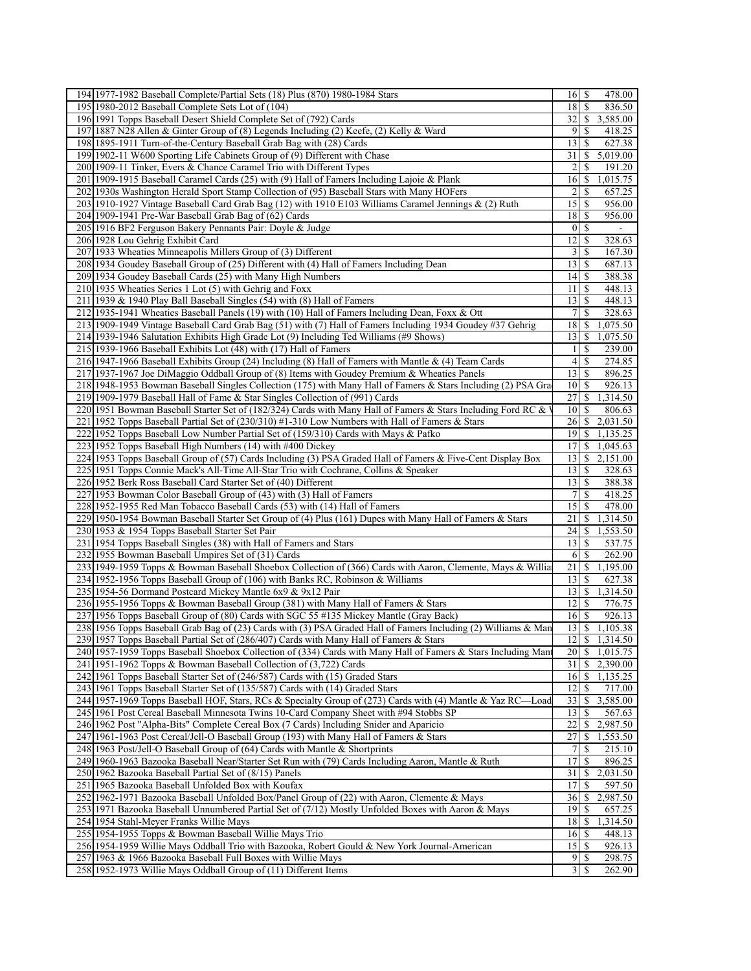| 194 1977-1982 Baseball Complete/Partial Sets (18) Plus (870) 1980-1984 Stars                                                                       | $16 \mid$ \$                 | 478.00                                             |
|----------------------------------------------------------------------------------------------------------------------------------------------------|------------------------------|----------------------------------------------------|
| 195 1980-2012 Baseball Complete Sets Lot of (104)                                                                                                  | 18                           | -S<br>836.50                                       |
| 196 1991 Topps Baseball Desert Shield Complete Set of (792) Cards                                                                                  | 32                           | \$3,585.00                                         |
| 197 1887 N28 Allen & Ginter Group of (8) Legends Including (2) Keefe, (2) Kelly & Ward                                                             | $\overline{9}$               | -S<br>418.25                                       |
| 198 1895-1911 Turn-of-the-Century Baseball Grab Bag with (28) Cards                                                                                | 13                           | 627.38<br>\$                                       |
| 199 1902-11 W600 Sporting Life Cabinets Group of (9) Different with Chase                                                                          | 31                           | $\overline{5,019.00}$<br>-S                        |
| 200 1909-11 Tinker, Evers & Chance Caramel Trio with Different Types                                                                               | 2                            | \$<br>191.20                                       |
| 201 1909-1915 Baseball Caramel Cards (25) with (9) Hall of Famers Including Lajoie & Plank                                                         | 16                           | \$<br>1,015.75                                     |
| 202 1930s Washington Herald Sport Stamp Collection of (95) Baseball Stars with Many HOFers                                                         | 2                            | -\$<br>657.25                                      |
|                                                                                                                                                    | $15$   \$                    | 956.00                                             |
| 203 1910-1927 Vintage Baseball Card Grab Bag (12) with 1910 E103 Williams Caramel Jennings & (2) Ruth                                              |                              |                                                    |
| 204 1909-1941 Pre-War Baseball Grab Bag of (62) Cards                                                                                              | 18                           | -S<br>956.00                                       |
| 205 1916 BF2 Ferguson Bakery Pennants Pair: Doyle & Judge                                                                                          | $\boldsymbol{0}$             | \$                                                 |
| 206 1928 Lou Gehrig Exhibit Card                                                                                                                   | 12                           | -S<br>328.63                                       |
| 207 1933 Wheaties Minneapolis Millers Group of (3) Different                                                                                       | 3                            | \$<br>167.30                                       |
| 208 1934 Goudey Baseball Group of (25) Different with (4) Hall of Famers Including Dean                                                            | 13                           | -S<br>687.13                                       |
| 209 1934 Goudey Baseball Cards (25) with Many High Numbers                                                                                         | 14                           | 388.38<br>\$                                       |
| 210 1935 Wheaties Series 1 Lot (5) with Gehrig and Foxx                                                                                            | 11                           | -S<br>448.13                                       |
| $211$  1939 & 1940 Play Ball Baseball Singles (54) with (8) Hall of Famers                                                                         | 13                           | -S<br>448.13                                       |
| 212 1935-1941 Wheaties Baseball Panels (19) with (10) Hall of Famers Including Dean, Foxx & Ott                                                    | 7                            | \$<br>328.63                                       |
| 213 1909-1949 Vintage Baseball Card Grab Bag (51) with (7) Hall of Famers Including 1934 Goudey #37 Gehrig                                         | 18                           | 1,075.50<br>\$                                     |
| 214 1939-1946 Salutation Exhibits High Grade Lot (9) Including Ted Williams (#9 Shows)                                                             | $13$ $\sqrt{5}$              | 1,075.50                                           |
| 215 1939-1966 Baseball Exhibits Lot (48) with (17) Hall of Famers                                                                                  | 1                            | \$<br>239.00                                       |
| 216 1947-1966 Baseball Exhibits Group (24) Including (8) Hall of Famers with Mantle & (4) Team Cards                                               | 4                            | \$<br>274.85                                       |
| 217 1937-1967 Joe DiMaggio Oddball Group of (8) Items with Goudey Premium & Wheaties Panels                                                        | 13                           | -S<br>896.25                                       |
| 218 1948-1953 Bowman Baseball Singles Collection (175) with Many Hall of Famers & Stars Including (2) PSA Gra                                      | 10                           | 926.13<br><b>S</b>                                 |
| 219 1909-1979 Baseball Hall of Fame & Star Singles Collection of (991) Cards                                                                       | 27                           | $\mathbb{S}$<br>1,314.50                           |
| 220 1951 Bowman Baseball Starter Set of (182/324) Cards with Many Hall of Famers & Stars Including Ford RC & '                                     | 10 <sup>1</sup>              | <sup>\$</sup><br>806.63                            |
| 221 1952 Topps Baseball Partial Set of (230/310) #1-310 Low Numbers with Hall of Famers & Stars                                                    | 26                           | \$2,031.50                                         |
| 222 1952 Topps Baseball Low Number Partial Set of (159/310) Cards with Mays & Pafko                                                                | 19                           | \$<br>1,135.25                                     |
| 223 1952 Topps Baseball High Numbers (14) with #400 Dickey                                                                                         | 17                           | \$<br>1,045.63                                     |
| 224 1953 Topps Baseball Group of (57) Cards Including (3) PSA Graded Hall of Famers & Five-Cent Display Box                                        | 13                           | \$<br>2,151.00                                     |
| 225 1951 Topps Connie Mack's All-Time All-Star Trio with Cochrane, Collins & Speaker                                                               | 13                           | -S<br>328.63                                       |
|                                                                                                                                                    |                              |                                                    |
| 226 1952 Berk Ross Baseball Card Starter Set of (40) Different                                                                                     | $13$ $\sqrt{5}$              | 388.38                                             |
|                                                                                                                                                    | 7                            | \$<br>418.25                                       |
| 227 1953 Bowman Color Baseball Group of (43) with (3) Hall of Famers<br>228 1952-1955 Red Man Tobacco Baseball Cards (53) with (14) Hall of Famers | 15                           | -S<br>478.00                                       |
|                                                                                                                                                    | 21                           | \$<br>1,314.50                                     |
| 229 1950-1954 Bowman Baseball Starter Set Group of (4) Plus (161) Dupes with Many Hall of Famers & Stars                                           | 24                           | \$.<br>1,553.50                                    |
| 230 1953 & 1954 Topps Baseball Starter Set Pair<br>231 1954 Topps Baseball Singles (38) with Hall of Famers and Stars                              | $13$ $\uparrow$ \$           | 537.75                                             |
|                                                                                                                                                    | 6                            | \$<br>262.90                                       |
| 232 1955 Bowman Baseball Umpires Set of (31) Cards                                                                                                 | $21 \mid$ \$                 | 1,195.00                                           |
| 233 1949-1959 Topps & Bowman Baseball Shoebox Collection of (366) Cards with Aaron, Clemente, Mays & Willia                                        | 13                           | S                                                  |
| 234 1952-1956 Topps Baseball Group of (106) with Banks RC, Robinson & Williams                                                                     | 13                           | 627.38                                             |
| 23511954-56 Dormand Postcard Mickey Mantle 6x9 & 9x12 Pair                                                                                         | $12$   \$                    | 1,314.50<br>\$<br>776.75                           |
| 236 1955-1956 Topps & Bowman Baseball Group (381) with Many Hall of Famers & Stars                                                                 | 16 <sup> </sup>              | -S                                                 |
| 237 1956 Topps Baseball Group of (80) Cards with SGC 55 #135 Mickey Mantle (Gray Back)                                                             | 13                           | 926.13<br>-S<br>1,105.38                           |
| 238 1956 Topps Baseball Grab Bag of (23) Cards with (3) PSA Graded Hall of Famers Including (2) Williams & Mar                                     |                              |                                                    |
| 239 1957 Topps Baseball Partial Set of (286/407) Cards with Many Hall of Famers & Stars                                                            |                              | $12 \begin{array}{ c c } 5 & 1,314.50 \end{array}$ |
| 240 1957-1959 Topps Baseball Shoebox Collection of (334) Cards with Many Hall of Famers & Stars Including Man                                      | 20 <sub>l</sub>              | \$1,015.75                                         |
| 241 1951-1962 Topps & Bowman Baseball Collection of (3,722) Cards                                                                                  | 31                           | \$<br>2,390.00                                     |
| 242 1961 Topps Baseball Starter Set of (246/587) Cards with (15) Graded Stars                                                                      | 16                           | \$<br>1,135.25                                     |
| 243 1961 Topps Baseball Starter Set of (135/587) Cards with (14) Graded Stars                                                                      | 12                           | \$<br>717.00                                       |
| 244 1957-1969 Topps Baseball HOF, Stars, RCs & Specialty Group of (273) Cards with (4) Mantle & Yaz RC—Load                                        | 33                           | 3,585.00<br><sup>\$</sup><br><sup>\$</sup>         |
| 245 1961 Post Cereal Baseball Minnesota Twins 10-Card Company Sheet with #94 Stobbs SP                                                             | 13                           | 567.63                                             |
| 246 1962 Post "Alpha-Bits" Complete Cereal Box (7 Cards) Including Snider and Aparicio                                                             | 22                           | \$<br>2,987.50                                     |
| 247 1961-1963 Post Cereal/Jell-O Baseball Group (193) with Many Hall of Famers & Stars                                                             | 27                           | 1,553.50<br><sup>\$</sup>                          |
| 248 1963 Post/Jell-O Baseball Group of (64) Cards with Mantle & Shortprints                                                                        | 7                            | $2\overline{15.10}$<br>\$.<br>S                    |
| 249 1960-1963 Bazooka Baseball Near/Starter Set Run with (79) Cards Including Aaron, Mantle & Ruth                                                 | 17                           | 896.25                                             |
| 250 1962 Bazooka Baseball Partial Set of (8/15) Panels                                                                                             | 31                           | 2,031.50<br>\$.                                    |
| 251<br>1965 Bazooka Baseball Unfolded Box with Koufax                                                                                              | 17                           | \$<br>597.50                                       |
| 252 1962-1971 Bazooka Baseball Unfolded Box/Panel Group of (22) with Aaron, Clemente & Mays                                                        | 36                           | 2,987.50<br>\$                                     |
| 253 [1971 Bazooka Baseball Unnumbered Partial Set of (7/12) Mostly Unfolded Boxes with Aaron & Mays                                                | 19                           | 657.25<br>S                                        |
| 254 1954 Stahl-Meyer Franks Willie Mays                                                                                                            | 18                           | 1,314.50<br>\$                                     |
| 255 1954-1955 Topps & Bowman Baseball Willie Mays Trio                                                                                             | 16                           | 448.13<br>-S                                       |
| 256 1954-1959 Willie Mays Oddball Trio with Bazooka, Robert Gould & New York Journal-American                                                      | 15                           | $\overline{926.13}$                                |
| 257 1963 & 1966 Bazooka Baseball Full Boxes with Willie Mays<br>258 1952-1973 Willie Mays Oddball Group of (11) Different Items                    | 9<br>$\overline{\mathbf{3}}$ | 298.75<br>-S<br><sup>\$</sup><br>262.90            |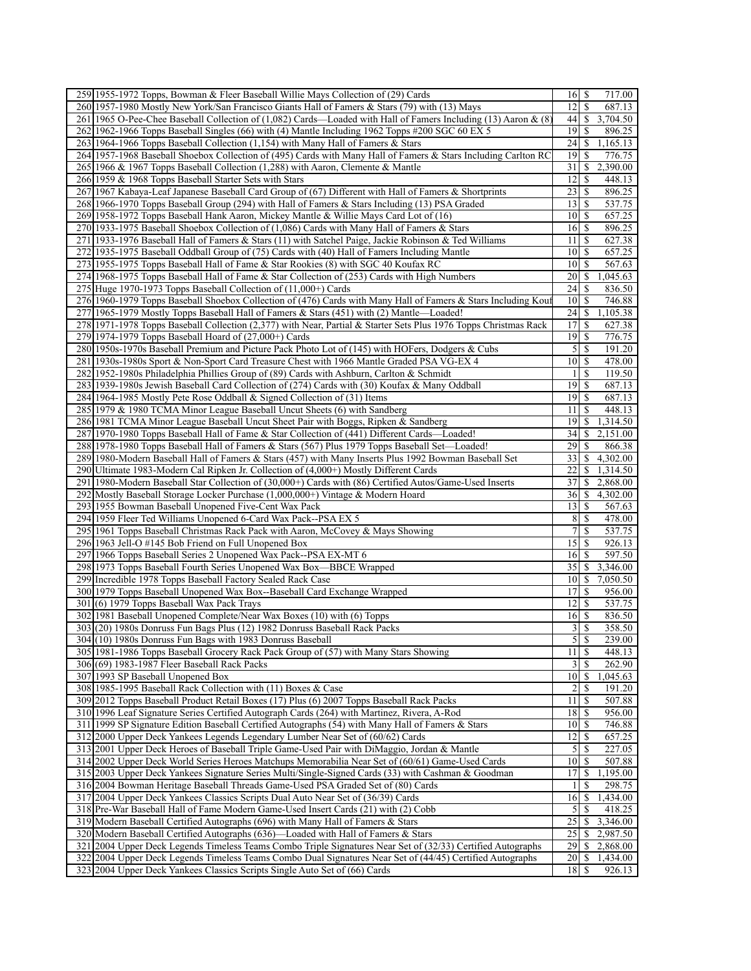| 259 1955-1972 Topps, Bowman & Fleer Baseball Willie Mays Collection of (29) Cards                                | $16$ $\sqrt{5}$<br>717.00                          |
|------------------------------------------------------------------------------------------------------------------|----------------------------------------------------|
| 260 1957-1980 Mostly New York/San Francisco Giants Hall of Famers & Stars (79) with (13) Mays                    | <sup>\$</sup><br>12 <sup>1</sup><br>687.13         |
| 261 1965 O-Pee-Chee Baseball Collection of (1,082) Cards—Loaded with Hall of Famers Including (13) Aaron & (8)   | \$<br>3,704.50<br>44                               |
| 262 1962-1966 Topps Baseball Singles (66) with (4) Mantle Including 1962 Topps #200 SGC 60 EX 5                  | 19<br><sup>\$</sup><br>896.25                      |
| 263 1964-1966 Topps Baseball Collection (1,154) with Many Hall of Famers & Stars                                 | 24<br>\$<br>1,165.13                               |
| 264 1957-1968 Baseball Shoebox Collection of (495) Cards with Many Hall of Famers & Stars Including Carlton RC   | 19<br>-S<br>776.75                                 |
| 265 1966 & 1967 Topps Baseball Collection (1,288) with Aaron, Clemente & Mantle                                  | 31<br>\$<br>2,390.00                               |
| 266 1959 & 1968 Topps Baseball Starter Sets with Stars                                                           | 12 <br>\$<br>448.13                                |
| 267 1967 Kabaya-Leaf Japanese Baseball Card Group of (67) Different with Hall of Famers & Shortprints            | 23<br><sup>\$</sup><br>896.25                      |
| 268 1966-1970 Topps Baseball Group (294) with Hall of Famers & Stars Including (13) PSA Graded                   | 13<br><sup>\$</sup><br>537.75                      |
|                                                                                                                  |                                                    |
| 269 1958-1972 Topps Baseball Hank Aaron, Mickey Mantle & Willie Mays Card Lot of (16)                            | \$<br>10 <sup>1</sup><br>657.25                    |
| 270 1933-1975 Baseball Shoebox Collection of (1,086) Cards with Many Hall of Famers & Stars                      | -\$<br>16<br>896.25                                |
| 271 1933-1976 Baseball Hall of Famers & Stars (11) with Satchel Paige, Jackie Robinson & Ted Williams            | S<br>627.38<br>11                                  |
| 272 1935-1975 Baseball Oddball Group of (75) Cards with (40) Hall of Famers Including Mantle                     | \$<br>10 <sup>1</sup><br>657.25                    |
| 273 1955-1975 Topps Baseball Hall of Fame & Star Rookies (8) with SGC 40 Koufax RC                               | \$<br>10<br>567.63                                 |
| 274 1968-1975 Topps Baseball Hall of Fame & Star Collection of (253) Cards with High Numbers                     | 20 <sup>1</sup><br>\$<br>1,045.63                  |
| 275 Huge 1970-1973 Topps Baseball Collection of (11,000+) Cards                                                  | 24<br><sup>\$</sup><br>836.50                      |
| 276 1960-1979 Topps Baseball Shoebox Collection of (476) Cards with Many Hall of Famers & Stars Including Kout   | 10 <sup>1</sup><br><sup>\$</sup><br>746.88         |
| 277<br>1965-1979 Mostly Topps Baseball Hall of Famers & Stars (451) with (2) Mantle—Loaded!                      | 24<br>\$<br>1,105.38                               |
| 278 1971-1978 Topps Baseball Collection (2,377) with Near, Partial & Starter Sets Plus 1976 Topps Christmas Rack | 17<br>\$<br>627.38                                 |
| 279 1974-1979 Topps Baseball Hoard of (27,000+) Cards                                                            | 19<br>-S<br>776.75                                 |
| 280 1950s-1970s Baseball Premium and Picture Pack Photo Lot of (145) with HOFers, Dodgers & Cubs                 | 5<br>-\$<br>191.20                                 |
| 281 1930s-1980s Sport & Non-Sport Card Treasure Chest with 1966 Mantle Graded PSA VG-EX 4                        | 10 <sup>1</sup><br>$\mathbb{S}$<br>478.00          |
| 282 1952-1980s Philadelphia Phillies Group of (89) Cards with Ashburn, Carlton & Schmidt                         | S<br>$\frac{1}{2}$                                 |
| 283 1939-1980s Jewish Baseball Card Collection of (274) Cards with (30) Koufax & Many Oddball                    | 119.50<br>19                                       |
|                                                                                                                  | \$<br>687.13                                       |
| 284 1964-1985 Mostly Pete Rose Oddball & Signed Collection of (31) Items                                         | \$<br>19<br>687.13                                 |
| 285 1979 & 1980 TCMA Minor League Baseball Uncut Sheets (6) with Sandberg                                        | \$<br>11<br>448.13                                 |
| 286 1981 TCMA Minor League Baseball Uncut Sheet Pair with Boggs, Ripken & Sandberg                               | 19<br>\$<br>1,314.50                               |
| 287 1970-1980 Topps Baseball Hall of Fame & Star Collection of (441) Different Cards—Loaded!                     | 34<br>\$<br>2,151.00                               |
| 288 1978-1980 Topps Baseball Hall of Famers & Stars (567) Plus 1979 Topps Baseball Set—Loaded!                   | 29<br>\$<br>866.38                                 |
| 289 1980-Modern Baseball Hall of Famers & Stars (457) with Many Inserts Plus 1992 Bowman Baseball Set            | 331<br>\$<br>4,302.00                              |
| 290 Ultimate 1983-Modern Cal Ripken Jr. Collection of (4,000+) Mostly Different Cards                            | 22<br>  \$<br>1,314.50                             |
| 291 1980-Modern Baseball Star Collection of (30,000+) Cards with (86) Certified Autos/Game-Used Inserts          | 37<br>\$.<br>2,868.00                              |
| 292 Mostly Baseball Storage Locker Purchase (1,000,000+) Vintage & Modern Hoard                                  | 36<br>\$<br>4,302.00                               |
| 293 1955 Bowman Baseball Unopened Five-Cent Wax Pack                                                             | 13<br>\$<br>567.63                                 |
| 294<br>1959 Fleer Ted Williams Unopened 6-Card Wax Pack--PSA EX 5                                                | 8<br><sup>\$</sup><br>478.00                       |
| 295 1961 Topps Baseball Christmas Rack Pack with Aaron, McCovey & Mays Showing                                   | 7<br>\$<br>537.75                                  |
| 296 1963 Jell-O #145 Bob Friend on Full Unopened Box                                                             | 15<br><sup>\$</sup><br>926.13                      |
| 297<br>1966 Topps Baseball Series 2 Unopened Wax Pack--PSA EX-MT 6                                               | $16$ $\sqrt{5}$<br>597.50                          |
| 298 1973 Topps Baseball Fourth Series Unopened Wax Box-BBCE Wrapped                                              | 35<br>\$<br>3,346.00                               |
| 299 Incredible 1978 Topps Baseball Factory Sealed Rack Case                                                      | \$<br>10 <sup>1</sup><br>7,050.50                  |
| 300 1979 Topps Baseball Unopened Wax Box--Baseball Card Exchange Wrapped                                         | \$<br>17<br>956.00                                 |
| 301(6) 1979 Topps Baseball Wax Pack Trays                                                                        | \$<br> 12 <br>537.75                               |
|                                                                                                                  | 16<br><sup>\$</sup>                                |
| 302 1981 Baseball Unopened Complete/Near Wax Boxes (10) with (6) Topps                                           | 836.50<br>358.50                                   |
| 303 (20) 1980s Donruss Fun Bags Plus (12) 1982 Donruss Baseball Rack Packs                                       | $\overline{\mathbf{3}}$<br>\$                      |
| 304 (10) 1980s Donruss Fun Bags with 1983 Donruss Baseball                                                       | $\overline{5}$ $\overline{\overline{s}}$<br>239.00 |
| 305 1981-1986 Topps Baseball Grocery Rack Pack Group of (57) with Many Stars Showing                             | 11<br>$\mathbb{S}$<br>448.13                       |
| 306 (69) 1983-1987 Fleer Baseball Rack Packs                                                                     | $\frac{3}{2}$<br>\$<br>262.90                      |
| 307 1993 SP Baseball Unopened Box                                                                                | 10<br>$\mathcal{S}$<br>1,045.63                    |
| 308 1985-1995 Baseball Rack Collection with (11) Boxes & Case                                                    | $\overline{2}$<br><sup>\$</sup><br>191.20          |
| 309 2012 Topps Baseball Product Retail Boxes (17) Plus (6) 2007 Topps Baseball Rack Packs                        | \$<br>507.88<br>11                                 |
| 310 1996 Leaf Signature Series Certified Autograph Cards (264) with Martinez, Rivera, A-Rod                      | 18<br><sup>\$</sup><br>956.00                      |
| 311 1999 SP Signature Edition Baseball Certified Autographs (54) with Many Hall of Famers & Stars                | $\overline{10}$ s<br>746.88                        |
| 312 2000 Upper Deck Yankees Legends Legendary Lumber Near Set of (60/62) Cards                                   | $\mathbb{S}$<br>12<br>657.25                       |
| 313 2001 Upper Deck Heroes of Baseball Triple Game-Used Pair with DiMaggio, Jordan & Mantle                      | $\mathfrak{S}$<br>\$<br>227.05                     |
| 314 2002 Upper Deck World Series Heroes Matchups Memorabilia Near Set of (60/61) Game-Used Cards                 | 507.88<br>$10$ $\sqrt{5}$                          |
| 315 2003 Upper Deck Yankees Signature Series Multi/Single-Signed Cards (33) with Cashman & Goodman               | 17<br>\$<br>1,195.00                               |
| 316 2004 Bowman Heritage Baseball Threads Game-Used PSA Graded Set of (80) Cards                                 | \$<br>298.75<br>$\frac{1}{2}$                      |
| 317 2004 Upper Deck Yankees Classics Scripts Dual Auto Near Set of (36/39) Cards                                 | 16<br>\$<br>1,434.00                               |
| 318 Pre-War Baseball Hall of Fame Modern Game-Used Insert Cards (21) with (2) Cobb                               | $\mathfrak{S}$<br>S<br>418.25                      |
| 319 Modern Baseball Certified Autographs (696) with Many Hall of Famers & Stars                                  | 25<br>$\mathbb{S}$<br>3,346.00                     |
| 320 Modern Baseball Certified Autographs (636)—Loaded with Hall of Famers & Stars                                | 25<br>\$<br>2,987.50                               |
| 321 2004 Upper Deck Legends Timeless Teams Combo Triple Signatures Near Set of (32/33) Certified Autographs      | 29<br>\$<br>2,868.00                               |
| 322 2004 Upper Deck Legends Timeless Teams Combo Dual Signatures Near Set of (44/45) Certified Autographs        | 20<br><sup>\$</sup><br>1,434.00                    |
|                                                                                                                  |                                                    |
| 323 2004 Upper Deck Yankees Classics Scripts Single Auto Set of (66) Cards                                       | 926.13<br>$18$   \$                                |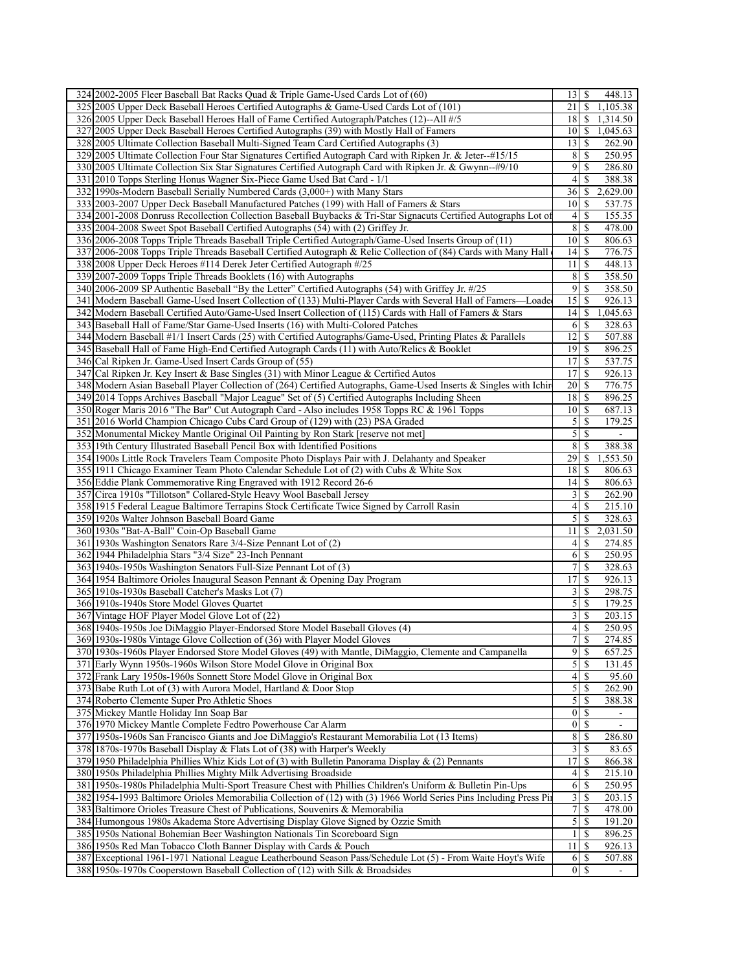| 324 2002-2005 Fleer Baseball Bat Racks Quad & Triple Game-Used Cards Lot of (60)                                                                                                               | $13 \mid$ \$<br>448.13                     |
|------------------------------------------------------------------------------------------------------------------------------------------------------------------------------------------------|--------------------------------------------|
| 325 2005 Upper Deck Baseball Heroes Certified Autographs & Game-Used Cards Lot of (101)                                                                                                        | 21<br>\$<br>1,105.38                       |
| 326 2005 Upper Deck Baseball Heroes Hall of Fame Certified Autograph/Patches (12)--All #/5                                                                                                     | 181<br>1,314.50<br><b>S</b>                |
| 327 2005 Upper Deck Baseball Heroes Certified Autographs (39) with Mostly Hall of Famers                                                                                                       | 1,045.63<br>10<br><sup>\$</sup>            |
| 328 2005 Ultimate Collection Baseball Multi-Signed Team Card Certified Autographs (3)                                                                                                          | 262.90<br>13<br>\$                         |
| 329 2005 Ultimate Collection Four Star Signatures Certified Autograph Card with Ripken Jr. & Jeter--#15/15                                                                                     | 8<br>250.95<br>S                           |
| 330 2005 Ultimate Collection Six Star Signatures Certified Autograph Card with Ripken Jr. & Gwynn--#9/10                                                                                       | 9<br><sup>\$</sup><br>286.80               |
| 331 2010 Topps Sterling Honus Wagner Six-Piece Game Used Bat Card - 1/1                                                                                                                        | 4<br>\$<br>388.38                          |
| 332 1990s-Modern Baseball Serially Numbered Cards (3,000+) with Many Stars                                                                                                                     | 36<br>2,629.00<br>\$                       |
| 333 2003-2007 Upper Deck Baseball Manufactured Patches (199) with Hall of Famers & Stars                                                                                                       | 10 <sup>1</sup><br>537.75<br>S             |
|                                                                                                                                                                                                |                                            |
| 334 2001-2008 Donruss Recollection Collection Baseball Buybacks & Tri-Star Signacuts Certified Autographs Lot of                                                                               | 4<br>\$<br>155.35                          |
| 335 2004-2008 Sweet Spot Baseball Certified Autographs (54) with (2) Griffey Jr.                                                                                                               | $\bf 8$<br>\$<br>478.00                    |
| 336 2006-2008 Topps Triple Threads Baseball Triple Certified Autograph/Game-Used Inserts Group of (11)                                                                                         | $10$ $\sqrt{5}$<br>806.63                  |
| 337 2006-2008 Topps Triple Threads Baseball Certified Autograph & Relic Collection of (84) Cards with Many Hall                                                                                | 14<br>\$<br>776.75                         |
| 338 2008 Upper Deck Heroes #114 Derek Jeter Certified Autograph #/25                                                                                                                           | 11<br>-S<br>448.13                         |
| 339 2007-2009 Topps Triple Threads Booklets (16) with Autographs                                                                                                                               | 8<br><sup>\$</sup><br>358.50               |
| 340 2006-2009 SP Authentic Baseball "By the Letter" Certified Autographs (54) with Griffey Jr. #/25                                                                                            | 9<br>358.50<br>S                           |
| 341 Modern Baseball Game-Used Insert Collection of (133) Multi-Player Cards with Several Hall of Famers—Loade                                                                                  | 15<br>926.13<br>\$                         |
| 342 Modern Baseball Certified Auto/Game-Used Insert Collection of (115) Cards with Hall of Famers & Stars                                                                                      | 14<br>\$<br>1,045.63                       |
| 343 Baseball Hall of Fame/Star Game-Used Inserts (16) with Multi-Colored Patches                                                                                                               | 6<br>328.63<br>-S                          |
| 344 Modern Baseball #1/1 Insert Cards (25) with Certified Autographs/Game-Used, Printing Plates & Parallels                                                                                    | 12<br>$\mathbb{S}$<br>507.88               |
| 345 Baseball Hall of Fame High-End Certified Autograph Cards (11) with Auto/Relics & Booklet                                                                                                   | 19<br>\$<br>896.25                         |
| 346 Cal Ripken Jr. Game-Used Insert Cards Group of (55)                                                                                                                                        | 17<br>\$<br>537.75                         |
| 347 Cal Ripken Jr. Key Insert & Base Singles (31) with Minor League & Certified Autos                                                                                                          | \$<br>17<br>926.13                         |
| 348 Modern Asian Baseball Player Collection of (264) Certified Autographs, Game-Used Inserts & Singles with Ichir                                                                              | 20<br>\$<br>776.75                         |
| 349 2014 Topps Archives Baseball "Major League" Set of (5) Certified Autographs Including Sheen                                                                                                | $18$ $\sqrt{5}$<br>896.25                  |
| 350 Roger Maris 2016 "The Bar" Cut Autograph Card - Also includes 1958 Topps RC & 1961 Topps                                                                                                   | 10 <sup>1</sup><br><sup>\$</sup><br>687.13 |
| 351 2016 World Champion Chicago Cubs Card Group of (129) with (23) PSA Graded                                                                                                                  | 5<br>\$<br>179.25                          |
| 352 Monumental Mickey Mantle Original Oil Painting by Ron Stark [reserve not met]                                                                                                              | 5<br>\$                                    |
| 353 19th Century Illustrated Baseball Pencil Box with Identified Positions                                                                                                                     | 8<br><sup>\$</sup><br>388.38               |
| 354 1900s Little Rock Travelers Team Composite Photo Displays Pair with J. Delahanty and Speaker                                                                                               | 29<br>1,553.50<br>\$                       |
| 355 1911 Chicago Examiner Team Photo Calendar Schedule Lot of (2) with Cubs & White Sox                                                                                                        | 18<br>\$<br>806.63                         |
| 356 Eddie Plank Commemorative Ring Engraved with 1912 Record 26-6                                                                                                                              | 14<br>806.63<br>\$                         |
| 357 Circa 1910s "Tillotson" Collared-Style Heavy Wool Baseball Jersey                                                                                                                          | 3<br>262.90<br>\$                          |
| 358 1915 Federal League Baltimore Terrapins Stock Certificate Twice Signed by Carroll Rasin                                                                                                    | 215.10<br>4<br>S                           |
| 359 1920s Walter Johnson Baseball Board Game                                                                                                                                                   | 5<br>328.63<br>S                           |
| 360 1930s "Bat-A-Ball" Coin-Op Baseball Game                                                                                                                                                   | 2,031.50<br>11<br>\$                       |
| 361 1930s Washington Senators Rare 3/4-Size Pennant Lot of (2)                                                                                                                                 | $\left 4\right $<br>S<br>274.85            |
| 362 1944 Philadelphia Stars "3/4 Size" 23-Inch Pennant                                                                                                                                         | 6<br>\$<br>250.95                          |
| 363 1940s-1950s Washington Senators Full-Size Pennant Lot of (3)                                                                                                                               | 7<br>\$<br>328.63                          |
| 364 1954 Baltimore Orioles Inaugural Season Pennant & Opening Day Program                                                                                                                      | 17<br>S<br>926.13                          |
| 365 1910s-1930s Baseball Catcher's Masks Lot (7)                                                                                                                                               | 3<br>\$<br>298.75                          |
| 366 1910s-1940s Store Model Gloves Quartet                                                                                                                                                     | $\mathfrak{S}$<br>$\mathcal{S}$<br>179.25  |
| 367 Vintage HOF Player Model Glove Lot of (22)                                                                                                                                                 | $\overline{3}$<br><sup>\$</sup><br>203.15  |
| 368 1940s-1950s Joe DiMaggio Player-Endorsed Store Model Baseball Gloves (4)                                                                                                                   | \$<br>4<br>250.95                          |
| 369 1930s-1980s Vintage Glove Collection of (36) with Player Model Gloves                                                                                                                      | 7<br>$\overline{\mathcal{S}}$<br>274.85    |
| 370   1930s-1960s Player Endorsed Store Model Gloves (49) with Mantle, DiMaggio, Clemente and Campanella                                                                                       | 9<br>$\mathbb{S}$<br>657.25                |
| 371 Early Wynn 1950s-1960s Wilson Store Model Glove in Original Box                                                                                                                            | $\mathfrak{S}$<br>\$<br>131.45             |
| 372 Frank Lary 1950s-1960s Sonnett Store Model Glove in Original Box                                                                                                                           | 4<br>95.60<br>\$                           |
| 373 Babe Ruth Lot of (3) with Aurora Model, Hartland & Door Stop                                                                                                                               | $\mathfrak{S}$<br>S<br>262.90              |
|                                                                                                                                                                                                | 388.38                                     |
| 374 Roberto Clemente Super Pro Athletic Shoes                                                                                                                                                  | 5<br>S<br><sup>\$</sup>                    |
| 375 Mickey Mantle Holiday Inn Soap Bar                                                                                                                                                         | $\boldsymbol{0}$                           |
| 376 1970 Mickey Mantle Complete Fedtro Powerhouse Car Alarm                                                                                                                                    | $\boldsymbol{0}$<br><sup>\$</sup>          |
| 377 1950s-1960s San Francisco Giants and Joe DiMaggio's Restaurant Memorabilia Lot (13 Items)                                                                                                  | 8<br>286.80<br><b>S</b>                    |
| 378 1870s-1970s Baseball Display & Flats Lot of (38) with Harper's Weekly                                                                                                                      | $\overline{3}$<br><sup>\$</sup><br>83.65   |
| 379 1950 Philadelphia Phillies Whiz Kids Lot of (3) with Bulletin Panorama Display & (2) Pennants                                                                                              | 17<br>\$<br>866.38                         |
| 380 1950s Philadelphia Phillies Mighty Milk Advertising Broadside                                                                                                                              | 4<br>215.10<br>\$                          |
| 381 1950s-1980s Philadelphia Multi-Sport Treasure Chest with Phillies Children's Uniform & Bulletin Pin-Ups                                                                                    | 6<br><sup>S</sup><br>250.95                |
| 382 1954-1993 Baltimore Orioles Memorabilia Collection of (12) with (3) 1966 World Series Pins Including Press Pin                                                                             | 3<br>S<br>203.15                           |
| 383 Baltimore Orioles Treasure Chest of Publications, Souvenirs & Memorabilia                                                                                                                  | 7<br><sup>\$</sup><br>478.00               |
| 384 Humongous 1980s Akadema Store Advertising Display Glove Signed by Ozzie Smith                                                                                                              | $\overline{5}$<br>191.20<br>-S             |
| 385 1950s National Bohemian Beer Washington Nationals Tin Scoreboard Sign                                                                                                                      | 896.25<br>$\frac{1}{2}$<br>S               |
|                                                                                                                                                                                                |                                            |
| 386 1950s Red Man Tobacco Cloth Banner Display with Cards & Pouch                                                                                                                              | 11<br>926.13<br>\$                         |
| 387 Exceptional 1961-1971 National League Leatherbound Season Pass/Schedule Lot (5) - From Waite Hoyt's Wife<br>388 1950s-1970s Cooperstown Baseball Collection of (12) with Silk & Broadsides | 6<br>-\$<br>507.88<br> 0 <br><sup>\$</sup> |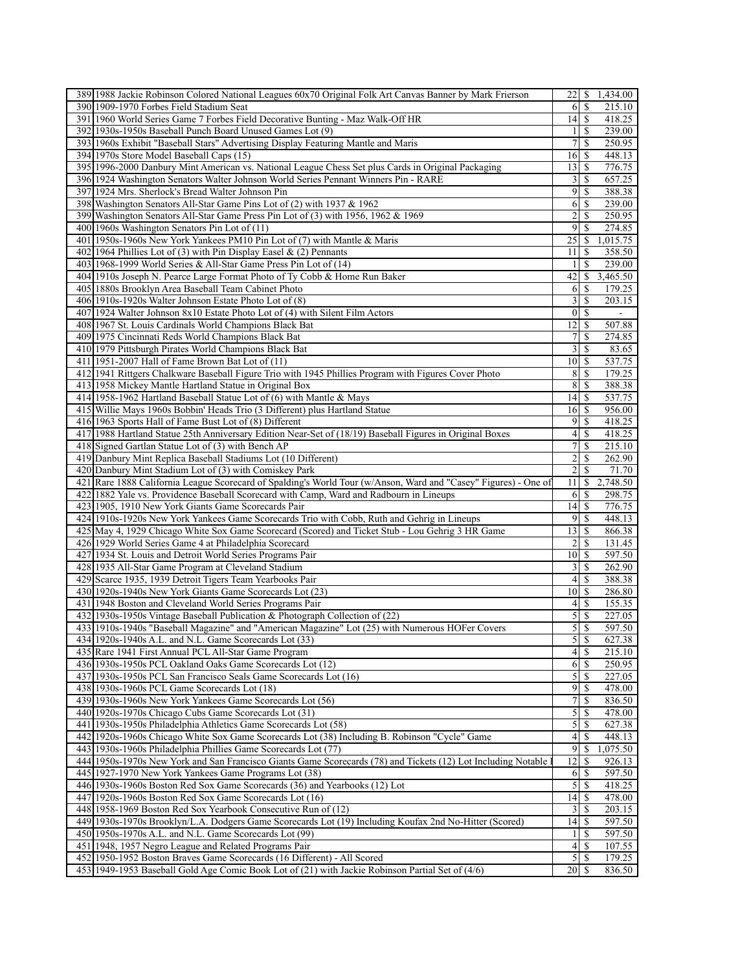| 389 1988 Jackie Robinson Colored National Leagues 60x70 Original Folk Art Canvas Banner by Mark Frierson                                                                    | 1,434.00<br>221S                                  |
|-----------------------------------------------------------------------------------------------------------------------------------------------------------------------------|---------------------------------------------------|
| 390 1909-1970 Forbes Field Stadium Seat                                                                                                                                     | \$<br>215.10<br>61                                |
| 391 1960 World Series Game 7 Forbes Field Decorative Bunting - Maz Walk-Off HR                                                                                              | 14<br>418.25<br>\$                                |
| 392 1930s-1950s Baseball Punch Board Unused Games Lot (9)                                                                                                                   | 239.00<br>11S                                     |
| 393 1960s Exhibit "Baseball Stars" Advertising Display Featuring Mantle and Maris                                                                                           | 7<br>\$<br>250.95                                 |
| 394 1970s Store Model Baseball Caps (15)                                                                                                                                    | 448.13<br>16<br>-S                                |
| 395 1996-2000 Danbury Mint American vs. National League Chess Set plus Cards in Original Packaging                                                                          | 776.75<br>$13$ $\sqrt{5}$                         |
| 396 1924 Washington Senators Walter Johnson World Series Pennant Winners Pin - RARE                                                                                         | 3<br>657.25<br>\$                                 |
| 397 1924 Mrs. Sherlock's Bread Walter Johnson Pin                                                                                                                           | 9<br>388.38<br>\$                                 |
| 398 Washington Senators All-Star Game Pins Lot of (2) with 1937 & 1962                                                                                                      | 6<br>-S<br>239.00                                 |
| 399 Washington Senators All-Star Game Press Pin Lot of (3) with 1956, 1962 & 1969                                                                                           | 2<br>\$<br>250.95                                 |
| 400 1960s Washington Senators Pin Lot of (11)                                                                                                                               | 9<br>\$<br>274.85                                 |
| 401 1950s-1960s New York Yankees PM10 Pin Lot of (7) with Mantle & Maris                                                                                                    | 25<br>1,015.75<br>\$                              |
| 402 1964 Phillies Lot of (3) with Pin Display Easel & (2) Pennants                                                                                                          | 358.50<br>S<br>11                                 |
| 403 1968-1999 World Series & All-Star Game Press Pin Lot of (14)                                                                                                            | \$<br>239.00<br>1                                 |
| 404 1910s Joseph N. Pearce Large Format Photo of Ty Cobb & Home Run Baker                                                                                                   | 42<br>3,465.50<br>$\mathbb{S}$                    |
| 405 1880s Brooklyn Area Baseball Team Cabinet Photo                                                                                                                         | \$<br>179.25<br>6                                 |
| 406 1910s-1920s Walter Johnson Estate Photo Lot of (8)                                                                                                                      | 3<br>S<br>203.15                                  |
| 407 1924 Walter Johnson 8x10 Estate Photo Lot of (4) with Silent Film Actors                                                                                                | $\overline{0}$<br>-\$<br>$\overline{\phantom{a}}$ |
| 408 1967 St. Louis Cardinals World Champions Black Bat                                                                                                                      | 12<br>\$<br>507.88                                |
| 409 1975 Cincinnati Reds World Champions Black Bat                                                                                                                          | $\overline{7}$<br>274.85<br>S                     |
| 410 1979 Pittsburgh Pirates World Champions Black Bat<br>411 1951-2007 Hall of Fame Brown Bat Lot of (11)                                                                   | 3<br>$\mathbb{S}$<br>83.65<br>101S<br>537.75      |
| 412 1941 Rittgers Chalkware Baseball Figure Trio with 1945 Phillies Program with Figures Cover Photo                                                                        |                                                   |
| 413 1958 Mickey Mantle Hartland Statue in Original Box                                                                                                                      | 8<br>179.25<br>-S<br>8<br>388.38<br>\$            |
|                                                                                                                                                                             | 14<br>537.75                                      |
| 414 1958-1962 Hartland Baseball Statue Lot of (6) with Mantle & Mays<br>415 Willie Mays 1960s Bobbin' Heads Trio (3 Different) plus Hartland Statue                         | \$<br>16<br>-S<br>956.00                          |
| 416 1963 Sports Hall of Fame Bust Lot of (8) Different                                                                                                                      | 9<br>418.25<br>\$                                 |
| 417 1988 Hartland Statue 25th Anniversary Edition Near-Set of (18/19) Baseball Figures in Original Boxes                                                                    | $\overline{\mathcal{A}}$<br>\$<br>418.25          |
| 418 Signed Gartlan Statue Lot of (3) with Bench AP                                                                                                                          | $7\vert$<br>215.10<br>S                           |
| 419 Danbury Mint Replica Baseball Stadiums Lot (10 Different)                                                                                                               | $\overline{\mathbf{c}}$<br>\$<br>262.90           |
| 420 Danbury Mint Stadium Lot of (3) with Comiskey Park                                                                                                                      | $\overline{2}$<br>\$<br>71.70                     |
| Rare 1888 California League Scorecard of Spalding's World Tour (w/Anson, Ward and "Casey" Figures) - One of<br>421                                                          | 2,748.50<br>11<br>\$                              |
| 422 1882 Yale vs. Providence Baseball Scorecard with Camp, Ward and Radbourn in Lineups                                                                                     | 6<br>\$<br>298.75                                 |
| 423 1905, 1910 New York Giants Game Scorecards Pair                                                                                                                         | 14<br>776.75<br>-S                                |
| 424 1910s-1920s New York Yankees Game Scorecards Trio with Cobb, Ruth and Gehrig in Lineups                                                                                 | $\overline{9}$<br>448.13<br>\$                    |
| 425 May 4, 1929 Chicago White Sox Game Scorecard (Scored) and Ticket Stub - Lou Gehrig 3 HR Game                                                                            | 13<br>$\mathbb{S}$<br>866.38                      |
| 426 1929 World Series Game 4 at Philadelphia Scorecard                                                                                                                      | 2<br>131.45<br>S                                  |
| 427 1934 St. Louis and Detroit World Series Programs Pair                                                                                                                   | 10 <sup>1</sup><br>$\mathbb{S}$<br>597.50         |
| 428 1935 All-Star Game Program at Cleveland Stadium                                                                                                                         | $\overline{3}$<br>262.90<br>\$                    |
| 429 Scarce 1935, 1939 Detroit Tigers Team Yearbooks Pair                                                                                                                    | $\left 4\right $<br>-S<br>388.38                  |
| 430 1920s-1940s New York Giants Game Scorecards Lot (23)                                                                                                                    | 10<br>286.80<br>\$                                |
| 431 1948 Boston and Cleveland World Series Programs Pair                                                                                                                    | $\left 4\right $<br>$\mathbb{S}$<br>155.35        |
| 432 1930s-1950s Vintage Baseball Publication & Photograph Collection of (22)                                                                                                | $\mathfrak{S}$<br>$\mathbf S$<br>227.05           |
| 433 1910s-1940s "Baseball Magazine" and "American Magazine" Lot (25) with Numerous HOFer Covers                                                                             | 5<br>\$<br>597.50                                 |
| 434 1920s-1940s A.L. and N.L. Game Scorecards Lot (33)                                                                                                                      | 5S<br>627.38                                      |
| 435 Rare 1941 First Annual PCL All-Star Game Program                                                                                                                        | 4<br><sup>\$</sup><br>215.10                      |
| 436 1930s-1950s PCL Oakland Oaks Game Scorecards Lot (12)                                                                                                                   | 250.95<br>6<br>-S                                 |
| 437 1930s-1950s PCL San Francisco Seals Game Scorecards Lot (16)                                                                                                            | 5<br><sup>\$</sup><br>227.05                      |
| 438 1930s-1960s PCL Game Scorecards Lot (18)                                                                                                                                | $\overline{9}$<br>478.00<br><sup>\$</sup>         |
| 439 1930s-1960s New York Yankees Game Scorecards Lot (56)                                                                                                                   | $\boldsymbol{7}$<br>\$<br>836.50                  |
| 440 1920s-1970s Chicago Cubs Game Scorecards Lot (31)                                                                                                                       | 5<br>478.00<br>-S                                 |
| 441 1930s-1950s Philadelphia Athletics Game Scorecards Lot (58)                                                                                                             | $\overline{5}$<br>-S<br>627.38                    |
| 442 1920s-1960s Chicago White Sox Game Scorecards Lot (38) Including B. Robinson "Cycle" Game                                                                               | 448.13<br>4<br><sup>\$</sup>                      |
| 443 1930s-1960s Philadelphia Phillies Game Scorecards Lot (77)                                                                                                              | 9<br>1,075.50<br><sup>\$</sup>                    |
| 444 1950s-1970s New York and San Francisco Giants Game Scorecards (78) and Tickets (12) Lot Including Notable                                                               | 12<br><sup>\$</sup><br>926.13                     |
| 445 1927-1970 New York Yankees Game Programs Lot (38)                                                                                                                       | 6<br>597.50<br>-S                                 |
| 446 1930s-1960s Boston Red Sox Game Scorecards (36) and Yearbooks (12) Lot                                                                                                  | $\overline{5}$<br>418.25<br>-S                    |
| 447 1920s-1960s Boston Red Sox Game Scorecards Lot (16)                                                                                                                     | 14<br>\$<br>478.00                                |
| 448 1958-1969 Boston Red Sox Yearbook Consecutive Run of (12)                                                                                                               | 3<br><sup>\$</sup><br>203.15                      |
| 449 1930s-1970s Brooklyn/L.A. Dodgers Game Scorecards Lot (19) Including Koufax 2nd No-Hitter (Scored)                                                                      | 14<br>597.50<br><sup>\$</sup>                     |
| 450 1950s-1970s A.L. and N.L. Game Scorecards Lot (99)                                                                                                                      | 597.50<br>$\frac{1}{2}$<br>S                      |
| 451 1948, 1957 Negro League and Related Programs Pair                                                                                                                       | $\vert 4 \vert$<br><sup>\$</sup><br>107.55        |
| 452 1950-1952 Boston Braves Game Scorecards (16 Different) - All Scored<br>453 1949-1953 Baseball Gold Age Comic Book Lot of (21) with Jackie Robinson Partial Set of (4/6) | 179.25                                            |
|                                                                                                                                                                             | $20$   \$<br>836.50                               |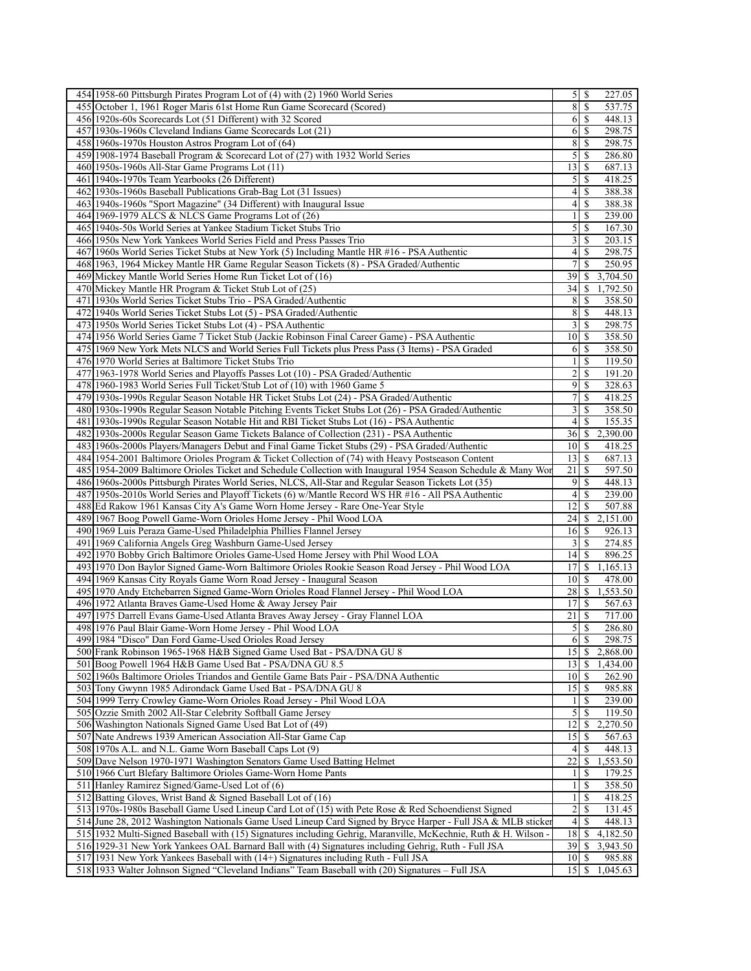| 454 1958-60 Pittsburgh Pirates Program Lot of (4) with (2) 1960 World Series                                                                                                            |                                |               | 227.05             |
|-----------------------------------------------------------------------------------------------------------------------------------------------------------------------------------------|--------------------------------|---------------|--------------------|
| 455 October 1, 1961 Roger Maris 61st Home Run Game Scorecard (Scored)                                                                                                                   | 8                              | \$            | 537.75             |
| 456 1920s-60s Scorecards Lot (51 Different) with 32 Scored                                                                                                                              | 6                              | \$            | 448.13             |
| 457 1930s-1960s Cleveland Indians Game Scorecards Lot (21)                                                                                                                              | 6                              | l \$          | 298.75             |
| 458 1960s-1970s Houston Astros Program Lot of (64)                                                                                                                                      | 8                              | \$            | 298.75             |
| 459 1908-1974 Baseball Program & Scorecard Lot of (27) with 1932 World Series                                                                                                           | 5                              | \$            | 286.80             |
| 460 1950s-1960s All-Star Game Programs Lot (11)                                                                                                                                         | 13                             | \$            | 687.13             |
| 461 1940s-1970s Team Yearbooks (26 Different)                                                                                                                                           | 5                              | \$            | 418.25             |
| 462 1930s-1960s Baseball Publications Grab-Bag Lot (31 Issues)                                                                                                                          | 4                              | \$            | 388.38             |
| 463 1940s-1960s "Sport Magazine" (34 Different) with Inaugural Issue                                                                                                                    | 4                              | S             | 388.38             |
| 464 1969-1979 ALCS & NLCS Game Programs Lot of (26)                                                                                                                                     | 1                              | S             | 239.00             |
| 465 1940s-50s World Series at Yankee Stadium Ticket Stubs Trio                                                                                                                          | 5                              | \$            | 167.30             |
| 466 1950s New York Yankees World Series Field and Press Passes Trio                                                                                                                     | 3                              | \$            | 203.15             |
| 467 1960s World Series Ticket Stubs at New York (5) Including Mantle HR #16 - PSA Authentic                                                                                             | 4                              | \$            | 298.75             |
| 468 1963, 1964 Mickey Mantle HR Game Regular Season Tickets (8) - PSA Graded/Authentic                                                                                                  | 7                              | S             | 250.95             |
| 469 Mickey Mantle World Series Home Run Ticket Lot of (16)                                                                                                                              | 39                             | \$            | 3,704.50           |
| 470 Mickey Mantle HR Program & Ticket Stub Lot of (25)                                                                                                                                  | 34                             | \$            | 1,792.50           |
| 471 1930s World Series Ticket Stubs Trio - PSA Graded/Authentic                                                                                                                         | 8                              | \$            | 358.50             |
| 472 1940s World Series Ticket Stubs Lot (5) - PSA Graded/Authentic                                                                                                                      | 8                              | \$            | 448.13             |
| 473 1950s World Series Ticket Stubs Lot (4) - PSA Authentic                                                                                                                             | $\overline{\mathbf{3}}$        | \$            | 298.75             |
| 474 1956 World Series Game 7 Ticket Stub (Jackie Robinson Final Career Game) - PSA Authentic                                                                                            | 10   S                         |               | 358.50             |
| 475 1969 New York Mets NLCS and World Series Full Tickets plus Press Pass (3 Items) - PSA Graded                                                                                        | 6                              | \$            | 358.50             |
| 476 1970 World Series at Baltimore Ticket Stubs Trio                                                                                                                                    |                                | \$            | 119.50             |
| 477 1963-1978 World Series and Playoffs Passes Lot (10) - PSA Graded/Authentic                                                                                                          | 2                              | \$            | 191.20             |
| 478 1960-1983 World Series Full Ticket/Stub Lot of (10) with 1960 Game 5                                                                                                                | 9                              | \$            | 328.63             |
| 479 1930s-1990s Regular Season Notable HR Ticket Stubs Lot (24) - PSA Graded/Authentic                                                                                                  | 7                              | \$            | 418.25             |
| 480 1930s-1990s Regular Season Notable Pitching Events Ticket Stubs Lot (26) - PSA Graded/Authentic                                                                                     | 3                              | S             | 358.50             |
| 4811930s-1990s Regular Season Notable Hit and RBI Ticket Stubs Lot (16) - PSA Authentic                                                                                                 | 4                              | \$            | 155.35             |
| 482 1930s-2000s Regular Season Game Tickets Balance of Collection (231) - PSA Authentic                                                                                                 | 36   S                         |               | 2,390.00           |
| 483 1960s-2000s Players/Managers Debut and Final Game Ticket Stubs (29) - PSA Graded/Authentic                                                                                          | $10\vert S$                    |               | 418.25             |
| 4841954-2001 Baltimore Orioles Program & Ticket Collection of (74) with Heavy Postseason Content                                                                                        | 13                             | \$            | 687.13             |
| 485 1954-2009 Baltimore Orioles Ticket and Schedule Collection with Inaugural 1954 Season Schedule & Many Wor                                                                           | 21                             | -S            | 597.50             |
| 486 1960s-2000s Pittsburgh Pirates World Series, NLCS, All-Star and Regular Season Tickets Lot (35)                                                                                     | 9 I S                          | \$            | 448.13             |
| 487 1950s-2010s World Series and Playoff Tickets (6) w/Mantle Record WS HR #16 - All PSA Authentic<br>488 Ed Rakow 1961 Kansas City A's Game Worn Home Jersey - Rare One-Year Style     | 4<br>12                        | \$            | 239.00<br>507.88   |
| 489 1967 Boog Powell Game-Worn Orioles Home Jersey - Phil Wood LOA                                                                                                                      | 24                             | \$            | 2,151.00           |
| 490 1969 Luis Peraza Game-Used Philadelphia Phillies Flannel Jersey                                                                                                                     | 16                             | <b>S</b>      | 926.13             |
| 491 1969 California Angels Greg Washburn Game-Used Jersey                                                                                                                               | $3$   $\sqrt{3}$               |               | 274.85             |
| 492 1970 Bobby Grich Baltimore Orioles Game-Used Home Jersey with Phil Wood LOA                                                                                                         |                                |               | 896.25             |
| 493 1970 Don Baylor Signed Game-Worn Baltimore Orioles Rookie Season Road Jersey - Phil Wood LOA                                                                                        |                                |               |                    |
|                                                                                                                                                                                         | 14                             | \$            |                    |
|                                                                                                                                                                                         | 17                             | \$            | 1,165.13           |
| 494 1969 Kansas City Royals Game Worn Road Jersey - Inaugural Season                                                                                                                    | 10 <sup>1</sup>                | S             | 478.00             |
| 495 1970 Andy Etchebarren Signed Game-Worn Orioles Road Flannel Jersey - Phil Wood LOA                                                                                                  | 28<br>17                       | \$<br>\$      | 1,553.50           |
| 496 1972 Atlanta Braves Game-Used Home & Away Jersey Pair                                                                                                                               |                                | -S            | 567.63             |
| 497 1975 Darrell Evans Game-Used Atlanta Braves Away Jersey - Gray Flannel LOA<br>498 1976 Paul Blair Game-Worn Home Jersey - Phil Wood LOA                                             | 21<br>5                        | \$            | 717.00<br>286.80   |
| 499 1984 "Disco" Dan Ford Game-Used Orioles Road Jersey                                                                                                                                 |                                | 6S            | 298.75             |
| 500 Frank Robinson 1965-1968 H&B Signed Game Used Bat - PSA/DNA GU 8                                                                                                                    | 15                             | $\mathbb{S}$  | 2,868.00           |
| 501 Boog Powell 1964 H&B Game Used Bat - PSA/DNA GU 8.5                                                                                                                                 | $13$   \$                      |               | 1,434.00           |
| 502 1960s Baltimore Orioles Triandos and Gentile Game Bats Pair - PSA/DNA Authentic                                                                                                     | $10\vert S$                    |               | 262.90             |
| 503 Tony Gwynn 1985 Adirondack Game Used Bat - PSA/DNA GU 8                                                                                                                             | $15$ $\sqrt{5}$                |               | 985.88             |
| 504 1999 Terry Crowley Game-Worn Orioles Road Jersey - Phil Wood LOA                                                                                                                    | 1                              | \$            | 239.00             |
| 505 Ozzie Smith 2002 All-Star Celebrity Softball Game Jersey                                                                                                                            | 5                              | S             | 119.50             |
| 506 Washington Nationals Signed Game Used Bat Lot of (49)                                                                                                                               | 12                             | \$            | 2,270.50           |
| 507 Nate Andrews 1939 American Association All-Star Game Cap                                                                                                                            | 15                             | \$            | 567.63             |
| 508 1970s A.L. and N.L. Game Worn Baseball Caps Lot (9)                                                                                                                                 |                                | 4   S         | 448.13             |
| 509 Dave Nelson 1970-1971 Washington Senators Game Used Batting Helmet                                                                                                                  | 22                             | -S            | 1,553.50           |
| 510 1966 Curt Blefary Baltimore Orioles Game-Worn Home Pants                                                                                                                            | 1                              | \$            | 179.25             |
| 511 Hanley Ramirez Signed/Game-Used Lot of (6)                                                                                                                                          | 1                              | <sup>\$</sup> | 358.50             |
| 512 Batting Gloves, Wrist Band & Signed Baseball Lot of (16)                                                                                                                            | 1                              | -S            | 418.25             |
| 513 1970s-1980s Baseball Game Used Lineup Card Lot of (15) with Pete Rose & Red Schoendienst Signed                                                                                     | $\overline{2}$                 | l \$          | 131.45             |
| 514 June 28, 2012 Washington Nationals Game Used Lineup Card Signed by Bryce Harper - Full JSA & MLB sticker                                                                            |                                |               | 448.13             |
| 515 1932 Multi-Signed Baseball with (15) Signatures including Gehrig, Maranville, McKechnie, Ruth & H. Wilson                                                                           | 18                             | IS.           | 4,182.50           |
| 516 1929-31 New York Yankees OAL Barnard Ball with (4) Signatures including Gehrig, Ruth - Full JSA                                                                                     | 39                             | l \$          | 3,943.50           |
| 517 [1931 New York Yankees Baseball with (14+) Signatures including Ruth - Full JSA<br>518 1933 Walter Johnson Signed "Cleveland Indians" Team Baseball with (20) Signatures - Full JSA | $10 \mid S$<br>$15$ $\sqrt{5}$ |               | 985.88<br>1,045.63 |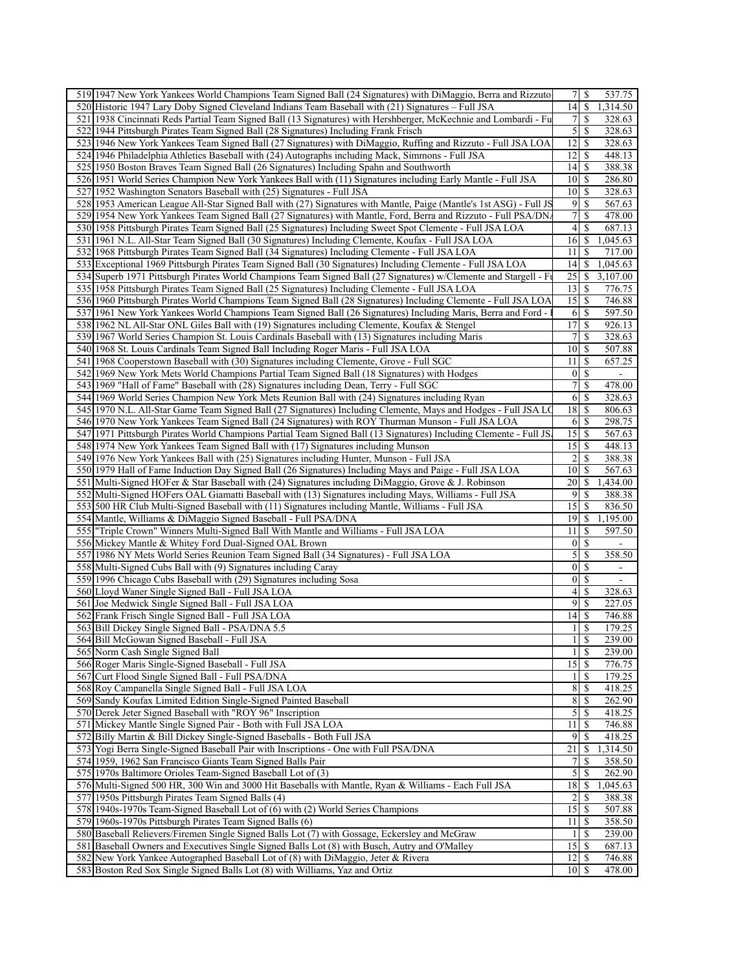|     | 519 1947 New York Yankees World Champions Team Signed Ball (24 Signatures) with DiMaggio, Berra and Rizzuto                                                      | 7   S                          |                           | 537.75                   |
|-----|------------------------------------------------------------------------------------------------------------------------------------------------------------------|--------------------------------|---------------------------|--------------------------|
|     | 520 Historic 1947 Lary Doby Signed Cleveland Indians Team Baseball with (21) Signatures – Full JSA                                                               | 4                              | \$                        | 1,314.50                 |
|     | 521 1938 Cincinnati Reds Partial Team Signed Ball (13 Signatures) with Hershberger, McKechnie and Lombardi - Fu                                                  | $\overline{7}$                 | S                         | 328.63                   |
|     | 522 1944 Pittsburgh Pirates Team Signed Ball (28 Signatures) Including Frank Frisch                                                                              | $\overline{5}$                 | <sup>\$</sup>             | 328.63                   |
|     | 523 1946 New York Yankees Team Signed Ball (27 Signatures) with DiMaggio, Ruffing and Rizzuto - Full JSA LOA                                                     | 12                             | \$                        | 328.63                   |
|     | 524 1946 Philadelphia Athletics Baseball with (24) Autographs including Mack, Simmons - Full JSA                                                                 | 12                             | \$                        | 448.13                   |
|     | 525 1950 Boston Braves Team Signed Ball (26 Signatures) Including Spahn and Southworth                                                                           | 4                              | \$                        | 388.38                   |
|     | 526 1951 World Series Champion New York Yankees Ball with (11) Signatures including Early Mantle - Full JSA                                                      | 10                             | \$.                       | 286.80                   |
|     | 527 1952 Washington Senators Baseball with (25) Signatures - Full JSA                                                                                            | $10$ $\sqrt{5}$                |                           | 328.63                   |
|     | 528 1953 American League All-Star Signed Ball with (27) Signatures with Mantle, Paige (Mantle's 1st ASG) - Full JS                                               | 9                              | <sup>\$</sup>             | 567.63                   |
|     | 529 1954 New York Yankees Team Signed Ball (27 Signatures) with Mantle, Ford, Berra and Rizzuto - Full PSA/DN.                                                   | $\overline{7}$                 | \$                        | 478.00                   |
|     |                                                                                                                                                                  | 4                              |                           |                          |
|     | 530 1958 Pittsburgh Pirates Team Signed Ball (25 Signatures) Including Sweet Spot Clemente - Full JSA LOA                                                        |                                | S                         | 687.13                   |
| 531 | 1961 N.L. All-Star Team Signed Ball (30 Signatures) Including Clemente, Koufax - Full JSA LOA                                                                    | 16                             | \$                        | $1,04\overline{5.63}$    |
|     | 532 1968 Pittsburgh Pirates Team Signed Ball (34 Signatures) Including Clemente - Full JSA LOA                                                                   | 11                             | <sup>\$</sup>             | 717.00                   |
|     | 533 Exceptional 1969 Pittsburgh Pirates Team Signed Ball (30 Signatures) Including Clemente - Full JSA LOA                                                       | 4                              | \$                        | 1,045.63                 |
|     | 534 Superb 1971 Pittsburgh Pirates World Champions Team Signed Ball (27 Signatures) w/Clemente and Stargell - Fu                                                 | 25                             | \$                        | 3,107.00                 |
|     | 535 1958 Pittsburgh Pirates Team Signed Ball (25 Signatures) Including Clemente - Full JSA LOA                                                                   | 13                             | -S                        | 776.75                   |
|     | 536 1960 Pittsburgh Pirates World Champions Team Signed Ball (28 Signatures) Including Clemente - Full JSA LOA                                                   | 15                             | <sup>\$</sup>             | 746.88                   |
| 537 | 1961 New York Yankees World Champions Team Signed Ball (26 Signatures) Including Maris, Berra and Ford -                                                         | 6                              | \$                        | 597.50                   |
|     | 538 1962 NL All-Star ONL Giles Ball with (19) Signatures including Clemente, Koufax & Stengel                                                                    | 17                             | \$                        | 926.13                   |
|     | 539 1967 World Series Champion St. Louis Cardinals Baseball with (13) Signatures including Maris                                                                 | $\overline{7}$                 | \$                        | 328.63                   |
|     | 540 1968 St. Louis Cardinals Team Signed Ball Including Roger Maris - Full JSA LOA                                                                               | 10 <sup>1</sup>                | \$                        | 507.88                   |
|     | 541 1968 Cooperstown Baseball with (30) Signatures including Clemente, Grove - Full SGC                                                                          | 11                             | \$                        | 657.25                   |
|     | 542 1969 New York Mets World Champions Partial Team Signed Ball (18 Signatures) with Hodges                                                                      | $\vert 0 \vert$                | $\mathbb{S}$              |                          |
|     | 543 1969 "Hall of Fame" Baseball with (28) Signatures including Dean, Terry - Full SGC                                                                           | $\overline{7}$                 | \$                        | 478.00                   |
|     | 544 1969 World Series Champion New York Mets Reunion Ball with (24) Signatures including Ryan                                                                    | $6\vert$                       | -S                        | 328.63                   |
|     | 545 1970 N.L. All-Star Game Team Signed Ball (27 Signatures) Including Clemente, Mays and Hodges - Full JSA LO                                                   | 18                             | $\mathbb{S}$              | 806.63                   |
|     | 546 1970 New York Yankees Team Signed Ball (24 Signatures) with ROY Thurman Munson - Full JSA LOA                                                                | 6                              | \$                        | 298.75                   |
|     | 547 1971 Pittsburgh Pirates World Champions Partial Team Signed Ball (13 Signatures) Including Clemente - Full JS                                                | 15                             | \$                        | 567.63                   |
|     | 548 1974 New York Yankees Team Signed Ball with (17) Signatures including Munson                                                                                 | $\overline{15}$ \$             |                           | 448.13                   |
|     | 549 1976 New York Yankees Ball with (25) Signatures including Hunter, Munson - Full JSA                                                                          | 2                              | \$                        | 388.38                   |
|     | 550 1979 Hall of Fame Induction Day Signed Ball (26 Signatures) Including Mays and Paige - Full JSA LOA                                                          | 10 <sup>1</sup>                | \$                        | 567.63                   |
|     | 551 Multi-Signed HOFer & Star Baseball with (24) Signatures including DiMaggio, Grove & J. Robinson                                                              | 20 <sup>1</sup>                | \$                        | 1,434.00                 |
|     | 552 Multi-Signed HOFers OAL Giamatti Baseball with (13) Signatures including Mays, Williams - Full JSA                                                           | $\overline{9}$                 | S                         | 388.38                   |
|     | 553 500 HR Club Multi-Signed Baseball with (11) Signatures including Mantle, Williams - Full JSA                                                                 | 15                             | \$.                       | 836.50                   |
|     | 554 Mantle, Williams & DiMaggio Signed Baseball - Full PSA/DNA                                                                                                   | 19                             | \$                        | 1,195.00                 |
|     | 555 Triple Crown" Winners Multi-Signed Ball With Mantle and Williams - Full JSA LOA                                                                              | 11                             | \$                        | 597.50                   |
|     | 556 Mickey Mantle & Whitey Ford Dual-Signed OAL Brown                                                                                                            | $\vert 0 \vert$                | $\mathbb{S}$              |                          |
|     | 557 1986 NY Mets World Series Reunion Team Signed Ball (34 Signatures) - Full JSA LOA                                                                            | 5                              | \$                        | 358.50                   |
|     | 558 Multi-Signed Cubs Ball with (9) Signatures including Caray                                                                                                   | $\vert 0 \vert$                | \$                        | $\overline{\phantom{a}}$ |
|     | 559 1996 Chicago Cubs Baseball with (29) Signatures including Sosa                                                                                               | $\vert 0 \vert$                | <sup>\$</sup>             | $\overline{\phantom{a}}$ |
|     | 560 Lloyd Waner Single Signed Ball - Full JSA LOA                                                                                                                | $\left 4\right $               | \$                        | 328.63                   |
|     | 561 Joe Medwick Single Signed Ball - Full JSA LOA                                                                                                                | $\overline{9}$                 | $\boldsymbol{\mathsf{S}}$ | 227.05                   |
|     | 562 Frank Frisch Single Signed Ball - Full JSA LOA                                                                                                               | 4                              | <sup>\$</sup>             | 746.88                   |
|     | 563 Bill Dickey Single Signed Ball - PSA/DNA 5.5                                                                                                                 | 1                              | \$                        | 179.25                   |
|     | 564 Bill McGowan Signed Baseball - Full JSA                                                                                                                      | $1 \mid$ \$                    |                           | 239.00                   |
|     | 565 Norm Cash Single Signed Ball                                                                                                                                 | $1\vert S$                     |                           | 239.00                   |
|     | 566 Roger Maris Single-Signed Baseball - Full JSA                                                                                                                | $15$ $\sqrt{5}$                |                           | 776.75                   |
|     |                                                                                                                                                                  |                                |                           | 179.25                   |
|     |                                                                                                                                                                  |                                |                           |                          |
|     | 567 Curt Flood Single Signed Ball - Full PSA/DNA                                                                                                                 | 11S                            |                           |                          |
|     | 568 Roy Campanella Single Signed Ball - Full JSA LOA                                                                                                             |                                |                           | 418.25                   |
|     | 569 Sandy Koufax Limited Edition Single-Signed Painted Baseball                                                                                                  | $\sqrt{8}$                     | -S                        | 262.90                   |
|     | 570 Derek Jeter Signed Baseball with "ROY 96" Inscription                                                                                                        | $\overline{5}$                 | -S                        | 418.25                   |
|     | 571 Mickey Mantle Single Signed Pair - Both with Full JSA LOA                                                                                                    | 11                             | \$                        | 746.88                   |
|     | 572 Billy Martin & Bill Dickey Single-Signed Baseballs - Both Full JSA                                                                                           | $\overline{9}$                 | \$                        | 418.25                   |
|     | 573 Yogi Berra Single-Signed Baseball Pair with Inscriptions - One with Full PSA/DNA                                                                             | 21                             | <sup>\$</sup>             | 1,314.50                 |
|     | 574 1959, 1962 San Francisco Giants Team Signed Balls Pair                                                                                                       | 7                              | \$                        | 358.50                   |
|     | 575 1970s Baltimore Orioles Team-Signed Baseball Lot of (3)                                                                                                      | $\mathfrak{S}$                 | <sup>\$</sup>             | 262.90                   |
|     | 576 Multi-Signed 500 HR, 300 Win and 3000 Hit Baseballs with Mantle, Ryan & Williams - Each Full JSA                                                             | 18                             | <sup>\$</sup>             | 1,045.63                 |
|     | 577 1950s Pittsburgh Pirates Team Signed Balls (4)                                                                                                               | $\overline{2}$                 | <sup>\$</sup>             | 388.38                   |
|     | 578 1940s-1970s Team-Signed Baseball Lot of (6) with (2) World Series Champions                                                                                  | $15 \mid$ \$                   |                           | 507.88                   |
|     | 579 1960s-1970s Pittsburgh Pirates Team Signed Balls (6)                                                                                                         | $11 \mid S$                    |                           | 358.50                   |
|     | 580 Baseball Relievers/Firemen Single Signed Balls Lot (7) with Gossage, Eckersley and McGraw                                                                    | 11                             | S                         | 239.00                   |
|     | 581 Baseball Owners and Executives Single Signed Balls Lot (8) with Busch, Autry and O'Malley                                                                    | 15                             | -S                        | 687.13                   |
|     | 582 New York Yankee Autographed Baseball Lot of (8) with DiMaggio, Jeter & Rivera<br>583 Boston Red Sox Single Signed Balls Lot (8) with Williams, Yaz and Ortiz | $12$ $\sqrt{5}$<br>$10\vert S$ |                           | 746.88<br>478.00         |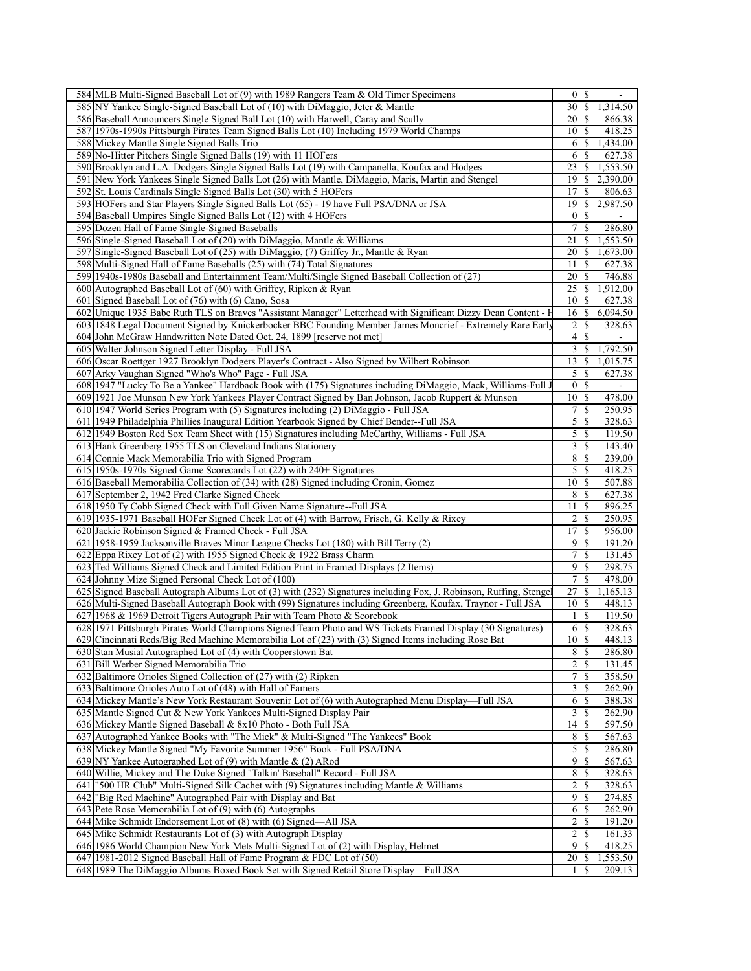| 584 MLB Multi-Signed Baseball Lot of (9) with 1989 Rangers Team & Old Timer Specimens                                                                         | $0\vert S$                                         |
|---------------------------------------------------------------------------------------------------------------------------------------------------------------|----------------------------------------------------|
| 585 NY Yankee Single-Signed Baseball Lot of (10) with DiMaggio, Jeter & Mantle                                                                                | 30<br>\$<br>1,314.50                               |
| 586 Baseball Announcers Single Signed Ball Lot (10) with Harwell, Caray and Scully                                                                            | 20<br>866.38<br>S                                  |
| 587 1970s-1990s Pittsburgh Pirates Team Signed Balls Lot (10) Including 1979 World Champs                                                                     | 10 <sup>1</sup><br>418.25<br>-S                    |
| 588 Mickey Mantle Single Signed Balls Trio                                                                                                                    | 1,434.00<br>\$<br>6                                |
| 589 No-Hitter Pitchers Single Signed Balls (19) with 11 HOFers                                                                                                | 6<br>627.38<br>S                                   |
| 590 Brooklyn and L.A. Dodgers Single Signed Balls Lot (19) with Campanella, Koufax and Hodges                                                                 | 1,553.50<br>23<br>S                                |
| 591 New York Yankees Single Signed Balls Lot (26) with Mantle, DiMaggio, Maris, Martin and Stengel                                                            | 2,390.00<br>19<br>\$                               |
| 592 St. Louis Cardinals Single Signed Balls Lot (30) with 5 HOFers                                                                                            | <sup>\$</sup><br>806.63<br>17 <sup>1</sup>         |
|                                                                                                                                                               | 19<br>2,987.50<br>S.                               |
| 593 HOFers and Star Players Single Signed Balls Lot (65) - 19 have Full PSA/DNA or JSA                                                                        |                                                    |
| 594 Baseball Umpires Single Signed Balls Lot (12) with 4 HOFers                                                                                               | $\overline{0}$<br>-S                               |
| 595 Dozen Hall of Fame Single-Signed Baseballs                                                                                                                | 7<br>\$<br>286.80                                  |
| 596 Single-Signed Baseball Lot of (20) with DiMaggio, Mantle & Williams                                                                                       | 1,553.50<br>21<br>\$                               |
| 597 Single-Signed Baseball Lot of (25) with DiMaggio, (7) Griffey Jr., Mantle & Ryan                                                                          | 1,673.00<br>20<br>-S                               |
| 598 Multi-Signed Hall of Fame Baseballs (25) with (74) Total Signatures                                                                                       | 11<br>\$<br>627.38                                 |
| 599 1940s-1980s Baseball and Entertainment Team/Multi/Single Signed Baseball Collection of (27)                                                               | 746.88<br>20<br>\$                                 |
| 600 Autographed Baseball Lot of (60) with Griffey, Ripken & Ryan                                                                                              | 25<br>1,912.00<br>\$                               |
| 601 Signed Baseball Lot of (76) with (6) Cano, Sosa                                                                                                           | 10<br>S<br>627.38                                  |
| Unique 1935 Babe Ruth TLS on Braves "Assistant Manager" Letterhead with Significant Dizzy Dean Content - F<br>602                                             | \$<br>6,094.50<br>16                               |
| 603 1848 Legal Document Signed by Knickerbocker BBC Founding Member James Moncrief - Extremely Rare Early                                                     | 2<br>328.63<br>S                                   |
| 604 John McGraw Handwritten Note Dated Oct. 24, 1899 [reserve not met]                                                                                        | $\vert 4 \vert$<br>$\mathbf S$                     |
| 605 Walter Johnson Signed Letter Display - Full JSA                                                                                                           | 3<br>1,792.50<br>\$                                |
| 606 Oscar Roettger 1927 Brooklyn Dodgers Player's Contract - Also Signed by Wilbert Robinson                                                                  | $13$ $\sqrt{5}$<br>1,015.75                        |
| 607 Arky Vaughan Signed "Who's Who" Page - Full JSA                                                                                                           | $\mathfrak{S}$<br><sup>\$</sup><br>627.38          |
|                                                                                                                                                               |                                                    |
| 608 1947 "Lucky To Be a Yankee" Hardback Book with (175) Signatures including DiMaggio, Mack, Williams-Full J                                                 | $\overline{0}$<br>S                                |
| 609 1921 Joe Munson New York Yankees Player Contract Signed by Ban Johnson, Jacob Ruppert & Munson                                                            | $10 \mid S$<br>478.00                              |
| 610 1947 World Series Program with (5) Signatures including (2) DiMaggio - Full JSA                                                                           | $7\vert$<br>S<br>250.95                            |
| 611 1949 Philadelphia Phillies Inaugural Edition Yearbook Signed by Chief Bender--Full JSA                                                                    | 5<br>328.63<br>\$                                  |
| 612 1949 Boston Red Sox Team Sheet with (15) Signatures including McCarthy, Williams - Full JSA                                                               | 5<br>\$<br>119.50                                  |
| 613 Hank Greenberg 1955 TLS on Cleveland Indians Stationery                                                                                                   | $3\vert$<br>143.40<br>-S                           |
| 614 Connie Mack Memorabilia Trio with Signed Program                                                                                                          | 8<br>\$<br>239.00                                  |
| 615 1950s-1970s Signed Game Scorecards Lot (22) with 240+ Signatures                                                                                          | $\mathfrak{S}$<br><sup>\$</sup><br>418.25          |
| 616 Baseball Memorabilia Collection of (34) with (28) Signed including Cronin, Gomez                                                                          | $10$ $\sqrt{5}$<br>507.88                          |
| 617 September 2, 1942 Fred Clarke Signed Check                                                                                                                | 8<br>$\mathbb{S}$<br>627.38                        |
| 618 1950 Ty Cobb Signed Check with Full Given Name Signature--Full JSA                                                                                        | 111S<br>896.25                                     |
| 619 1935-1971 Baseball HOFer Signed Check Lot of (4) with Barrow, Frisch, G. Kelly & Rixey                                                                    | $\overline{2}$<br>\$<br>250.95                     |
| 620 Jackie Robinson Signed & Framed Check - Full JSA                                                                                                          | 17<br>\$<br>956.00                                 |
| 621 1958-1959 Jacksonville Braves Minor League Checks Lot (180) with Bill Terry (2)                                                                           | 9<br>-S<br>191.20                                  |
| 622 Eppa Rixey Lot of (2) with 1955 Signed Check & 1922 Brass Charm                                                                                           | 7<br>\$<br>131.45                                  |
| 623 Ted Williams Signed Check and Limited Edition Print in Framed Displays (2 Items)                                                                          | $\overline{9}$<br>\$<br>298.75                     |
| 624 Johnny Mize Signed Personal Check Lot of (100)                                                                                                            | 7<br>\$<br>478.00                                  |
| 625 Signed Baseball Autograph Albums Lot of (3) with (232) Signatures including Fox, J. Robinson, Ruffing, Stenge                                             | 1,165.13<br>27<br>\$                               |
|                                                                                                                                                               | $10$ $\sqrt{5}$<br>448.13                          |
| 626 Multi-Signed Baseball Autograph Book with (99) Signatures including Greenberg, Koufax, Traynor - Full JSA                                                 |                                                    |
| 627 1968 & 1969 Detroit Tigers Autograph Pair with Team Photo & Scorebook                                                                                     | \$<br>119.50<br>1                                  |
| 628 1971 Pittsburgh Pirates World Champions Signed Team Photo and WS Tickets Framed Display (30 Signatures)                                                   | \$<br>6<br>328.63                                  |
| 629 Cincinnati Reds/Big Red Machine Memorabilia Lot of (23) with (3) Signed Items including Rose Bat                                                          | $10 \mid S$<br>448.13                              |
| 630 Stan Musial Autographed Lot of (4) with Cooperstown Bat                                                                                                   | 8<br>$\mathcal{S}$<br>286.80                       |
| 631 Bill Werber Signed Memorabilia Trio                                                                                                                       | $\overline{c}$<br>\$<br>131.45                     |
| 632 Baltimore Orioles Signed Collection of (27) with (2) Ripken                                                                                               | $7\vert$<br>358.50<br>-S                           |
| 633 Baltimore Orioles Auto Lot of (48) with Hall of Famers                                                                                                    | $\overline{\mathbf{3}}$<br><sup>\$</sup><br>262.90 |
| 634 Mickey Mantle's New York Restaurant Souvenir Lot of (6) with Autographed Menu Display—Full JSA                                                            | 6<br>388.38<br>-S                                  |
| 635 Mantle Signed Cut & New York Yankees Multi-Signed Display Pair                                                                                            | 3<br><sup>\$</sup><br>262.90                       |
| 636 Mickey Mantle Signed Baseball & 8x10 Photo - Both Full JSA                                                                                                | 14<br><sup>\$</sup><br>597.50                      |
| 637 Autographed Yankee Books with "The Mick" & Multi-Signed "The Yankees" Book                                                                                | 8 <sup>1</sup><br>567.63<br>-S                     |
| 638 Mickey Mantle Signed "My Favorite Summer 1956" Book - Full PSA/DNA                                                                                        |                                                    |
|                                                                                                                                                               | <sup>\$</sup>                                      |
|                                                                                                                                                               | $\overline{5}$<br>286.80<br>S                      |
| 639 NY Yankee Autographed Lot of $(9)$ with Mantle & $(2)$ ARod                                                                                               | 9<br>567.63                                        |
| 640 Willie, Mickey and The Duke Signed "Talkin' Baseball" Record - Full JSA                                                                                   | $\bf 8$<br>-S<br>328.63                            |
| 641 ["500 HR Club" Multi-Signed Silk Cachet with (9) Signatures including Mantle & Williams                                                                   | $\overline{c}$<br><sup>\$</sup><br>328.63          |
| 642 Big Red Machine" Autographed Pair with Display and Bat                                                                                                    | 9<br>274.85<br>S                                   |
| 643 Pete Rose Memorabilia Lot of (9) with (6) Autographs                                                                                                      | 6<br>-S<br>262.90                                  |
| 644 Mike Schmidt Endorsement Lot of (8) with (6) Signed—All JSA                                                                                               | $\overline{\mathbf{c}}$<br><sup>\$</sup><br>191.20 |
| 645 Mike Schmidt Restaurants Lot of (3) with Autograph Display                                                                                                | 2<br>161.33<br>S                                   |
| 646 1986 World Champion New York Mets Multi-Signed Lot of (2) with Display, Helmet                                                                            | 9<br><sup>\$</sup><br>418.25                       |
| 647 1981-2012 Signed Baseball Hall of Fame Program & FDC Lot of (50)<br>648 1989 The DiMaggio Albums Boxed Book Set with Signed Retail Store Display—Full JSA | 20<br>1,553.50<br>-S<br>S<br>209.13<br>11          |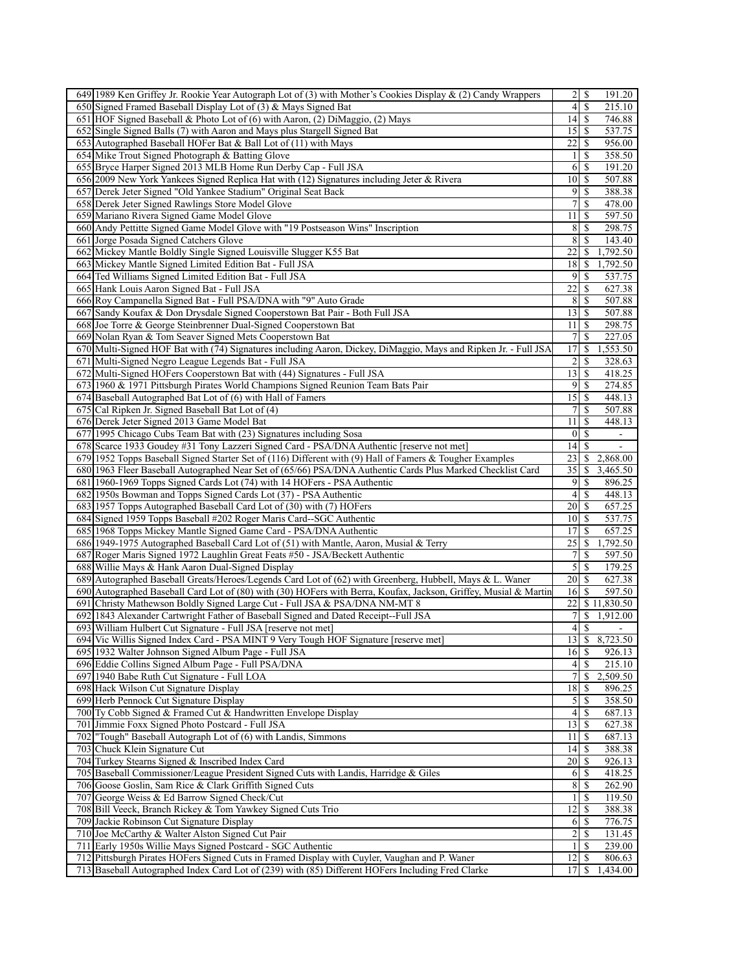| 649 1989 Ken Griffey Jr. Rookie Year Autograph Lot of (3) with Mother's Cookies Display $\&$ (2) Candy Wrappers                                                                                    | $\overline{2}$<br><sup>\$</sup><br>191.20                 |
|----------------------------------------------------------------------------------------------------------------------------------------------------------------------------------------------------|-----------------------------------------------------------|
| 650 Signed Framed Baseball Display Lot of (3) & Mays Signed Bat                                                                                                                                    | 4<br>\$<br>215.10                                         |
| 651 HOF Signed Baseball & Photo Lot of (6) with Aaron, (2) DiMaggio, (2) Mays                                                                                                                      | 14<br>746.88<br>\$                                        |
| 652 Single Signed Balls (7) with Aaron and Mays plus Stargell Signed Bat                                                                                                                           | $15$ $\frac{1}{2}$<br>537.75                              |
| 653 Autographed Baseball HOFer Bat & Ball Lot of (11) with Mays                                                                                                                                    | 22<br>\$<br>956.00                                        |
| 654 Mike Trout Signed Photograph & Batting Glove                                                                                                                                                   | \$<br>358.50<br>1                                         |
| 655 Bryce Harper Signed 2013 MLB Home Run Derby Cap - Full JSA                                                                                                                                     | 6<br>S<br>191.20                                          |
| 656 2009 New York Yankees Signed Replica Hat with (12) Signatures including Jeter & Rivera                                                                                                         | 507.88<br>10<br>\$                                        |
| 657 Derek Jeter Signed "Old Yankee Stadium" Original Seat Back                                                                                                                                     | 9<br>\$<br>388.38                                         |
| 658 Derek Jeter Signed Rawlings Store Model Glove                                                                                                                                                  | 7<br>S<br>478.00                                          |
| 659 Mariano Rivera Signed Game Model Glove                                                                                                                                                         | $\mathbb{S}$<br>597.50<br>11                              |
|                                                                                                                                                                                                    | \$<br>298.75                                              |
| 660 Andy Pettitte Signed Game Model Glove with "19 Postseason Wins" Inscription                                                                                                                    | 8                                                         |
| 661 Jorge Posada Signed Catchers Glove                                                                                                                                                             | 8<br><sup>\$</sup><br>143.40                              |
| 662 Mickey Mantle Boldly Single Signed Louisville Slugger K55 Bat                                                                                                                                  | 1,792.50<br>22<br>\$                                      |
| 663 Mickey Mantle Signed Limited Edition Bat - Full JSA                                                                                                                                            | 18<br>1,792.50<br>\$                                      |
| 664 Ted Williams Signed Limited Edition Bat - Full JSA                                                                                                                                             | 9<br>\$<br>537.75                                         |
| 665 Hank Louis Aaron Signed Bat - Full JSA                                                                                                                                                         | 22<br>\$<br>627.38                                        |
| 666 Roy Campanella Signed Bat - Full PSA/DNA with "9" Auto Grade                                                                                                                                   | 8<br>507.88<br>S                                          |
| 667 Sandy Koufax & Don Drysdale Signed Cooperstown Bat Pair - Both Full JSA                                                                                                                        | 13<br>$\mathbb{S}$<br>507.88                              |
| 668 Joe Torre & George Steinbrenner Dual-Signed Cooperstown Bat                                                                                                                                    | $\mathbb{S}$<br>298.75<br>11                              |
| 669 Nolan Ryan & Tom Seaver Signed Mets Cooperstown Bat                                                                                                                                            | 7<br><sup>\$</sup><br>227.05                              |
| 670 Multi-Signed HOF Bat with (74) Signatures including Aaron, Dickey, DiMaggio, Mays and Ripken Jr. - Full JSA                                                                                    | 17<br>\$<br>1,553.50                                      |
| 671 Multi-Signed Negro League Legends Bat - Full JSA                                                                                                                                               | 2<br>328.63<br>\$                                         |
| Multi-Signed HOFers Cooperstown Bat with (44) Signatures - Full JSA<br>672                                                                                                                         | 13<br><sup>\$</sup><br>418.25                             |
| 673 1960 & 1971 Pittsburgh Pirates World Champions Signed Reunion Team Bats Pair                                                                                                                   | 9<br>\$<br>274.85                                         |
| 674 Baseball Autographed Bat Lot of (6) with Hall of Famers                                                                                                                                        | 15<br>$\mathcal{S}$<br>448.13                             |
| 675 Cal Ripken Jr. Signed Baseball Bat Lot of (4)                                                                                                                                                  | 7<br>S<br>507.88                                          |
| 676 Derek Jeter Signed 2013 Game Model Bat                                                                                                                                                         | \$<br>448.13<br>11                                        |
| 677 1995 Chicago Cubs Team Bat with (23) Signatures including Sosa                                                                                                                                 | \$<br>$\boldsymbol{0}$                                    |
| 678 Scarce 1933 Goudey #31 Tony Lazzeri Signed Card - PSA/DNA Authentic [reserve not met]                                                                                                          | <sup>\$</sup><br> 4 <br>$\blacksquare$                    |
| 679 1952 Topps Baseball Signed Starter Set of (116) Different with (9) Hall of Famers & Tougher Examples                                                                                           | 23<br>S<br>2,868.00                                       |
| 680 1963 Fleer Baseball Autographed Near Set of (65/66) PSA/DNA Authentic Cards Plus Marked Checklist Card                                                                                         | 35<br>3,465.50<br>\$                                      |
| 681 1960-1969 Topps Signed Cards Lot (74) with 14 HOFers - PSA Authentic                                                                                                                           | 9<br>\$<br>896.25                                         |
| 682 1950s Bowman and Topps Signed Cards Lot (37) - PSA Authentic                                                                                                                                   | 4<br>\$<br>448.13                                         |
| 683 1957 Topps Autographed Baseball Card Lot of (30) with (7) HOFers                                                                                                                               | 657.25<br>20<br>S                                         |
| 684 Signed 1959 Topps Baseball #202 Roger Maris Card-SGC Authentic                                                                                                                                 | 10<br>537.75<br>\$                                        |
| 685 1968 Topps Mickey Mantle Signed Game Card - PSA/DNA Authentic                                                                                                                                  | 17<br>\$<br>657.25                                        |
|                                                                                                                                                                                                    |                                                           |
|                                                                                                                                                                                                    |                                                           |
| 686 1949-1975 Autographed Baseball Card Lot of (51) with Mantle, Aaron, Musial & Terry                                                                                                             | 25<br>1,792.50<br>-S                                      |
| 687 Roger Maris Signed 1972 Laughlin Great Feats #50 - JSA/Beckett Authentic                                                                                                                       | 7<br>597.50<br>\$                                         |
| 688 Willie Mays & Hank Aaron Dual-Signed Display                                                                                                                                                   | 5<br>\$<br>179.25                                         |
| 689 Autographed Baseball Greats/Heroes/Legends Card Lot of (62) with Greenberg, Hubbell, Mays & L. Waner                                                                                           | 20 <sup>1</sup><br><sup>\$</sup><br>627.38                |
| 690 Autographed Baseball Card Lot of (80) with (30) HOFers with Berra, Koufax, Jackson, Griffey, Musial & Martin                                                                                   | 597.50<br>16<br>S                                         |
| 691 Christy Mathewson Boldly Signed Large Cut - Full JSA & PSA/DNA NM-MT 8                                                                                                                         | 22<br>\$11,830.50                                         |
| 692<br>1843 Alexander Cartwright Father of Baseball Signed and Dated Receipt--Full JSA                                                                                                             | $\boldsymbol{7}$<br>1,912.00<br>\$                        |
| 693 William Hulbert Cut Signature - Full JSA [reserve not met]                                                                                                                                     | $\overline{\mathcal{A}}$<br>\$                            |
| 694 Vic Willis Signed Index Card - PSA MINT 9 Very Tough HOF Signature [reserve met]                                                                                                               | 13 \$ 8,723.50                                            |
| 695 1932 Walter Johnson Signed Album Page - Full JSA                                                                                                                                               | $16$ $\bar{s}$<br>926.13                                  |
| 696 Eddie Collins Signed Album Page - Full PSA/DNA                                                                                                                                                 | \$<br>215.10<br>$\left 4\right $                          |
| 697 1940 Babe Ruth Cut Signature - Full LOA                                                                                                                                                        | $\overline{7}$<br>2,509.50<br><sup>\$</sup>               |
| 698 Hack Wilson Cut Signature Display                                                                                                                                                              | $18$   \$<br>896.25                                       |
| 699 Herb Pennock Cut Signature Display                                                                                                                                                             | $\mathcal{S}$<br>358.50<br>-S                             |
| 700 Ty Cobb Signed & Framed Cut & Handwritten Envelope Display                                                                                                                                     | $\vert 4 \vert$<br><sup>\$</sup><br>687.13                |
| 701 Jimmie Foxx Signed Photo Postcard - Full JSA                                                                                                                                                   | 13<br><sup>\$</sup><br>627.38                             |
| 702 Tough" Baseball Autograph Lot of (6) with Landis, Simmons                                                                                                                                      | 687.13<br>111S                                            |
| 703 Chuck Klein Signature Cut                                                                                                                                                                      | $14$ $\frac{1}{3}$<br>388.38                              |
| 704 Turkey Stearns Signed & Inscribed Index Card                                                                                                                                                   | 20<br>926.13<br>S                                         |
| 705 Baseball Commissioner/League President Signed Cuts with Landis, Harridge & Giles                                                                                                               | 6<br>418.25<br>-S                                         |
| 706 Goose Goslin, Sam Rice & Clark Griffith Signed Cuts                                                                                                                                            | 8<br>262.90<br>-S                                         |
| 707 George Weiss & Ed Barrow Signed Check/Cut                                                                                                                                                      | $\frac{1}{2}$<br>119.50<br><b>S</b>                       |
| 708 Bill Veeck, Branch Rickey & Tom Yawkey Signed Cuts Trio                                                                                                                                        | $12 \mid$ \$<br>388.38                                    |
| 709 Jackie Robinson Cut Signature Display                                                                                                                                                          | 776.75<br>$6$ $\sqrt{5}$                                  |
| 710 Joe McCarthy & Walter Alston Signed Cut Pair                                                                                                                                                   | 2<br>131.45<br>S                                          |
| 711 Early 1950s Willie Mays Signed Postcard - SGC Authentic                                                                                                                                        | $\mathbf{1}$<br>239.00<br><sup>\$</sup>                   |
| 712 Pittsburgh Pirates HOFers Signed Cuts in Framed Display with Cuyler, Vaughan and P. Waner<br>713 Baseball Autographed Index Card Lot of (239) with (85) Different HOFers Including Fred Clarke | $12 \mid$ \$<br>806.63<br>17<br><sup>\$</sup><br>1,434.00 |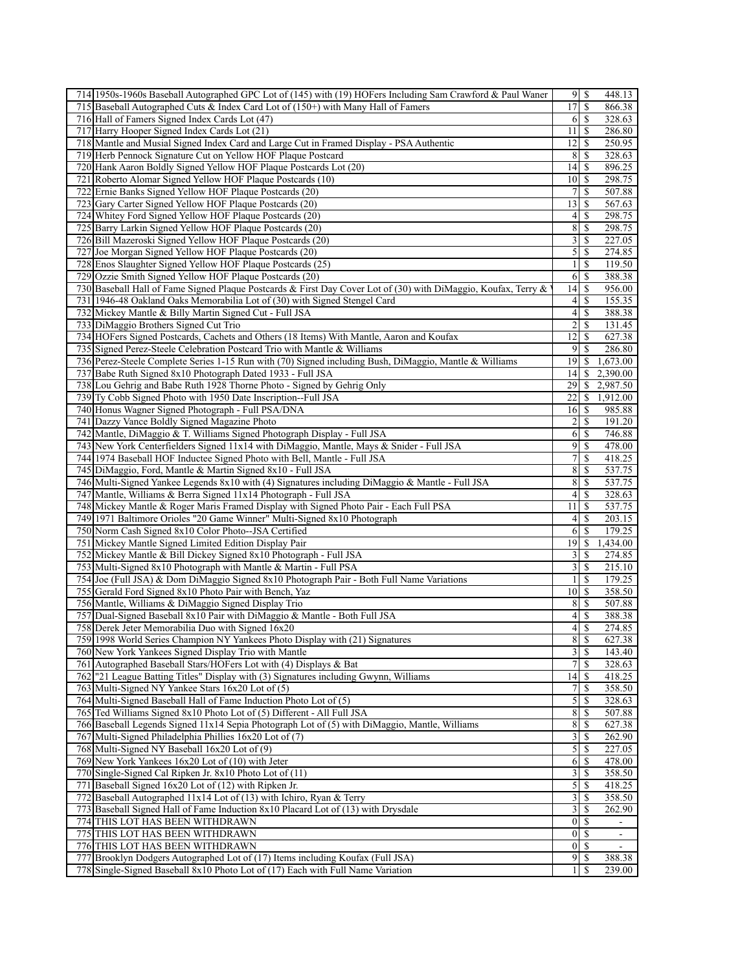| 714 1950s-1960s Baseball Autographed GPC Lot of (145) with (19) HOFers Including Sam Crawford & Paul Waner                                                        |                           | 448.13                            |
|-------------------------------------------------------------------------------------------------------------------------------------------------------------------|---------------------------|-----------------------------------|
| 715 Baseball Autographed Cuts & Index Card Lot of (150+) with Many Hall of Famers                                                                                 | 17                        | \$<br>866.38                      |
| 716 Hall of Famers Signed Index Cards Lot (47)                                                                                                                    | 61                        | $\mathbb{S}$<br>328.63            |
| 717 Harry Hooper Signed Index Cards Lot (21)                                                                                                                      | $11 \mid S$               | 286.80                            |
| 718 Mantle and Musial Signed Index Card and Large Cut in Framed Display - PSA Authentic                                                                           | 12                        | \$<br>250.95                      |
| 719 Herb Pennock Signature Cut on Yellow HOF Plaque Postcard                                                                                                      | 8                         | \$<br>328.63                      |
| Hank Aaron Boldly Signed Yellow HOF Plaque Postcards Lot (20)<br>720                                                                                              | 14                        | -S<br>896.25                      |
| 721 Roberto Alomar Signed Yellow HOF Plaque Postcards (10)                                                                                                        | 10                        | 298.75<br>-S                      |
| 722 Ernie Banks Signed Yellow HOF Plaque Postcards (20)                                                                                                           | $\overline{7}$            | \$<br>507.88                      |
| 723 Gary Carter Signed Yellow HOF Plaque Postcards (20)                                                                                                           | 13                        | <sup>\$</sup><br>567.63           |
| 724 Whitey Ford Signed Yellow HOF Plaque Postcards (20)                                                                                                           | $\frac{4}{3}$             | 298.75<br>\$                      |
| 725 Barry Larkin Signed Yellow HOF Plaque Postcards (20)                                                                                                          | 8                         | \$<br>298.75                      |
|                                                                                                                                                                   |                           |                                   |
| 726 Bill Mazeroski Signed Yellow HOF Plaque Postcards (20)                                                                                                        | $\frac{3}{3}$             | <sup>\$</sup><br>227.05           |
| 727 Joe Morgan Signed Yellow HOF Plaque Postcards (20)                                                                                                            | $\mathfrak{S}$            | $\mathbb{S}$<br>274.85            |
| 728 Enos Slaughter Signed Yellow HOF Plaque Postcards (25)                                                                                                        | $\frac{1}{2}$             | <sup>\$</sup><br>119.50           |
| Ozzie Smith Signed Yellow HOF Plaque Postcards (20)<br>729                                                                                                        | 61                        | -\$<br>388.38                     |
| 730 Baseball Hall of Fame Signed Plaque Postcards & First Day Cover Lot of (30) with DiMaggio, Koufax, Terry &                                                    | 14                        | -S<br>956.00                      |
| 731 1946-48 Oakland Oaks Memorabilia Lot of (30) with Signed Stengel Card                                                                                         | $\vert 4 \vert$           | S<br>155.35                       |
| 732 Mickey Mantle & Billy Martin Signed Cut - Full JSA                                                                                                            | $\left 4\right $          | \$<br>388.38                      |
| 733 DiMaggio Brothers Signed Cut Trio                                                                                                                             | $\overline{2}$            | \$<br>131.45                      |
| 734 HOFers Signed Postcards, Cachets and Others (18 Items) With Mantle, Aaron and Koufax                                                                          | 12                        | <sup>\$</sup><br>627.38           |
| 735 Signed Perez-Steele Celebration Postcard Trio with Mantle & Williams                                                                                          | 9                         | \$<br>286.80                      |
| 736 Perez-Steele Complete Series 1-15 Run with (70) Signed including Bush, DiMaggio, Mantle & Williams                                                            | 19                        | 1,673.00<br>\$.                   |
| 737 Babe Ruth Signed 8x10 Photograph Dated 1933 - Full JSA                                                                                                        | 14                        | 2,390.00<br>\$                    |
| 738 Lou Gehrig and Babe Ruth 1928 Thorne Photo - Signed by Gehrig Only                                                                                            | 29                        | 2,987.50<br>\$                    |
| 739 Ty Cobb Signed Photo with 1950 Date Inscription--Full JSA                                                                                                     | 22                        | S<br>1,912.00                     |
| 740 Honus Wagner Signed Photograph - Full PSA/DNA                                                                                                                 | 16                        | <sup>\$</sup><br>985.88           |
|                                                                                                                                                                   |                           |                                   |
| 741 Dazzy Vance Boldly Signed Magazine Photo                                                                                                                      | 2                         | \$<br>191.20                      |
| 742 Mantle, DiMaggio & T. Williams Signed Photograph Display - Full JSA                                                                                           | 6                         | 746.88<br>\$                      |
| 743 New York Centerfielders Signed 11x14 with DiMaggio, Mantle, Mays & Snider - Full JSA                                                                          | 9                         | 478.00<br>$\mathbb{S}$            |
| 744 1974 Baseball HOF Inductee Signed Photo with Bell, Mantle - Full JSA                                                                                          | $\overline{7}$            | \$<br>418.25                      |
| 745 DiMaggio, Ford, Mantle & Martin Signed 8x10 - Full JSA                                                                                                        | 8                         | -S<br>537.75                      |
| 746 Multi-Signed Yankee Legends 8x10 with (4) Signatures including DiMaggio & Mantle - Full JSA                                                                   | 8                         | $\mathbb{S}$<br>537.75            |
| 747 Mantle, Williams & Berra Signed 11x14 Photograph - Full JSA                                                                                                   | $\frac{4}{3}$             | \$<br>328.63                      |
| 748 Mickey Mantle & Roger Maris Framed Display with Signed Photo Pair - Each Full PSA                                                                             | 11                        | S<br>537.75                       |
| 749 1971 Baltimore Orioles "20 Game Winner" Multi-Signed 8x10 Photograph                                                                                          | $\left 4\right $          | \$<br>203.15                      |
| 750 Norm Cash Signed 8x10 Color Photo--JSA Certified                                                                                                              | 6                         | \$<br>179.25                      |
| 751 Mickey Mantle Signed Limited Edition Display Pair                                                                                                             | $19$ $\sqrt{5}$           | 1,434.00                          |
| 752 Mickey Mantle & Bill Dickey Signed 8x10 Photograph - Full JSA                                                                                                 | 3                         | \$<br>274.85                      |
| 753 Multi-Signed 8x10 Photograph with Mantle & Martin - Full PSA                                                                                                  | $\overline{\mathbf{3}}$   | \$<br>215.10                      |
| 754 Joe (Full JSA) & Dom DiMaggio Signed 8x10 Photograph Pair - Both Full Name Variations                                                                         | 1                         | \$<br>179.25                      |
| 755 Gerald Ford Signed 8x10 Photo Pair with Bench, Yaz                                                                                                            | 10                        | -S<br>358.50                      |
| 756 Mantle, Williams & DiMaggio Signed Display Trio                                                                                                               | 8 <sup>1</sup>            | $\mathbf{\hat{s}}$<br>507.88      |
| 757 Dual-Signed Baseball 8x10 Pair with DiMaggio & Mantle - Both Full JSA                                                                                         | $\left 4\right $          | $\mathbb{S}$<br>388.38            |
| 758 Derek Jeter Memorabilia Duo with Signed 16x20                                                                                                                 | $\left 4\right $          | \$<br>274.85                      |
| 759 1998 World Series Champion NY Yankees Photo Display with (21) Signatures                                                                                      |                           | 8S<br>627.38                      |
| 760 New York Yankees Signed Display Trio with Mantle                                                                                                              | $3 \overline{\smash{)}8}$ |                                   |
|                                                                                                                                                                   |                           | 143.40                            |
| 761 Autographed Baseball Stars/HOFers Lot with (4) Displays & Bat                                                                                                 | 7                         | 328.63<br>-S                      |
| 762 "21 League Batting Titles" Display with (3) Signatures including Gwynn, Williams                                                                              |                           | 418.25                            |
| 763 Multi-Signed NY Yankee Stars 16x20 Lot of (5)                                                                                                                 | $7\vert$                  | -S<br>358.50                      |
| 764 Multi-Signed Baseball Hall of Fame Induction Photo Lot of (5)                                                                                                 | $\overline{5}$            | 328.63<br><sup>\$</sup>           |
| 765 Ted Williams Signed 8x10 Photo Lot of (5) Different - All Full JSA                                                                                            | $\bf 8$                   | 507.88<br>-S                      |
| 766 Baseball Legends Signed 11x14 Sepia Photograph Lot of (5) with DiMaggio, Mantle, Williams                                                                     | 8                         | S<br>627.38                       |
|                                                                                                                                                                   |                           | 262.90<br>-S                      |
| 767 Multi-Signed Philadelphia Phillies 16x20 Lot of (7)                                                                                                           | $\overline{3}$            |                                   |
| 768 Multi-Signed NY Baseball 16x20 Lot of (9)                                                                                                                     | $\overline{5}$            | 227.05<br><sup>\$</sup>           |
| 769 New York Yankees 16x20 Lot of (10) with Jeter                                                                                                                 | 6                         | \$<br>478.00                      |
| 770 Single-Signed Cal Ripken Jr. 8x10 Photo Lot of (11)                                                                                                           | $\overline{\mathbf{3}}$   | 358.50<br>-S                      |
|                                                                                                                                                                   |                           | <sup>\$</sup>                     |
| 771 Baseball Signed 16x20 Lot of (12) with Ripken Jr.<br>772 Baseball Autographed $11x14$ Lot of (13) with Ichiro, Ryan & Terry                                   | $\mathcal{S}$             | 418.25<br>358.50<br>\$.           |
|                                                                                                                                                                   | $\frac{3}{2}$             | <sup>\$</sup>                     |
| 773 Baseball Signed Hall of Fame Induction 8x10 Placard Lot of (13) with Drysdale                                                                                 | $\overline{3}$            | 262.90                            |
| 774 THIS LOT HAS BEEN WITHDRAWN                                                                                                                                   | $0 \mid S$                | $\blacksquare$                    |
| 775 THIS LOT HAS BEEN WITHDRAWN                                                                                                                                   | $\overline{0}$            | -S                                |
| 776 THIS LOT HAS BEEN WITHDRAWN                                                                                                                                   | 0                         | <sup>\$</sup>                     |
| 777 Brooklyn Dodgers Autographed Lot of (17) Items including Koufax (Full JSA)<br>778 Single-Signed Baseball 8x10 Photo Lot of (17) Each with Full Name Variation | $\frac{1}{2}$             | 388.38<br><sup>\$</sup><br>239.00 |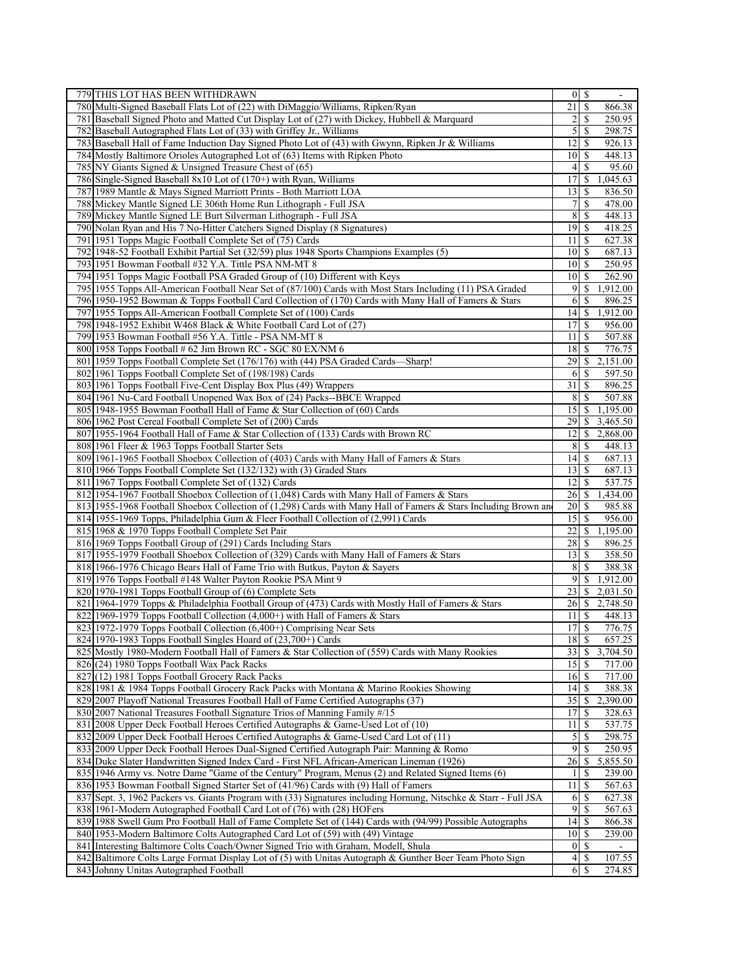| 779 THIS LOT HAS BEEN WITHDRAWN                                                                                                                                                                | $0 \mid S$                                 |
|------------------------------------------------------------------------------------------------------------------------------------------------------------------------------------------------|--------------------------------------------|
| 780 Multi-Signed Baseball Flats Lot of (22) with DiMaggio/Williams, Ripken/Ryan                                                                                                                | 21<br>\$<br>866.38                         |
| 781 Baseball Signed Photo and Matted Cut Display Lot of (27) with Dickey, Hubbell & Marquard                                                                                                   | 2<br>250.95<br>\$                          |
| 782 Baseball Autographed Flats Lot of (33) with Griffey Jr., Williams                                                                                                                          | $\mathfrak{S}$<br><sup>\$</sup><br>298.75  |
| Baseball Hall of Fame Induction Day Signed Photo Lot of (43) with Gwynn, Ripken Jr & Williams<br>7831                                                                                          | 12<br>\$<br>926.13                         |
| 784 Mostly Baltimore Orioles Autographed Lot of (63) Items with Ripken Photo                                                                                                                   | 10<br>448.13<br>S                          |
| 785 NY Giants Signed & Unsigned Treasure Chest of (65)                                                                                                                                         | 95.60<br>$\vert 4 \vert$<br><sup>\$</sup>  |
| 786 Single-Signed Baseball 8x10 Lot of (170+) with Ryan, Williams                                                                                                                              | 17<br>1,045.63<br>\$                       |
|                                                                                                                                                                                                | 13<br>836.50                               |
| 787 1989 Mantle & Mays Signed Marriott Prints - Both Marriott LOA                                                                                                                              | S                                          |
| 788 Mickey Mantle Signed LE 306th Home Run Lithograph - Full JSA                                                                                                                               | 7<br>478.00<br>\$                          |
| 789 Mickey Mantle Signed LE Burt Silverman Lithograph - Full JSA                                                                                                                               | 8<br>448.13<br>\$                          |
| 790 Nolan Ryan and His 7 No-Hitter Catchers Signed Display (8 Signatures)                                                                                                                      | 19S<br>418.25                              |
| 791 1951 Topps Magic Football Complete Set of (75) Cards                                                                                                                                       | 11<br>627.38<br>-S                         |
| 792 1948-52 Football Exhibit Partial Set (32/59) plus 1948 Sports Champions Examples (5)                                                                                                       | -S<br>687.13<br>10                         |
| 793 1951 Bowman Football #32 Y.A. Tittle PSA NM-MT 8                                                                                                                                           | 10<br><sup>\$</sup><br>250.95              |
| 794 1951 Topps Magic Football PSA Graded Group of (10) Different with Keys                                                                                                                     | 10<br>262.90<br>-S                         |
| 795 1955 Topps All-American Football Near Set of (87/100) Cards with Most Stars Including (11) PSA Graded                                                                                      | 9<br>\$<br>1,912.00                        |
| 796 1950-1952 Bowman & Topps Football Card Collection of (170) Cards with Many Hall of Famers & Stars                                                                                          | 6<br>896.25<br>S                           |
| 797 1955 Topps All-American Football Complete Set of (100) Cards                                                                                                                               | 14<br>\$<br>1,912.00                       |
| 798 1948-1952 Exhibit W468 Black & White Football Card Lot of (27)                                                                                                                             | 17<br>S<br>956.00                          |
| 799 1953 Bowman Football #56 Y.A. Tittle - PSA NM-MT 8                                                                                                                                         | S<br>507.88<br>11 <sup> </sup>             |
| 800 1958 Topps Football # 62 Jim Brown RC - SGC 80 EX/NM 6                                                                                                                                     | 18<br>\$<br>776.75                         |
| 801 1959 Topps Football Complete Set (176/176) with (44) PSA Graded Cards-Sharp!                                                                                                               | 29<br>2,151.00<br>\$                       |
|                                                                                                                                                                                                |                                            |
| 802 1961 Topps Football Complete Set of (198/198) Cards                                                                                                                                        | 597.50<br>6<br>\$                          |
| 803 1961 Topps Football Five-Cent Display Box Plus (49) Wrappers                                                                                                                               | 31<br>896.25<br>\$                         |
| 804 1961 Nu-Card Football Unopened Wax Box of (24) Packs--BBCE Wrapped                                                                                                                         | 8<br>507.88<br>S                           |
| 805 1948-1955 Bowman Football Hall of Fame & Star Collection of (60) Cards                                                                                                                     | 15<br>1,195.00<br>\$                       |
| 806 1962 Post Cereal Football Complete Set of (200) Cards                                                                                                                                      | 3,465.50<br>29<br>\$                       |
| 807 1955-1964 Football Hall of Fame & Star Collection of (133) Cards with Brown RC                                                                                                             | $12 \mid$ \$<br>2,868.00                   |
| 808 1961 Fleer & 1963 Topps Football Starter Sets                                                                                                                                              | 8<br>448.13<br>-S                          |
| 809 1961-1965 Football Shoebox Collection of (403) Cards with Many Hall of Famers & Stars                                                                                                      | 14<br><sup>\$</sup><br>687.13              |
| 810 1966 Topps Football Complete Set (132/132) with (3) Graded Stars                                                                                                                           | 13<br><sup>\$</sup><br>687.13              |
| 811 1967 Topps Football Complete Set of (132) Cards                                                                                                                                            | 12<br><sup>\$</sup><br>537.75              |
| 812 1954-1967 Football Shoebox Collection of (1,048) Cards with Many Hall of Famers & Stars                                                                                                    | 26<br>\$<br>1,434.00                       |
| 813 1955-1968 Football Shoebox Collection of (1,298) Cards with Many Hall of Famers & Stars Including Brown an                                                                                 | 20<br>985.88<br>S                          |
| 814 1955-1969 Topps, Philadelphia Gum & Fleer Football Collection of (2,991) Cards                                                                                                             | 15<br>956.00<br>\$                         |
| 815 1968 & 1970 Topps Football Complete Set Pair                                                                                                                                               | 22<br>1,195.00<br>\$                       |
| 816 1969 Topps Football Group of (291) Cards Including Stars                                                                                                                                   | 28<br>896.25<br>-S                         |
| 817 1955-1979 Football Shoebox Collection of (329) Cards with Many Hall of Famers & Stars                                                                                                      | 13<br>$\mathbb{S}$<br>358.50               |
| 818 1966-1976 Chicago Bears Hall of Fame Trio with Butkus, Payton & Sayers                                                                                                                     | 8<br>388.38<br>\$                          |
| 819 1976 Topps Football #148 Walter Payton Rookie PSA Mint 9                                                                                                                                   | $\overline{9}$<br>1,912.00<br>\$           |
| 820 1970-1981 Topps Football Group of (6) Complete Sets                                                                                                                                        | \$<br>2,031.50<br>23                       |
| 821 1964-1979 Topps & Philadelphia Football Group of (473) Cards with Mostly Hall of Famers & Stars                                                                                            | 26<br>$\mathbb{S}$<br>2,748.50             |
| 822 1969-1979 Topps Football Collection (4,000+) with Hall of Famers & Stars                                                                                                                   | S<br>448.13<br>11                          |
| 823 1972-1979 Topps Football Collection (6,400+) Comprising Near Sets                                                                                                                          | \$<br>17<br>776.75                         |
| 824 1970-1983 Topps Football Singles Hoard of (23,700+) Cards                                                                                                                                  | 18S<br>657.25                              |
| 825 Mostly 1980-Modern Football Hall of Famers & Star Collection of (559) Cards with Many Rookies                                                                                              | 33<br>3,704.50<br><sup>\$</sup>            |
| 826(24) 1980 Topps Football Wax Pack Racks                                                                                                                                                     | $15$ $\sqrt{5}$<br>717.00                  |
|                                                                                                                                                                                                |                                            |
| 827 (12) 1981 Topps Football Grocery Rack Packs                                                                                                                                                | 16<br>-S<br>717.00                         |
| 828 1981 & 1984 Topps Football Grocery Rack Packs with Montana & Marino Rookies Showing                                                                                                        | 14<br>388.38<br><sup>\$</sup>              |
| 829 2007 Playoff National Treasures Football Hall of Fame Certified Autographs (37)                                                                                                            |                                            |
|                                                                                                                                                                                                | 35<br>2,390.00<br>\$.                      |
| 830 2007 National Treasures Football Signature Trios of Manning Family #/15                                                                                                                    | 17<br>328.63<br>S                          |
| 831 2008 Upper Deck Football Heroes Certified Autographs & Game-Used Lot of (10)                                                                                                               | 537.75<br>11<br>S                          |
| 832 2009 Upper Deck Football Heroes Certified Autographs & Game-Used Card Lot of (11)                                                                                                          | 5<br>298.75<br>S                           |
| 833 2009 Upper Deck Football Heroes Dual-Signed Certified Autograph Pair: Manning & Romo                                                                                                       | 9<br><sup>\$</sup><br>250.95               |
| 834 Duke Slater Handwritten Signed Index Card - First NFL African-American Lineman (1926)                                                                                                      | 26<br>\$<br>5,855.50                       |
| 835 1946 Army vs. Notre Dame "Game of the Century" Program, Menus (2) and Related Signed Items (6)                                                                                             | 239.00<br>\$<br>1                          |
| 836 1953 Bowman Football Signed Starter Set of (41/96) Cards with (9) Hall of Famers                                                                                                           | 11<br><sup>\$</sup><br>567.63              |
| 837 Sept. 3, 1962 Packers vs. Giants Program with (33) Signatures including Hornung, Nitschke & Starr - Full JSA                                                                               | 6<br>\$<br>627.38                          |
| 838 1961-Modern Autographed Football Card Lot of (76) with (28) HOFers                                                                                                                         | 9<br>\$<br>567.63                          |
|                                                                                                                                                                                                | 14<br>S<br>866.38                          |
| 839 1988 Swell Gum Pro Football Hall of Fame Complete Set of (144) Cards with (94/99) Possible Autographs<br>840 1953-Modern Baltimore Colts Autographed Card Lot of (59) with (49) Vintage    | 239.00<br>10<br>S                          |
|                                                                                                                                                                                                | <sup>\$</sup><br>$\vert 0 \vert$           |
| 841 Interesting Baltimore Colts Coach/Owner Signed Trio with Graham, Modell, Shula<br>842 Baltimore Colts Large Format Display Lot of (5) with Unitas Autograph & Gunther Beer Team Photo Sign | $\left 4\right $<br>$\mathbb{S}$<br>107.55 |
| 843 Johnny Unitas Autographed Football                                                                                                                                                         | <sup>\$</sup><br>6<br>274.85               |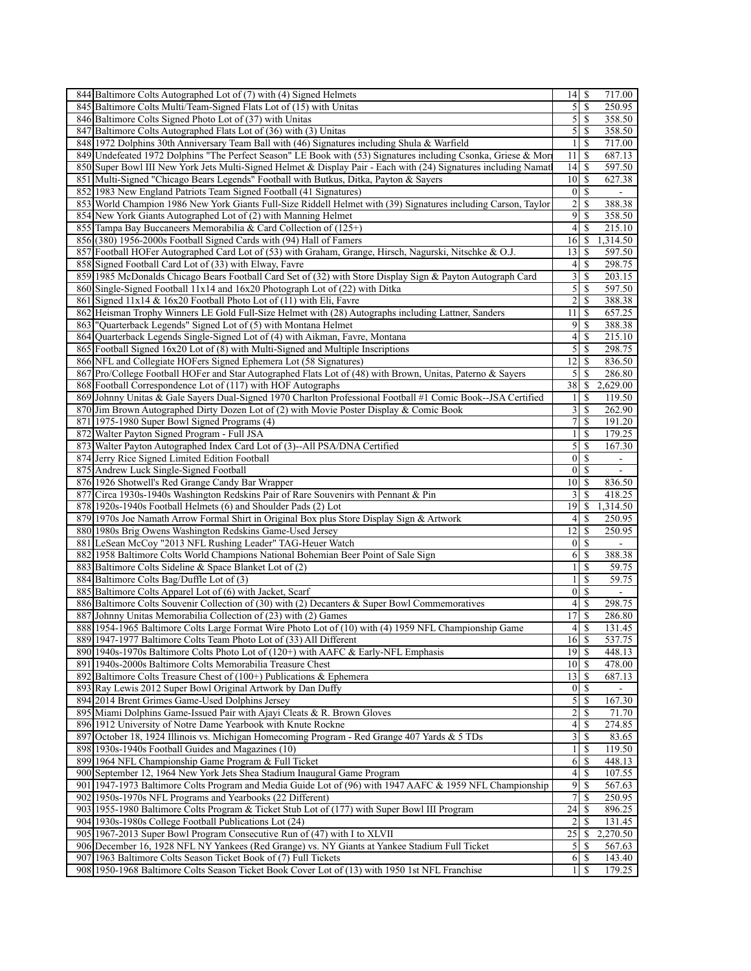|     | 844 Baltimore Colts Autographed Lot of (7) with (4) Signed Helmets                                               |                         |               | 717.00                   |
|-----|------------------------------------------------------------------------------------------------------------------|-------------------------|---------------|--------------------------|
|     | 845 Baltimore Colts Multi/Team-Signed Flats Lot of (15) with Unitas                                              | 5 <sup>1</sup>          | <sup>\$</sup> | 250.95                   |
|     | 846 Baltimore Colts Signed Photo Lot of (37) with Unitas                                                         | $\mathfrak{S}$          | $\mathbb{S}$  | 358.50                   |
|     | 847 Baltimore Colts Autographed Flats Lot of (36) with (3) Unitas                                                | $\mathfrak{S}$          | <sup>\$</sup> | 358.50                   |
|     | 848 1972 Dolphins 30th Anniversary Team Ball with (46) Signatures including Shula & Warfield                     | $\mathbf{1}$            | \$            | 717.00                   |
|     | 849 Undefeated 1972 Dolphins "The Perfect Season" LE Book with (53) Signatures including Csonka, Griese & Mori   | 11                      | <sup>\$</sup> | 687.13                   |
|     | 850 Super Bowl III New York Jets Multi-Signed Helmet & Display Pair - Each with (24) Signatures including Namatl | 4                       | \$            | 597.50                   |
|     | 851 Multi-Signed "Chicago Bears Legends" Football with Butkus, Ditka, Payton & Sayers                            | 10 <sup>1</sup>         | <sup>\$</sup> | 627.38                   |
|     | 852 1983 New England Patriots Team Signed Football (41 Signatures)                                               | $\overline{0}$          | <sup>\$</sup> | $\blacksquare$           |
|     | 853 World Champion 1986 New York Giants Full-Size Riddell Helmet with (39) Signatures including Carson, Taylor   | $\overline{c}$          | <sup>\$</sup> | 388.38                   |
|     | 854 New York Giants Autographed Lot of (2) with Manning Helmet                                                   | 9                       | \$            | 358.50                   |
|     | 855 Tampa Bay Buccaneers Memorabilia & Card Collection of (125+)                                                 | $\overline{4}$          | S             | 215.10                   |
|     | 856 (380) 1956-2000s Football Signed Cards with (94) Hall of Famers                                              | 16                      | S             | 1,314.50                 |
|     | 857 Football HOFer Autographed Card Lot of (53) with Graham, Grange, Hirsch, Nagurski, Nitschke & O.J.           | 13                      | \$            | 597.50                   |
|     | 858 Signed Football Card Lot of (33) with Elway, Favre                                                           | 4                       | \$            | 298.75                   |
|     |                                                                                                                  | $\overline{\mathbf{3}}$ | $\mathbb{S}$  | 203.15                   |
|     | 859 1985 McDonalds Chicago Bears Football Card Set of (32) with Store Display Sign & Payton Autograph Card       |                         |               |                          |
|     | 860 Single-Signed Football 11x14 and 16x20 Photograph Lot of (22) with Ditka                                     | 5                       | \$            | 597.50                   |
|     | 861 Signed 11x14 & 16x20 Football Photo Lot of (11) with Eli, Favre                                              | 2                       | \$            | 388.38                   |
| 862 | Heisman Trophy Winners LE Gold Full-Size Helmet with (28) Autographs including Lattner, Sanders                  | 11                      | \$            | 657.25                   |
|     | 863   "Quarterback Legends" Signed Lot of (5) with Montana Helmet                                                | $\overline{9}$          | \$            | 388.38                   |
|     | 864 Quarterback Legends Single-Signed Lot of (4) with Aikman, Favre, Montana                                     | 4                       | S             | 215.10                   |
|     | 865 Football Signed 16x20 Lot of (8) with Multi-Signed and Multiple Inscriptions                                 | $\mathfrak{S}$          | \$            | 298.75                   |
|     | 866 NFL and Collegiate HOFers Signed Ephemera Lot (58 Signatures)                                                | 12                      | \$            | 836.50                   |
|     | 867 Pro/College Football HOFer and Star Autographed Flats Lot of (48) with Brown, Unitas, Paterno & Sayers       | 5                       | S             | 286.80                   |
|     | 868 Football Correspondence Lot of (117) with HOF Autographs                                                     | 38                      | \$            | 2,629.00                 |
|     | 869 Johnny Unitas & Gale Sayers Dual-Signed 1970 Charlton Professional Football #1 Comic Book--JSA Certified     | 1                       | <b>S</b>      | 119.50                   |
|     | 870 Jim Brown Autographed Dirty Dozen Lot of (2) with Movie Poster Display & Comic Book                          | $\overline{\mathbf{3}}$ | <sup>\$</sup> | 262.90                   |
|     | 871 1975-1980 Super Bowl Signed Programs (4)                                                                     | 7                       | \$            | 191.20                   |
|     | 872 Walter Payton Signed Program - Full JSA                                                                      | $\mathbf{1}$            | \$            | 179.25                   |
|     | 873 Walter Payton Autographed Index Card Lot of (3)--All PSA/DNA Certified                                       | 5                       | \$            | 167.30                   |
|     | 874 Jerry Rice Signed Limited Edition Football                                                                   | $\boldsymbol{0}$        | S             | $\overline{\phantom{a}}$ |
|     | 875 Andrew Luck Single-Signed Football                                                                           |                         | $0\sqrt{S}$   |                          |
|     | 876 1926 Shotwell's Red Grange Candy Bar Wrapper                                                                 | 10 <sup>1</sup>         | -S            | 836.50                   |
|     | 877 Circa 1930s-1940s Washington Redskins Pair of Rare Souvenirs with Pennant & Pin                              | 3                       | \$            | 418.25                   |
|     | 878 1920s-1940s Football Helmets (6) and Shoulder Pads (2) Lot                                                   | 19                      | \$            | 1,314.50                 |
|     | 879 1970s Joe Namath Arrow Formal Shirt in Original Box plus Store Display Sign & Artwork                        | $\left 4\right $        | -S            | 250.95                   |
|     | 880 1980s Brig Owens Washington Redskins Game-Used Jersey                                                        | 12                      | \$            | 250.95                   |
|     | 881 LeSean McCoy "2013 NFL Rushing Leader" TAG-Heuer Watch                                                       | $\vert 0 \vert$         | <sup>\$</sup> |                          |
|     | 882 1958 Baltimore Colts World Champions National Bohemian Beer Point of Sale Sign                               | 6                       | <sup>\$</sup> | 388.38                   |
|     |                                                                                                                  | 1                       | \$            |                          |
|     | 883 Baltimore Colts Sideline & Space Blanket Lot of (2)                                                          |                         |               | 59.75                    |
|     | 884 Baltimore Colts Bag/Duffle Lot of (3)                                                                        | $\mathbf{1}$            | \$            | 59.75                    |
|     | 885 Baltimore Colts Apparel Lot of (6) with Jacket, Scarf                                                        | $\boldsymbol{0}$        | \$            | $\overline{\phantom{a}}$ |
|     | 886 Baltimore Colts Souvenir Collection of (30) with (2) Decanters & Super Bowl Commemoratives                   | $\left 4\right $        | $\mathbb{S}$  | 298.75                   |
|     | 887 Johnny Unitas Memorabilia Collection of (23) with (2) Games                                                  | 17                      | \$            | 286.80                   |
|     | 888 1954-1965 Baltimore Colts Large Format Wire Photo Lot of (10) with (4) 1959 NFL Championship Game            | 4                       | \$            | 131.45                   |
|     | 889 1947-1977 Baltimore Colts Team Photo Lot of (33) All Different                                               | 16S                     |               | 537.75                   |
|     | 890 1940s-1970s Baltimore Colts Photo Lot of (120+) with AAFC & Early-NFL Emphasis                               | $\overline{19}$ \$      |               | 448.13                   |
|     | 891 1940s-2000s Baltimore Colts Memorabilia Treasure Chest                                                       | 10 <sup> </sup>         | -S            | 478.00                   |
|     | 892 Baltimore Colts Treasure Chest of $(100+)$ Publications & Ephemera                                           | 13                      | \$            | 687.13                   |
|     | 893 Ray Lewis 2012 Super Bowl Original Artwork by Dan Duffy                                                      | $\boldsymbol{0}$        | <sup>\$</sup> |                          |
|     | 894 2014 Brent Grimes Game-Used Dolphins Jersey                                                                  | 5                       | S             | 167.30                   |
|     | 895 Miami Dolphins Game-Issued Pair with Ajayi Cleats & R. Brown Gloves                                          | $\overline{\mathbf{c}}$ | \$            | 71.70                    |
|     | 896 1912 University of Notre Dame Yearbook with Knute Rockne                                                     | $\left 4\right $        | -S            | 274.85                   |
|     | 897 October 18, 1924 Illinois vs. Michigan Homecoming Program - Red Grange 407 Yards & 5 TDs                     | 3                       | \$            | 83.65                    |
|     | 898 1930s-1940s Football Guides and Magazines (10)                                                               | $\mathbf{1}$            | \$            | 119.50                   |
|     | 899 1964 NFL Championship Game Program & Full Ticket                                                             | 6                       | -S            | 448.13                   |
|     | 900 September 12, 1964 New York Jets Shea Stadium Inaugural Game Program                                         | 4                       | S             | 107.55                   |
|     | 901 1947-1973 Baltimore Colts Program and Media Guide Lot of (96) with 1947 AAFC & 1959 NFL Championship         | $\overline{9}$          | <sup>\$</sup> | 567.63                   |
|     | 902 1950s-1970s NFL Programs and Yearbooks (22 Different)                                                        | 7                       | \$            | 250.95                   |
|     | 903 1955-1980 Baltimore Colts Program & Ticket Stub Lot of (177) with Super Bowl III Program                     | 24                      | S             | 896.25                   |
|     | 904 1930s-1980s College Football Publications Lot (24)                                                           | $\overline{2}$          | \$            | 131.45                   |
|     | 905 1967-2013 Super Bowl Program Consecutive Run of (47) with I to XLVII                                         | 25                      | \$            | 2,270.50                 |
|     | 906 December 16, 1928 NFL NY Yankees (Red Grange) vs. NY Giants at Yankee Stadium Full Ticket                    | 5                       | S             | 567.63                   |
|     | 907 1963 Baltimore Colts Season Ticket Book of (7) Full Tickets                                                  | 6                       | -S            | 143.40                   |
|     |                                                                                                                  |                         |               |                          |
|     | 908 1950-1968 Baltimore Colts Season Ticket Book Cover Lot of (13) with 1950 1st NFL Franchise                   | 1                       | S             | 179.25                   |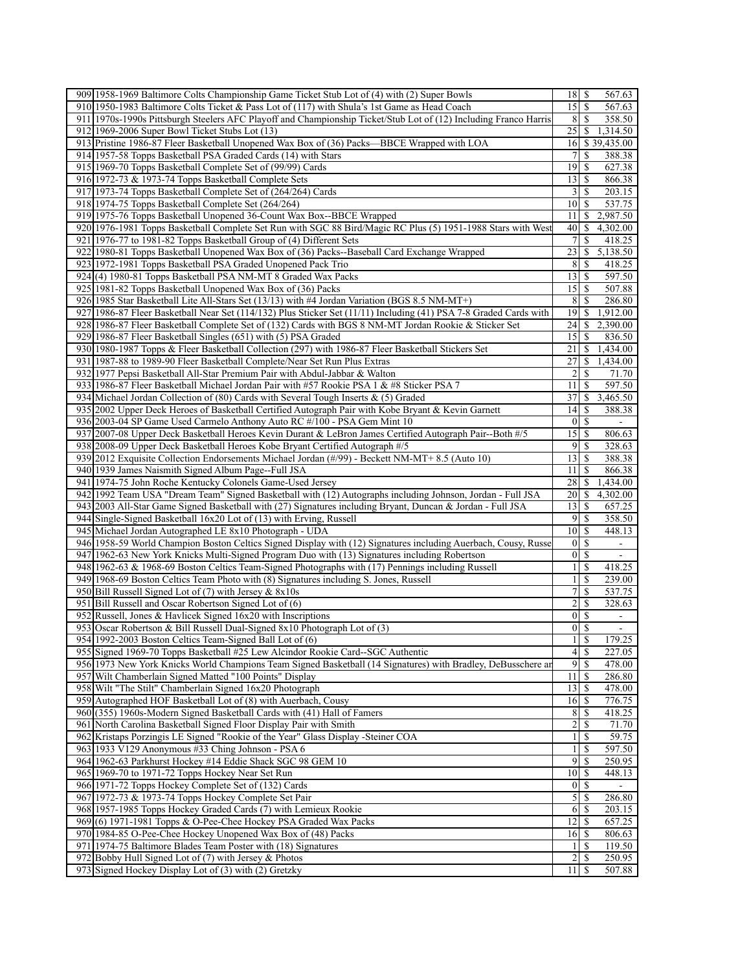| 909 1958-1969 Baltimore Colts Championship Game Ticket Stub Lot of (4) with (2) Super Bowls                          |                         | 567.63                           |
|----------------------------------------------------------------------------------------------------------------------|-------------------------|----------------------------------|
| 910 1950-1983 Baltimore Colts Ticket & Pass Lot of (117) with Shula's 1st Game as Head Coach                         | $15$ $\sqrt{5}$         | 567.63                           |
| 911 1970s-1990s Pittsburgh Steelers AFC Playoff and Championship Ticket/Stub Lot of (12) Including Franco Harris     | 8                       | 358.50<br>-S                     |
| 912 1969-2006 Super Bowl Ticket Stubs Lot (13)                                                                       |                         | 1,314.50                         |
| 913 Pristine 1986-87 Fleer Basketball Unopened Wax Box of (36) Packs—BBCE Wrapped with LOA                           |                         | 16 \$ 39,435.00                  |
| 914 1957-58 Topps Basketball PSA Graded Cards (14) with Stars                                                        | 7                       | \$<br>388.38                     |
| 915 1969-70 Topps Basketball Complete Set of (99/99) Cards                                                           | $19$ $\sqrt{5}$         | 627.38                           |
| 916 1972-73 & 1973-74 Topps Basketball Complete Sets                                                                 | 13                      | -S<br>866.38                     |
| 917 1973-74 Topps Basketball Complete Set of (264/264) Cards                                                         |                         | 203.15                           |
| 918 1974-75 Topps Basketball Complete Set (264/264)                                                                  | $10\vert S$             | 537.75                           |
| 919 1975-76 Topps Basketball Unopened 36-Count Wax Box--BBCE Wrapped                                                 | 11                      | 2,987.50<br>S.                   |
| 920 1976-1981 Topps Basketball Complete Set Run with SGC 88 Bird/Magic RC Plus (5) 1951-1988 Stars with West         | 40                      | 4,302.00<br><sup>\$</sup>        |
| 921 1976-77 to 1981-82 Topps Basketball Group of (4) Different Sets                                                  | 7 <sup>1</sup>          | <sup>\$</sup><br>418.25          |
| 922 1980-81 Topps Basketball Unopened Wax Box of (36) Packs--Baseball Card Exchange Wrapped                          | 23                      | 5,138.50<br>\$                   |
| 923 1972-1981 Topps Basketball PSA Graded Unopened Pack Trio                                                         | 8 <sup>l</sup>          | 418.25<br>-S                     |
| 924(4) 1980-81 Topps Basketball PSA NM-MT 8 Graded Wax Packs                                                         | $13$ $\sqrt{5}$         | 597.50                           |
| 925 1981-82 Topps Basketball Unopened Wax Box of (36) Packs                                                          | $15$ $\sqrt{5}$         | 507.88                           |
| 926 1985 Star Basketball Lite All-Stars Set (13/13) with #4 Jordan Variation (BGS 8.5 NM-MT+)                        | 8                       | -S<br>286.80                     |
| 927<br>1986-87 Fleer Basketball Near Set (114/132) Plus Sticker Set (11/11) Including (41) PSA 7-8 Graded Cards with | 19                      | 1,912.00<br><sup>\$</sup>        |
| 928 1986-87 Fleer Basketball Complete Set of (132) Cards with BGS 8 NM-MT Jordan Rookie & Sticker Set                | 24                      | 2,390.00<br>-S                   |
| 929 1986-87 Fleer Basketball Singles (651) with (5) PSA Graded                                                       | 15                      | -S<br>836.50                     |
| 930 1980-1987 Topps & Fleer Basketball Collection (297) with 1986-87 Fleer Basketball Stickers Set                   | 21                      | 1,434.00<br>\$                   |
| 931 1987-88 to 1989-90 Fleer Basketball Complete/Near Set Run Plus Extras                                            | 27                      | S.<br>1,434.00                   |
| 932 1977 Pepsi Basketball All-Star Premium Pair with Abdul-Jabbar & Walton                                           | $\overline{2}$          | <sup>S</sup><br>71.70            |
| 933 1986-87 Fleer Basketball Michael Jordan Pair with #57 Rookie PSA 1 & #8 Sticker PSA 7                            | 11                      | 597.50<br><sup>\$</sup>          |
| 934 Michael Jordan Collection of (80) Cards with Several Tough Inserts & (5) Graded                                  | 37                      | -S<br>3,465.50                   |
|                                                                                                                      |                         | -S                               |
| 935 2002 Upper Deck Heroes of Basketball Certified Autograph Pair with Kobe Bryant & Kevin Garnett                   | 14                      | 388.38                           |
| 936 2003-04 SP Game Used Carmelo Anthony Auto RC #/100 - PSA Gem Mint 10                                             | 0 <br>$15 \mid S$       | <sup>\$</sup>                    |
| 937 2007-08 Upper Deck Basketball Heroes Kevin Durant & LeBron James Certified Autograph Pair--Both #/5              |                         | 806.63                           |
| 938 2008-09 Upper Deck Basketball Heroes Kobe Bryant Certified Autograph #/5                                         | $9$ $\sqrt{5}$          | 328.63                           |
| 939 [2012 Exquisite Collection Endorsements Michael Jordan (#/99) - Beckett NM-MT+ 8.5 (Auto 10)                     | 13                      | S<br>388.38                      |
| 940 1939 James Naismith Signed Album Page--Full JSA                                                                  | 11                      | 866.38<br>-S                     |
| 941 1974-75 John Roche Kentucky Colonels Game-Used Jersey                                                            | 28                      | <sup>\$</sup><br>1,434.00        |
| 942 1992 Team USA "Dream Team" Signed Basketball with (12) Autographs including Johnson, Jordan - Full JSA           | $20 \mid S$             | 4,302.00                         |
| 943 2003 All-Star Game Signed Basketball with (27) Signatures including Bryant, Duncan & Jordan - Full JSA           | 13                      | -S<br>657.25                     |
| 944 Single-Signed Basketball 16x20 Lot of (13) with Erving, Russell                                                  | $9$ $\sqrt{5}$          | 358.50                           |
| 945 Michael Jordan Autographed LE 8x10 Photograph - UDA                                                              | $10\vert S$             | 448.13                           |
| 946 1958-59 World Champion Boston Celtics Signed Display with (12) Signatures including Auerbach, Cousy, Russe       | 0                       | S<br>$\blacksquare$              |
|                                                                                                                      |                         | <sup>\$</sup><br>$\blacksquare$  |
| 947 1962-63 New York Knicks Multi-Signed Program Duo with (13) Signatures including Robertson                        | $\vert 0 \vert$         |                                  |
| 948 1962-63 & 1968-69 Boston Celtics Team-Signed Photographs with (17) Pennings including Russell                    | $\mathbf{1}$            | -S<br>418.25                     |
| 949 1968-69 Boston Celtics Team Photo with (8) Signatures including S. Jones, Russell                                | $\mathbf{1}$            | -S<br>239.00                     |
| 950 Bill Russell Signed Lot of (7) with Jersey & 8x10s                                                               | 7                       | \$<br>537.75                     |
| 951 Bill Russell and Oscar Robertson Signed Lot of (6)                                                               | $\overline{\mathbf{c}}$ | \$<br>328.63                     |
| 952 Russell, Jones & Havlicek Signed 16x20 with Inscriptions                                                         | $0 \mid S$              | $\blacksquare$                   |
| 953 Oscar Robertson & Bill Russell Dual-Signed 8x10 Photograph Lot of (3)                                            | $\vert 0 \vert$         | - \$<br>$\overline{\phantom{a}}$ |
| 954 1992-2003 Boston Celtics Team-Signed Ball Lot of (6)                                                             | $\overline{1}$ s        | 179.25                           |
| 955 Signed 1969-70 Topps Basketball #25 Lew Alcindor Rookie Card-SGC Authentic                                       | 4s                      | 227.05                           |
| 956 1973 New York Knicks World Champions Team Signed Basketball (14 Signatures) with Bradley, DeBusschere an         | $9$ $\sqrt{3}$          | 478.00                           |
| 957 Wilt Chamberlain Signed Matted "100 Points" Display                                                              | 11                      | 286.80<br>-S                     |
| 958 Wilt "The Stilt" Chamberlain Signed 16x20 Photograph                                                             | $13$ $\sqrt{5}$         | 478.00                           |
| 959 Autographed HOF Basketball Lot of (8) with Auerbach, Cousy                                                       | 16                      | 776.75<br>-S                     |
| 960(355) 1960s-Modern Signed Basketball Cards with (41) Hall of Famers                                               | 8                       | -S<br>418.25                     |
| 961 North Carolina Basketball Signed Floor Display Pair with Smith                                                   | $\overline{2}$          | 71.70<br>S                       |
| 962 Kristaps Porzingis LE Signed "Rookie of the Year" Glass Display -Steiner COA                                     | 1                       | 59.75<br>-S                      |
| 963 1933 V129 Anonymous #33 Ching Johnson - PSA 6                                                                    | 1                       | 597.50                           |
| 964 1962-63 Parkhurst Hockey #14 Eddie Shack SGC 98 GEM 10                                                           | 9                       | 250.95<br>-S                     |
| 965 1969-70 to 1971-72 Topps Hockey Near Set Run                                                                     | 10                      | -S<br>448.13                     |
| 966 1971-72 Topps Hockey Complete Set of (132) Cards                                                                 | 01S                     |                                  |
| 967 1972-73 & 1973-74 Topps Hockey Complete Set Pair                                                                 | 5                       | -S<br>286.80                     |
| 968 1957-1985 Topps Hockey Graded Cards (7) with Lemieux Rookie                                                      | 6                       | 203.15<br>-S                     |
| 969 (6) 1971-1981 Topps & O-Pee-Chee Hockey PSA Graded Wax Packs                                                     | 12                      | 657.25<br>-S                     |
| 97011984-85 O-Pee-Chee Hockey Unopened Wax Box of (48) Packs                                                         | 16                      | 806.63<br>-S                     |
| 971 1974-75 Baltimore Blades Team Poster with (18) Signatures                                                        | 1                       | <sup>\$</sup><br>119.50          |
| 972 Bobby Hull Signed Lot of (7) with Jersey & Photos<br>973 Signed Hockey Display Lot of (3) with (2) Gretzky       | 2                       | 250.95<br>-S                     |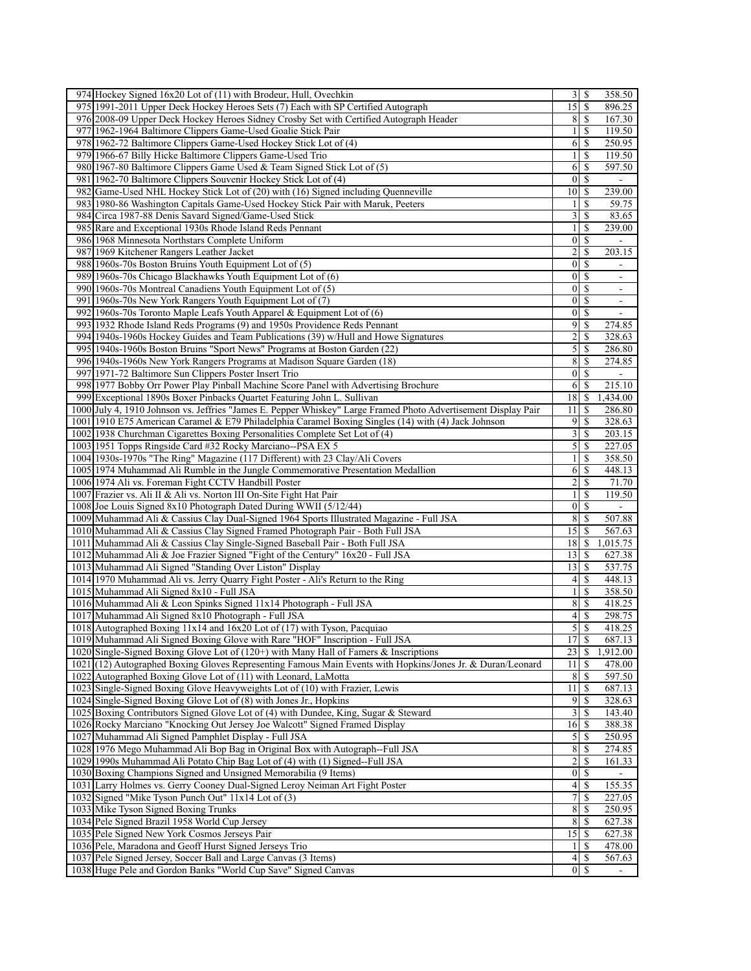| 974 Hockey Signed 16x20 Lot of (11) with Brodeur, Hull, Ovechkin                                                                  | 358.50                                                       |
|-----------------------------------------------------------------------------------------------------------------------------------|--------------------------------------------------------------|
| 975 1991-2011 Upper Deck Hockey Heroes Sets (7) Each with SP Certified Autograph                                                  | $\overline{15}$<br>\$<br>896.25                              |
| 976 2008-09 Upper Deck Hockey Heroes Sidney Crosby Set with Certified Autograph Header                                            | 8<br>167.30<br>S                                             |
| 977 1962-1964 Baltimore Clippers Game-Used Goalie Stick Pair                                                                      | 119.50<br>$\frac{1}{2}$<br>-S                                |
| 978 1962-72 Baltimore Clippers Game-Used Hockey Stick Lot of (4)                                                                  | 6<br>\$<br>250.95                                            |
| 979 1966-67 Billy Hicke Baltimore Clippers Game-Used Trio                                                                         | $\mathbf{1}$<br>119.50<br>\$                                 |
| 980 1967-80 Baltimore Clippers Game Used & Team Signed Stick Lot of (5)                                                           | 597.50<br>6<br>\$                                            |
| 981 1962-70 Baltimore Clippers Souvenir Hockey Stick Lot of (4)                                                                   | $\mathbf{0}$<br>\$                                           |
| 982 Game-Used NHL Hockey Stick Lot of (20) with (16) Signed including Quenneville                                                 | 10<br>239.00<br>S                                            |
| 983 1980-86 Washington Capitals Game-Used Hockey Stick Pair with Maruk, Peeters                                                   | \$<br>59.75<br>1                                             |
| 984 Circa 1987-88 Denis Savard Signed/Game-Used Stick                                                                             | 3<br>\$<br>83.65                                             |
| 985 Rare and Exceptional 1930s Rhode Island Reds Pennant                                                                          | 239.00<br>$\mathbf{1}$<br>\$                                 |
| 986 1968 Minnesota Northstars Complete Uniform                                                                                    | $\vert 0 \vert$<br>-S<br>$\overline{\phantom{a}}$            |
| 987 1969 Kitchener Rangers Leather Jacket                                                                                         | 2<br>\$<br>203.15                                            |
| 988 1960s-70s Boston Bruins Youth Equipment Lot of (5)                                                                            | $\boldsymbol{0}$<br>\$                                       |
| 989 1960s-70s Chicago Blackhawks Youth Equipment Lot of (6)                                                                       | $\vert 0 \vert$<br><sup>\$</sup><br>$\overline{\phantom{a}}$ |
| 990 1960s-70s Montreal Canadiens Youth Equipment Lot of (5)                                                                       | $\vert 0 \vert$<br><sup>\$</sup><br>$\overline{\phantom{a}}$ |
|                                                                                                                                   | $\mathbf{0}$<br>S                                            |
| 991 1960s-70s New York Rangers Youth Equipment Lot of (7)                                                                         | $\mathbf S$                                                  |
| 992 1960s-70s Toronto Maple Leafs Youth Apparel & Equipment Lot of (6)                                                            | $\overline{0}$<br>$\overline{\phantom{a}}$                   |
| 993 1932 Rhode Island Reds Programs (9) and 1950s Providence Reds Pennant                                                         | 9<br>\$<br>274.85                                            |
| 994 1940s-1960s Hockey Guides and Team Publications (39) w/Hull and Howe Signatures                                               | 2<br>S<br>328.63                                             |
| 995 1940s-1960s Boston Bruins "Sport News" Programs at Boston Garden (22)                                                         | 5<br>\$<br>286.80                                            |
| 996 1940s-1960s New York Rangers Programs at Madison Square Garden (18)                                                           | 8<br>S<br>274.85                                             |
| 997 1971-72 Baltimore Sun Clippers Poster Insert Trio                                                                             | <sup>\$</sup><br>$\vert 0 \vert$                             |
| 998 1977 Bobby Orr Power Play Pinball Machine Score Panel with Advertising Brochure                                               | 6<br>215.10<br>\$                                            |
| 999 Exceptional 1890s Boxer Pinbacks Quartet Featuring John L. Sullivan                                                           | 18<br>1,434.00<br>-S                                         |
| 1000 July 4, 1910 Johnson vs. Jeffries "James E. Pepper Whiskey" Large Framed Photo Advertisement Display Pair                    | 11<br>\$<br>286.80                                           |
| 1001 1910 E75 American Caramel & E79 Philadelphia Caramel Boxing Singles (14) with (4) Jack Johnson                               | 9<br>\$<br>328.63                                            |
| 1002 1938 Churchman Cigarettes Boxing Personalities Complete Set Lot of (4)                                                       | $\overline{\mathbf{3}}$<br><sup>\$</sup><br>203.15           |
| 1003 1951 Topps Ringside Card #32 Rocky Marciano--PSA EX 5                                                                        | $\mathcal{S}$<br>$\frac{227.05}{ }$<br>-S                    |
| 1004 1930s-1970s "The Ring" Magazine (117 Different) with 23 Clay/Ali Covers                                                      | \$<br>358.50<br>1                                            |
| 1005 1974 Muhammad Ali Rumble in the Jungle Commemorative Presentation Medallion                                                  | 6<br>\$<br>448.13                                            |
| 1006 1974 Ali vs. Foreman Fight CCTV Handbill Poster                                                                              | $\overline{\mathbf{c}}$<br><sup>\$</sup><br>71.70            |
| 1007 Frazier vs. Ali II & Ali vs. Norton III On-Site Fight Hat Pair                                                               | $\frac{1}{2}$<br>\$<br>119.50                                |
| 1008 Joe Louis Signed 8x10 Photograph Dated During WWII (5/12/44)                                                                 | $\vert 0 \vert$<br><sup>\$</sup>                             |
| 1009 Muhammad Ali & Cassius Clay Dual-Signed 1964 Sports Illustrated Magazine - Full JSA                                          | 8<br><sup>\$</sup><br>507.88                                 |
| 1010 Muhammad Ali & Cassius Clay Signed Framed Photograph Pair - Both Full JSA                                                    | 15 <sup>1</sup><br><sup>\$</sup><br>567.63                   |
| 1011 Muhammad Ali & Cassius Clay Single-Signed Baseball Pair - Both Full JSA                                                      | 18<br>1,015.75<br>\$                                         |
|                                                                                                                                   | 13<br><sup>\$</sup><br>627.38                                |
|                                                                                                                                   |                                                              |
| 1012 Muhammad Ali & Joe Frazier Signed "Fight of the Century" 16x20 - Full JSA                                                    |                                                              |
| 1013 Muhammad Ali Signed "Standing Over Liston" Display                                                                           | 13<br>537.75<br>\$                                           |
| 1014 1970 Muhammad Ali vs. Jerry Quarry Fight Poster - Ali's Return to the Ring                                                   | 448.13<br>$\left 4\right $<br>S                              |
| 1015 Muhammad Ali Signed 8x10 - Full JSA                                                                                          | 358.50<br>1<br>\$                                            |
| 1016 Muhammad Ali & Leon Spinks Signed 11x14 Photograph - Full JSA                                                                | 8 <sup>1</sup><br>$\mathbb{S}$<br>418.25                     |
| 1017 Muhammad Ali Signed 8x10 Photograph - Full JSA                                                                               | \$<br>298.75<br>4                                            |
| 1018 Autographed Boxing 11x14 and 16x20 Lot of (17) with Tyson, Pacquiao                                                          | \$<br>5<br>418.25                                            |
| 1019 Muhammad Ali Signed Boxing Glove with Rare "HOF" Inscription - Full JSA                                                      | 17S<br>687.13                                                |
| 1020 Single-Signed Boxing Glove Lot of $(120+)$ with Many Hall of Famers & Inscriptions                                           | 23<br>-S<br>1,912.00                                         |
| 1021 (12) Autographed Boxing Gloves Representing Famous Main Events with Hopkins/Jones Jr. & Duran/Leonard                        | 478.00<br>11<br>\$                                           |
| 1022 Autographed Boxing Glove Lot of (11) with Leonard, LaMotta                                                                   | 8<br>597.50<br>S                                             |
| 1023 Single-Signed Boxing Glove Heavyweights Lot of (10) with Frazier, Lewis                                                      | 11<br>687.13<br><sup>\$</sup>                                |
| 1024 Single-Signed Boxing Glove Lot of (8) with Jones Jr., Hopkins                                                                | $\overline{9}$<br>328.63<br>S                                |
| 1025 Boxing Contributors Signed Glove Lot of (4) with Dundee, King, Sugar & Steward                                               | 3<br>143.40<br>S                                             |
| 1026 Rocky Marciano "Knocking Out Jersey Joe Walcott" Signed Framed Display                                                       | 16<br>388.38<br>-\$                                          |
| 1027 Muhammad Ali Signed Pamphlet Display - Full JSA                                                                              | 5<br>250.95<br>S                                             |
| 1028 1976 Mego Muhammad Ali Bop Bag in Original Box with Autograph--Full JSA                                                      | 8<br>274.85<br>-S                                            |
| 1029 1990s Muhammad Ali Potato Chip Bag Lot of (4) with (1) Signed--Full JSA                                                      | 2<br><sup>\$</sup><br>161.33                                 |
|                                                                                                                                   | $\vert 0 \vert$<br>-S                                        |
| 1030 Boxing Champions Signed and Unsigned Memorabilia (9 Items)                                                                   | <sup>\$</sup>                                                |
| 1031 Larry Holmes vs. Gerry Cooney Dual-Signed Leroy Neiman Art Fight Poster                                                      | $\vert 4 \vert$<br>155.35                                    |
| 1032 Signed "Mike Tyson Punch Out" 11x14 Lot of (3)                                                                               | 7<br>227.05<br>\$                                            |
| 1033 Mike Tyson Signed Boxing Trunks                                                                                              | 8<br>250.95<br>S                                             |
| 1034 Pele Signed Brazil 1958 World Cup Jersey                                                                                     | 8<br><sup>\$</sup><br>627.38                                 |
| 1035 Pele Signed New York Cosmos Jerseys Pair                                                                                     | 15<br>627.38<br>-S                                           |
| 1036 Pele, Maradona and Geoff Hurst Signed Jerseys Trio                                                                           | <sup>\$</sup><br>478.00<br>$\frac{1}{2}$                     |
| 1037 Pele Signed Jersey, Soccer Ball and Large Canvas (3 Items)<br>1038 Huge Pele and Gordon Banks "World Cup Save" Signed Canvas | $\vert 4 \vert$<br>567.63<br>-S<br>$\vert 0 \vert$<br>-S     |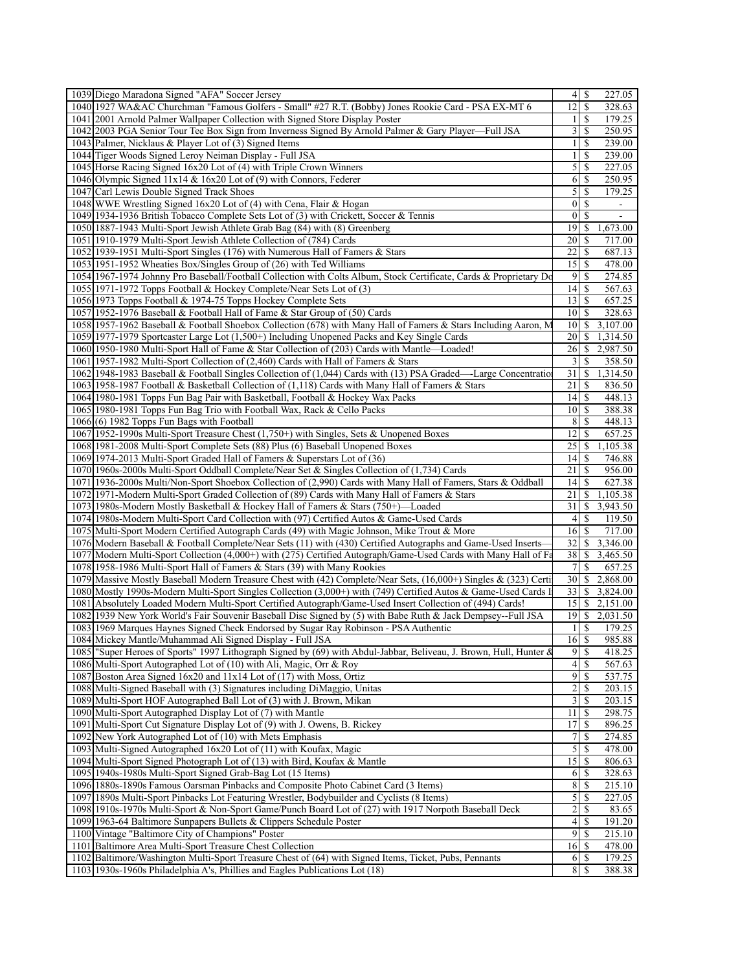| 1039 Diego Maradona Signed "AFA" Soccer Jersey                                                                     | 4                       | -\$           | 227.05           |
|--------------------------------------------------------------------------------------------------------------------|-------------------------|---------------|------------------|
| 1040 1927 WA&AC Churchman "Famous Golfers - Small" #27 R.T. (Bobby) Jones Rookie Card - PSA EX-MT 6                | 12                      | <sup>\$</sup> | 328.63           |
| 1041 2001 Arnold Palmer Wallpaper Collection with Signed Store Display Poster                                      | $\frac{1}{2}$           | -S            | 179.25           |
| 1042 2003 PGA Senior Tour Tee Box Sign from Inverness Signed By Arnold Palmer & Gary Player—Full JSA               | $\overline{\mathbf{3}}$ | -\$           | 250.95           |
| 1043 Palmer, Nicklaus & Player Lot of (3) Signed Items                                                             |                         | S             | 239.00           |
| 1044 Tiger Woods Signed Leroy Neiman Display - Full JSA                                                            | 1                       | S             | 239.00           |
| 1045 Horse Racing Signed 16x20 Lot of (4) with Triple Crown Winners                                                | 5                       | <sup>\$</sup> | 227.05           |
| 1046 Olympic Signed $11x14 \& 16x20$ Lot of (9) with Connors, Federer                                              | 6                       | S             | 250.95           |
| 1047 Carl Lewis Double Signed Track Shoes                                                                          | 5                       | <sup>\$</sup> | 179.25           |
| 1048 WWE Wrestling Signed 16x20 Lot of (4) with Cena, Flair & Hogan                                                | $\overline{0}$          | <sup>\$</sup> | $\blacksquare$   |
| 1049 1934-1936 British Tobacco Complete Sets Lot of (3) with Crickett, Soccer & Tennis                             | $\overline{0}$          | <sup>\$</sup> | $\blacksquare$   |
| 1050 1887-1943 Multi-Sport Jewish Athlete Grab Bag (84) with (8) Greenberg                                         | 19                      | S             | 1,673.00         |
|                                                                                                                    | 20                      |               |                  |
| 1051 1910-1979 Multi-Sport Jewish Athlete Collection of (784) Cards                                                | 22                      | -S            | 717.00           |
| 1052 1939-1951 Multi-Sport Singles (176) with Numerous Hall of Famers & Stars                                      | 15                      | -S            | 687.13<br>478.00 |
| 1053 1951-1952 Wheaties Box/Singles Group of (26) with Ted Williams                                                |                         |               |                  |
| 1054 1967-1974 Johnny Pro Baseball/Football Collection with Colts Album, Stock Certificate, Cards & Proprietary Do | 9                       | <sup>\$</sup> | 274.85           |
| 1055 1971-1972 Topps Football & Hockey Complete/Near Sets Lot of (3)                                               | 4                       | -S            | 567.63           |
| 1056 1973 Topps Football & 1974-75 Topps Hockey Complete Sets                                                      | 13                      | <sup>\$</sup> | 657.25           |
| 1057 1952-1976 Baseball & Football Hall of Fame & Star Group of (50) Cards                                         | 10 <sup>1</sup>         |               | 328.63           |
| 1058 1957-1962 Baseball & Football Shoebox Collection (678) with Many Hall of Famers & Stars Including Aaron, M    | 10                      | <sup>\$</sup> | 3,107.00         |
| 1059 1977-1979 Sportcaster Large Lot (1,500+) Including Unopened Packs and Key Single Cards                        | 20 <sup>1</sup>         | \$.           | 1,314.50         |
| 1060 1950-1980 Multi-Sport Hall of Fame & Star Collection of (203) Cards with Mantle—Loaded!                       | 26                      | \$.           | 2,987.50         |
| 1061 1957-1982 Multi-Sport Collection of (2,460) Cards with Hall of Famers & Stars                                 | 3                       | <sup>\$</sup> | 358.50           |
| 1062 1948-1983 Baseball & Football Singles Collection of (1,044) Cards with (13) PSA Graded—Large Concentratio     | 31                      | <sup>\$</sup> | 1,314.50         |
| 1063 1958-1987 Football & Basketball Collection of (1,118) Cards with Many Hall of Famers & Stars                  | 21                      | S             | 836.50           |
| 1064 1980-1981 Topps Fun Bag Pair with Basketball, Football & Hockey Wax Packs                                     | 14                      | <sup>\$</sup> | 448.13           |
| 1065 1980-1981 Topps Fun Bag Trio with Football Wax, Rack & Cello Packs                                            | 10 <sup>1</sup>         | <sup>\$</sup> | 388.38           |
| 1066(6) 1982 Topps Fun Bags with Football                                                                          | 8                       | -S            | 448.13           |
| 1067 1952-1990s Multi-Sport Treasure Chest (1,750+) with Singles, Sets & Unopened Boxes                            | 12                      | S             | 657.25           |
| 1068 1981-2008 Multi-Sport Complete Sets (88) Plus (6) Baseball Unopened Boxes                                     | 25                      | <sup>\$</sup> | 1,105.38         |
| 1069 1974-2013 Multi-Sport Graded Hall of Famers & Superstars Lot of (36)                                          | 4                       | -S            | 746.88           |
| 1070 1960s-2000s Multi-Sport Oddball Complete/Near Set & Singles Collection of (1,734) Cards                       | 21                      |               | 956.00           |
| 1071 1936-2000s Multi/Non-Sport Shoebox Collection of (2,990) Cards with Many Hall of Famers, Stars & Oddball      | 4                       | S             | 627.38           |
| 1072 1971-Modern Multi-Sport Graded Collection of (89) Cards with Many Hall of Famers & Stars                      | 21                      | \$            | 1,105.38         |
| 1073 1980s-Modern Mostly Basketball & Hockey Hall of Famers & Stars (750+)—Loaded                                  | 31                      | \$.           | 3,943.50         |
| 1074 1980s-Modern Multi-Sport Card Collection with (97) Certified Autos & Game-Used Cards                          | 4                       | <sup>\$</sup> | 119.50           |
| 1075 Multi-Sport Modern Certified Autograph Cards (49) with Magic Johnson, Mike Trout & More                       | 16                      | -S            | 717.00           |
| 1076 Modern Baseball & Football Complete/Near Sets (11) with (430) Certified Autographs and Game-Used Inserts-     | 32                      | <sup>\$</sup> | 3,346.00         |
| 1077 Modern Multi-Sport Collection (4,000+) with (275) Certified Autograph/Game-Used Cards with Many Hall of Fa    | 38                      | \$            | 3,465.50         |
| 1078 1958-1986 Multi-Sport Hall of Famers & Stars (39) with Many Rookies                                           | 7                       | <sup>\$</sup> | 657.25           |
| 1079 Massive Mostly Baseball Modern Treasure Chest with (42) Complete/Near Sets, (16,000+) Singles & (323) Certi   | 30                      | \$            | 2,868.00         |
| 1080 Mostly 1990s-Modern Multi-Sport Singles Collection (3,000+) with (749) Certified Autos & Game-Used Cards I    | 33                      | \$            | 3,824.00         |
| 1081 Absolutely Loaded Modern Multi-Sport Certified Autograph/Game-Used Insert Collection of (494) Cards!          | 15                      | \$            | 2,151.00         |
| 1082 1939 New York World's Fair Souvenir Baseball Disc Signed by (5) with Babe Ruth & Jack Dempsey--Full JSA       | 19                      | <sup>\$</sup> | 2,031.50         |
| 1083 1969 Marques Haynes Signed Check Endorsed by Sugar Ray Robinson - PSA Authentic                               | 1                       | <sup>\$</sup> | 179.25           |
| 1084 Mickey Mantle/Muhammad Ali Signed Display - Full JSA                                                          | 16S                     |               | 985.88           |
| 1085 Super Heroes of Sports" 1997 Lithograph Signed by (69) with Abdul-Jabbar, Beliveau, J. Brown, Hull, Hunter &  | $\overline{9}$          | $\mathsf{\$}$ | 418.25           |
| 1086 Multi-Sport Autographed Lot of (10) with Ali, Magic, Orr & Roy                                                | 4                       | <sup>\$</sup> | 567.63           |
| 1087 Boston Area Signed $16x20$ and $11x14$ Lot of (17) with Moss, Ortiz                                           | $\overline{9}$          | -S            | 537.75           |
| 1088 Multi-Signed Baseball with (3) Signatures including DiMaggio, Unitas                                          | $\overline{2}$          | <sup>\$</sup> | 203.15           |
| 1089 Multi-Sport HOF Autographed Ball Lot of (3) with J. Brown, Mikan                                              | 3                       | -S            | 203.15           |
| 1090 Multi-Sport Autographed Display Lot of (7) with Mantle                                                        | 11                      |               | 298.75           |
| 1091 Multi-Sport Cut Signature Display Lot of (9) with J. Owens, B. Rickey                                         | 17                      | S             | 896.25           |
| 1092 New York Autographed Lot of (10) with Mets Emphasis                                                           | 7                       | -S            | 274.85           |
| 1093 Multi-Signed Autographed 16x20 Lot of (11) with Koufax, Magic                                                 | 5 <sup>1</sup>          | <sup>S</sup>  | 478.00           |
| 1094 Multi-Sport Signed Photograph Lot of (13) with Bird, Koufax & Mantle                                          | 15                      | -S            | 806.63           |
| 1095 1940s-1980s Multi-Sport Signed Grab-Bag Lot (15 Items)                                                        | 6                       | -S            | 328.63           |
| 1096 1880s-1890s Famous Oarsman Pinbacks and Composite Photo Cabinet Card (3 Items)                                | 8                       | <sup>\$</sup> | 215.10           |
| 1097 1890s Multi-Sport Pinbacks Lot Featuring Wrestler, Bodybuilder and Cyclists (8 Items)                         | $\mathfrak{S}$          | -S            | 227.05           |
|                                                                                                                    | $\overline{2}$          | -\$           | 83.65            |
| 1098 1910s-1970s Multi-Sport & Non-Sport Game/Punch Board Lot of (27) with 1917 Norpoth Baseball Deck              |                         |               |                  |
| 1099 1963-64 Baltimore Sunpapers Bullets & Clippers Schedule Poster                                                | $\overline{\mathbf{4}}$ | <sup>\$</sup> | 191.20           |
| 1100 Vintage "Baltimore City of Champions" Poster                                                                  | 9                       | -S            | 215.10           |
| 1101 Baltimore Area Multi-Sport Treasure Chest Collection                                                          | 16                      |               | 478.00           |
| 1102 Baltimore/Washington Multi-Sport Treasure Chest of (64) with Signed Items, Ticket, Pubs, Pennants             | 6                       | -S            | 179.25           |
| 1103 1930s-1960s Philadelphia A's, Phillies and Eagles Publications Lot (18)                                       | 8                       | -S            | 388.38           |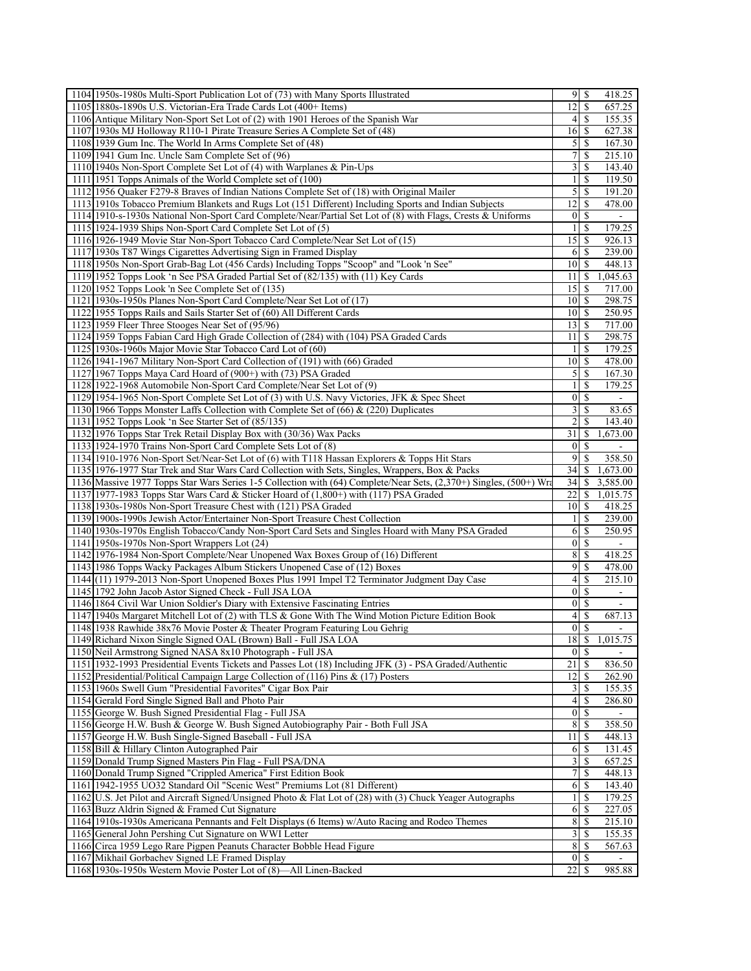| 1104 1950s-1980s Multi-Sport Publication Lot of (73) with Many Sports Illustrated                                    |                         | $9$ $\sqrt{5}$     | 418.25   |  |
|----------------------------------------------------------------------------------------------------------------------|-------------------------|--------------------|----------|--|
| 1105 1880s-1890s U.S. Victorian-Era Trade Cards Lot (400+ Items)                                                     | 12                      | <sup>\$</sup>      | 657.25   |  |
| 1106 Antique Military Non-Sport Set Lot of (2) with 1901 Heroes of the Spanish War                                   | $\left 4\right $        | -S                 | 155.35   |  |
| 1107 1930s MJ Holloway R110-1 Pirate Treasure Series A Complete Set of (48)                                          | 16                      | -S                 | 627.38   |  |
| 1108 1939 Gum Inc. The World In Arms Complete Set of (48)                                                            | $\mathfrak{S}$          | <sup>\$</sup>      | 167.30   |  |
| 1109 1941 Gum Inc. Uncle Sam Complete Set of (96)                                                                    | $\overline{7}$          | <sup>\$</sup>      | 215.10   |  |
| 1110 1940s Non-Sport Complete Set Lot of (4) with Warplanes & Pin-Ups                                                | $\overline{\mathbf{3}}$ | <sup>\$</sup>      | 143.40   |  |
| 1111 1951 Topps Animals of the World Complete set of (100)                                                           | 1                       | \$                 | 119.50   |  |
| 1112 1956 Quaker F279-8 Braves of Indian Nations Complete Set of (18) with Original Mailer                           | $\mathfrak{S}$          | <sup>\$</sup>      | 191.20   |  |
| 1113 1910s Tobacco Premium Blankets and Rugs Lot (151 Different) Including Sports and Indian Subjects                | 12                      | <sup>\$</sup>      | 478.00   |  |
| 1114 1910-s-1930s National Non-Sport Card Complete/Near/Partial Set Lot of (8) with Flags, Crests & Uniforms         | $\overline{0}$          | -S                 |          |  |
| 1115 1924-1939 Ships Non-Sport Card Complete Set Lot of (5)                                                          | 1 <sup>1</sup>          | <sup>\$</sup>      | 179.25   |  |
| 1116 1926-1949 Movie Star Non-Sport Tobacco Card Complete/Near Set Lot of (15)                                       |                         | $15$ $\frac{1}{2}$ | 926.13   |  |
| 1117 1930s T87 Wings Cigarettes Advertising Sign in Framed Display                                                   | 6                       | -S                 | 239.00   |  |
| 1118 1950s Non-Sport Grab-Bag Lot (456 Cards) Including Topps "Scoop" and "Look 'n See"                              | 10                      | \$                 | 448.13   |  |
|                                                                                                                      | 11                      |                    |          |  |
| 1119 1952 Topps Look 'n See PSA Graded Partial Set of (82/135) with (11) Key Cards                                   |                         | -S                 | 1,045.63 |  |
| 1120 1952 Topps Look 'n See Complete Set of (135)                                                                    | 15                      | -S                 | 717.00   |  |
| 1121 1930s-1950s Planes Non-Sport Card Complete/Near Set Lot of (17)                                                 | 10 <sup> </sup>         | <sup>\$</sup>      | 298.75   |  |
| 1122 1955 Topps Rails and Sails Starter Set of (60) All Different Cards                                              | 10 <sup> </sup>         | <sup>\$</sup>      | 250.95   |  |
| 1123 1959 Fleer Three Stooges Near Set of (95/96)                                                                    | 13                      | -S                 | 717.00   |  |
| 1124 1959 Topps Fabian Card High Grade Collection of (284) with (104) PSA Graded Cards                               | 11                      | -S                 | 298.75   |  |
| 1125 1930s-1960s Major Movie Star Tobacco Card Lot of (60)                                                           | 1                       | S                  | 179.25   |  |
| 1126 1941-1967 Military Non-Sport Card Collection of (191) with (66) Graded                                          | 10 <sup>1</sup>         | -S                 | 478.00   |  |
| 1127 1967 Topps Maya Card Hoard of (900+) with (73) PSA Graded                                                       | $\mathcal{S}$           | -S                 | 167.30   |  |
| 1128 1922-1968 Automobile Non-Sport Card Complete/Near Set Lot of (9)                                                | 1                       | S                  | 179.25   |  |
| 1129 1954-1965 Non-Sport Complete Set Lot of (3) with U.S. Navy Victories, JFK & Spec Sheet                          | $\vert 0 \vert$         | <sup>\$</sup>      |          |  |
| 1130 1966 Topps Monster Laffs Collection with Complete Set of $(66)$ & $(220)$ Duplicates                            | $\overline{3}$          | <sup>\$</sup>      | 83.65    |  |
| 1131 1952 Topps Look 'n See Starter Set of (85/135)                                                                  | $\overline{2}$          | \$                 | 143.40   |  |
| 1132 1976 Topps Star Trek Retail Display Box with (30/36) Wax Packs                                                  | 31                      | <sup>\$</sup>      | 1,673.00 |  |
| 1133 1924-1970 Trains Non-Sport Card Complete Sets Lot of (8)                                                        | $\overline{0}$          | <sup>\$</sup>      |          |  |
| 1134 1910-1976 Non-Sport Set/Near-Set Lot of (6) with T118 Hassan Explorers & Topps Hit Stars                        | $\overline{9}$          | <sup>\$</sup>      | 358.50   |  |
| 1135 1976-1977 Star Trek and Star Wars Card Collection with Sets, Singles, Wrappers, Box & Packs                     | 34                      | \$                 | 1,673.00 |  |
| 1136 Massive 1977 Topps Star Wars Series 1-5 Collection with (64) Complete/Near Sets, (2,370+) Singles, (500+) Wra   | 34                      | -S                 | 3,585.00 |  |
| 1137 1977-1983 Topps Star Wars Card & Sticker Hoard of (1,800+) with (117) PSA Graded                                | 22                      | -S                 | 1,015.75 |  |
| 1138 1930s-1980s Non-Sport Treasure Chest with (121) PSA Graded                                                      | 10                      | -S                 | 418.25   |  |
| 1139 1900s-1990s Jewish Actor/Entertainer Non-Sport Treasure Chest Collection                                        | 1                       | \$                 | 239.00   |  |
|                                                                                                                      | 6                       | -S                 | 250.95   |  |
| 1140 1930s-1970s English Tobacco/Candy Non-Sport Card Sets and Singles Hoard with Many PSA Graded                    |                         |                    |          |  |
| 1141 1950s-1970s Non-Sport Wrappers Lot (24)                                                                         | $\vert 0 \vert$         | <sup>\$</sup>      |          |  |
| 1142 1976-1984 Non-Sport Complete/Near Unopened Wax Boxes Group of (16) Different                                    | 8                       | <sup>\$</sup>      | 418.25   |  |
| 1143 1986 Topps Wacky Packages Album Stickers Unopened Case of (12) Boxes                                            | 9                       | \$                 | 478.00   |  |
| 1144(11) 1979-2013 Non-Sport Unopened Boxes Plus 1991 Impel T2 Terminator Judgment Day Case                          | $\left 4\right $        | <sup>\$</sup>      | 215.10   |  |
| 1145 1792 John Jacob Astor Signed Check - Full JSA LOA                                                               | $\vert 0 \vert$         | <sup>\$</sup>      |          |  |
| 1146 1864 Civil War Union Soldier's Diary with Extensive Fascinating Entries                                         | $\overline{0}$          | <sup>\$</sup>      |          |  |
| 1147 1940s Margaret Mitchell Lot of (2) with TLS & Gone With The Wind Motion Picture Edition Book                    | $\left 4\right $        | <sup>\$</sup>      | 687.13   |  |
| 1148 1938 Rawhide 38x76 Movie Poster & Theater Program Featuring Lou Gehrig                                          | $\overline{0}$          | <sup>\$</sup>      |          |  |
| 1149 Richard Nixon Single Signed OAL (Brown) Ball - Full JSA LOA                                                     |                         |                    | 1,015.75 |  |
|                                                                                                                      | 18S                     |                    |          |  |
| 1150 Neil Armstrong Signed NASA 8x10 Photograph - Full JSA                                                           | $\overline{0}$          | <sup>\$</sup>      |          |  |
| 1151 1932-1993 Presidential Events Tickets and Passes Lot (18) Including JFK (3) - PSA Graded/Authentic              | 21                      | -S                 | 836.50   |  |
| 1152 Presidential/Political Campaign Large Collection of (116) Pins & (17) Posters                                   | 12                      |                    | 262.90   |  |
| 1153 1960s Swell Gum "Presidential Favorites" Cigar Box Pair                                                         | $\overline{3}$          | <sup>\$</sup>      | 155.35   |  |
|                                                                                                                      | $\left 4\right $        | \$                 | 286.80   |  |
| 1154 Gerald Ford Single Signed Ball and Photo Pair                                                                   | $\overline{0}$          | -S                 |          |  |
| 1155 George W. Bush Signed Presidential Flag - Full JSA                                                              |                         | <sup>\$</sup>      |          |  |
| 1156 George H.W. Bush & George W. Bush Signed Autobiography Pair - Both Full JSA                                     | 8                       |                    | 358.50   |  |
| 1157 George H.W. Bush Single-Signed Baseball - Full JSA                                                              | 11                      | -S                 | 448.13   |  |
| 1158 Bill & Hillary Clinton Autographed Pair                                                                         | 6                       | \$                 | 131.45   |  |
| 1159 Donald Trump Signed Masters Pin Flag - Full PSA/DNA                                                             | 3                       | S                  | 657.25   |  |
| 1160 Donald Trump Signed "Crippled America" First Edition Book                                                       | $\overline{7}$          | \$                 | 448.13   |  |
| 1161 1942-1955 UO32 Standard Oil "Scenic West" Premiums Lot (81 Different)                                           | 6                       | -S                 | 143.40   |  |
| 1162 U.S. Jet Pilot and Aircraft Signed/Unsigned Photo & Flat Lot of (28) with (3) Chuck Yeager Autographs           | 1                       | S                  | 179.25   |  |
| 1163 Buzz Aldrin Signed & Framed Cut Signature                                                                       | 6                       | <sup>\$</sup>      | 227.05   |  |
| 1164 1910s-1930s Americana Pennants and Felt Displays (6 Items) w/Auto Racing and Rodeo Themes                       | 8                       | <sup>\$</sup>      | 215.10   |  |
| 1165 General John Pershing Cut Signature on WWI Letter                                                               | $\frac{3}{2}$           | \$                 | 155.35   |  |
| 1166 Circa 1959 Lego Rare Pigpen Peanuts Character Bobble Head Figure                                                | 8                       | <sup>\$</sup>      | 567.63   |  |
| 1167 Mikhail Gorbachev Signed LE Framed Display<br>1168 1930s-1950s Western Movie Poster Lot of (8)—All Linen-Backed | 22                      | $0$ s<br>-S        | 985.88   |  |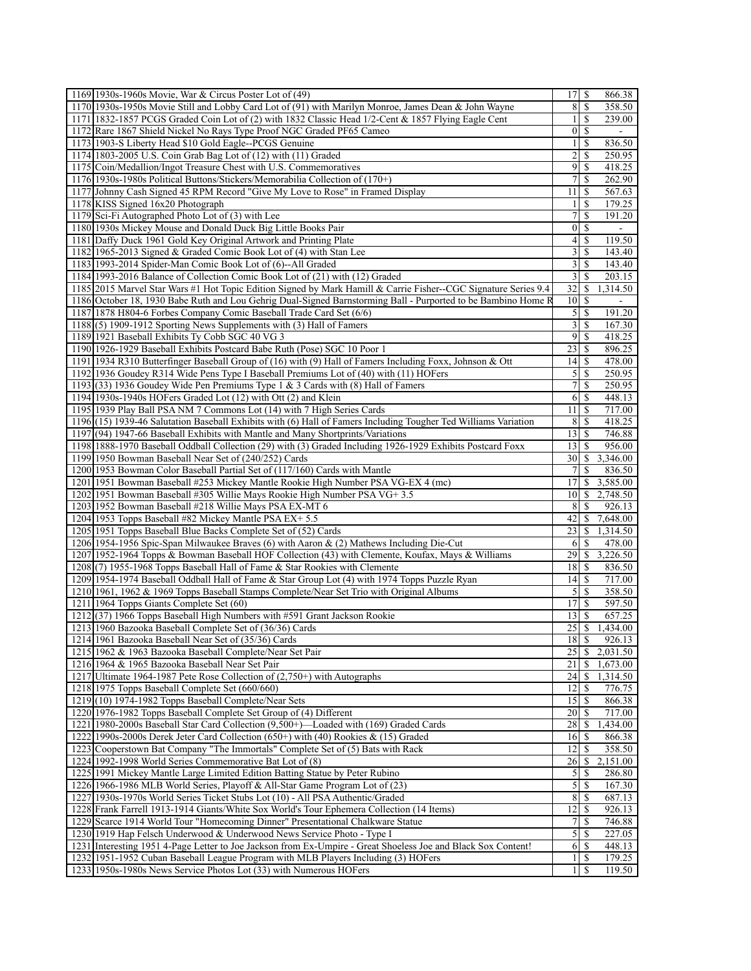| 1169 1930s-1960s Movie, War & Circus Poster Lot of (49)                                                         | $17$ $\sqrt{5}$         |                            | 866.38                |
|-----------------------------------------------------------------------------------------------------------------|-------------------------|----------------------------|-----------------------|
| 1170 1930s-1950s Movie Still and Lobby Card Lot of (91) with Marilyn Monroe, James Dean & John Wayne            | 8                       | -S                         | 358.50                |
| 1171   1832-1857 PCGS Graded Coin Lot of (2) with 1832 Classic Head 1/2-Cent & 1857 Flying Eagle Cent           | $\mathbf{1}$            | <sup>\$</sup>              | 239.00                |
| 1172 Rare 1867 Shield Nickel No Rays Type Proof NGC Graded PF65 Cameo                                           | $\vert 0 \vert$         | -S                         |                       |
| 1173 1903-S Liberty Head \$10 Gold Eagle--PCGS Genuine                                                          | $\mathbf{1}$            | \$                         | 836.50                |
| 1174 1803-2005 U.S. Coin Grab Bag Lot of (12) with (11) Graded                                                  | 2                       | \$                         | 250.95                |
| 1175 Coin/Medallion/Ingot Treasure Chest with U.S. Commemoratives                                               | 9                       | -S                         | 418.25                |
| $1176$ [1930s-1980s Political Buttons/Stickers/Memorabilia Collection of $(170+)$                               | 7                       | \$                         | 262.90                |
| 1177 Johnny Cash Signed 45 RPM Record "Give My Love to Rose" in Framed Display                                  | 11                      | -S                         | 567.63                |
| 1178 KISS Signed 16x20 Photograph                                                                               | $\frac{1}{2}$           | <sup>\$</sup>              | 179.25                |
| 1179 Sci-Fi Autographed Photo Lot of (3) with Lee                                                               | 7                       | \$                         | 191.20                |
| 1180 1930s Mickey Mouse and Donald Duck Big Little Books Pair                                                   | $\vert 0 \vert$         | <sup>\$</sup>              | $\blacksquare$        |
| 1181 Daffy Duck 1961 Gold Key Original Artwork and Printing Plate                                               | $\left 4\right $        | -S                         | 119.50                |
| 1182 1965-2013 Signed & Graded Comic Book Lot of (4) with Stan Lee                                              | 3                       | \$                         | 143.40                |
| 1183 1993-2014 Spider-Man Comic Book Lot of (6)--All Graded                                                     | $\overline{3}$          | $\mathbb{S}$               | 143.40                |
| 1184 1993-2016 Balance of Collection Comic Book Lot of (21) with (12) Graded                                    | $\overline{\mathbf{3}}$ | <sup>\$</sup>              | 203.15                |
| 1185 2015 Marvel Star Wars #1 Hot Topic Edition Signed by Mark Hamill & Carrie Fisher--CGC Signature Series 9.4 | 32                      | \$                         | 1,314.50              |
| 1186 October 18, 1930 Babe Ruth and Lou Gehrig Dual-Signed Barnstorming Ball - Purported to be Bambino Home R   | 10                      | -S                         |                       |
| 1187 1878 H804-6 Forbes Company Comic Baseball Trade Card Set (6/6)                                             |                         | $5 \overline{\smash{)}\,}$ | 191.20                |
| $1188(5)$ 1909-1912 Sporting News Supplements with (3) Hall of Famers                                           | $\overline{\mathbf{3}}$ | \$                         | 167.30                |
| 1189 1921 Baseball Exhibits Ty Cobb SGC 40 VG 3                                                                 | 9                       | <sup>\$</sup>              | 418.25                |
| 1190 1926-1929 Baseball Exhibits Postcard Babe Ruth (Pose) SGC 10 Poor 1                                        | 23                      | -\$                        | 896.25                |
| 1191 1934 R310 Butterfinger Baseball Group of (16) with (9) Hall of Famers Including Foxx, Johnson & Ott        | 14                      | -S                         | 478.00                |
|                                                                                                                 |                         |                            | 250.95                |
| 1192 1936 Goudey R314 Wide Pens Type I Baseball Premiums Lot of (40) with (11) HOFers                           | $\mathcal{S}$           | -S                         |                       |
| 1193(33) 1936 Goudey Wide Pen Premiums Type 1 & 3 Cards with (8) Hall of Famers                                 | 7                       | \$                         | 250.95                |
| 1194 1930s-1940s HOFers Graded Lot (12) with Ott (2) and Klein                                                  | 6                       | -S                         | 448.13                |
| 1195 1939 Play Ball PSA NM 7 Commons Lot (14) with 7 High Series Cards                                          | $11 \mid S$             |                            | 717.00                |
| 1196 (15) 1939-46 Salutation Baseball Exhibits with (6) Hall of Famers Including Tougher Ted Williams Variation | 8                       | \$                         | 418.25                |
| 1197(94) 1947-66 Baseball Exhibits with Mantle and Many Shortprints/Variations                                  | 13                      | -S                         | 746.88                |
| 1198 1888-1970 Baseball Oddball Collection (29) with (3) Graded Including 1926-1929 Exhibits Postcard Foxx      | 13                      | <sup>\$</sup>              | 956.00                |
| 1199 1950 Bowman Baseball Near Set of (240/252) Cards                                                           | 30                      |                            | $\overline{3,346.00}$ |
| 1200 1953 Bowman Color Baseball Partial Set of (117/160) Cards with Mantle                                      | 7                       | -S                         | 836.50                |
| 1201 1951 Bowman Baseball #253 Mickey Mantle Rookie High Number PSA VG-EX 4 (mc)                                | 17                      | \$                         | 3,585.00              |
| 1202 1951 Bowman Baseball #305 Willie Mays Rookie High Number PSA VG+ 3.5                                       | 10 <sup>1</sup>         | <sup>\$</sup>              | $\overline{2,}748.50$ |
| 1203 1952 Bowman Baseball #218 Willie Mays PSA EX-MT 6                                                          | 8                       | \$                         | 926.13                |
| 1204 1953 Topps Baseball #82 Mickey Mantle PSA EX+ 5.5                                                          | 42                      | \$                         | 7,648.00              |
| 1205 1951 Topps Baseball Blue Backs Complete Set of (52) Cards                                                  | 23                      | <sup>\$</sup>              | 1,314.50              |
| 1206 1954-1956 Spic-Span Milwaukee Braves (6) with Aaron & (2) Mathews Including Die-Cut                        | 6                       | <sup>\$</sup>              | 478.00                |
| 1207 1952-1964 Topps & Bowman Baseball HOF Collection (43) with Clemente, Koufax, Mays & Williams               | 29                      | \$                         | 3,226.50              |
| 1208(7) 1955-1968 Topps Baseball Hall of Fame & Star Rookies with Clemente                                      | 18                      | -S                         | 836.50                |
| 1209 1954-1974 Baseball Oddball Hall of Fame & Star Group Lot (4) with 1974 Topps Puzzle Ryan                   | 14                      | -S                         | 717.00                |
| 1210 1961, 1962 & 1969 Topps Baseball Stamps Complete/Near Set Trio with Original Albums                        | 5                       | \$                         | 358.50                |
| 1211 1964 Topps Giants Complete Set (60)                                                                        | 17                      | \$                         | 597.50                |
| 1212(37) 1966 Topps Baseball High Numbers with #591 Grant Jackson Rookie                                        | 13                      | \$.                        | 657.25                |
| 1213 1960 Bazooka Baseball Complete Set of (36/36) Cards                                                        | 25                      | \$                         | 1,434.00              |
| 1214 1961 Bazooka Baseball Near Set of (35/36) Cards                                                            | 18S                     |                            | 926.13                |
| 1215 1962 & 1963 Bazooka Baseball Complete/Near Set Pair                                                        | 25                      | $\mathbb{S}$               | 2,031.50              |
| 1216 1964 & 1965 Bazooka Baseball Near Set Pair                                                                 | 21                      | \$                         | 1,673.00              |
| 1217 Ultimate 1964-1987 Pete Rose Collection of (2,750+) with Autographs                                        | 24                      | $\sqrt{S}$                 | 1,314.50              |
| 1218 1975 Topps Baseball Complete Set (660/660)                                                                 | 12                      | <sup>\$</sup>              | 776.75                |
| $1219(10)$ 1974-1982 Topps Baseball Complete/Near Sets                                                          | <sup>15</sup>           | -S                         | 866.38                |
| 1220 1976-1982 Topps Baseball Complete Set Group of (4) Different                                               | 20                      | <sup>\$</sup>              | 717.00                |
| 1221 1980-2000s Baseball Star Card Collection (9,500+)—Loaded with (169) Graded Cards                           | 28                      | <sup>\$</sup>              | 1,434.00              |
| 1222 1990s-2000s Derek Jeter Card Collection (650+) with (40) Rookies & (15) Graded                             | 16                      | -S                         | 866.38                |
| 1223 Cooperstown Bat Company "The Immortals" Complete Set of (5) Bats with Rack                                 | 12                      | <sup>\$</sup>              | 358.50                |
| 1224 1992-1998 World Series Commemorative Bat Lot of (8)                                                        | 26                      | S.                         | 2,151.00              |
| 1225 1991 Mickey Mantle Large Limited Edition Batting Statue by Peter Rubino                                    | 5                       | S                          | 286.80                |
| 1226 1966-1986 MLB World Series, Playoff & All-Star Game Program Lot of (23)                                    | $\mathfrak{S}$          | -S                         | 167.30                |
| 1227 1930s-1970s World Series Ticket Stubs Lot (10) - All PSA Authentic/Graded                                  | 8                       | -S                         | 687.13                |
| 1228 Frank Farrell 1913-1914 Giants/White Sox World's Tour Ephemera Collection (14 Items)                       | 12                      | <sup>\$</sup>              | 926.13                |
| 1229 Scarce 1914 World Tour "Homecoming Dinner" Presentational Chalkware Statue                                 | 7                       | <sup>\$</sup>              | 746.88                |
| 1230 1919 Hap Felsch Underwood & Underwood News Service Photo - Type I                                          | 5                       | \$.                        | 227.05                |
| 1231 Interesting 1951 4-Page Letter to Joe Jackson from Ex-Umpire - Great Shoeless Joe and Black Sox Content!   | 6                       | -S                         | 448.13                |
| 1232 1951-1952 Cuban Baseball League Program with MLB Players Including (3) HOFers                              | 1                       | -S                         | 179.25                |
| 1233 1950s-1980s News Service Photos Lot (33) with Numerous HOFers                                              | 1                       | \$.                        | 119.50                |
|                                                                                                                 |                         |                            |                       |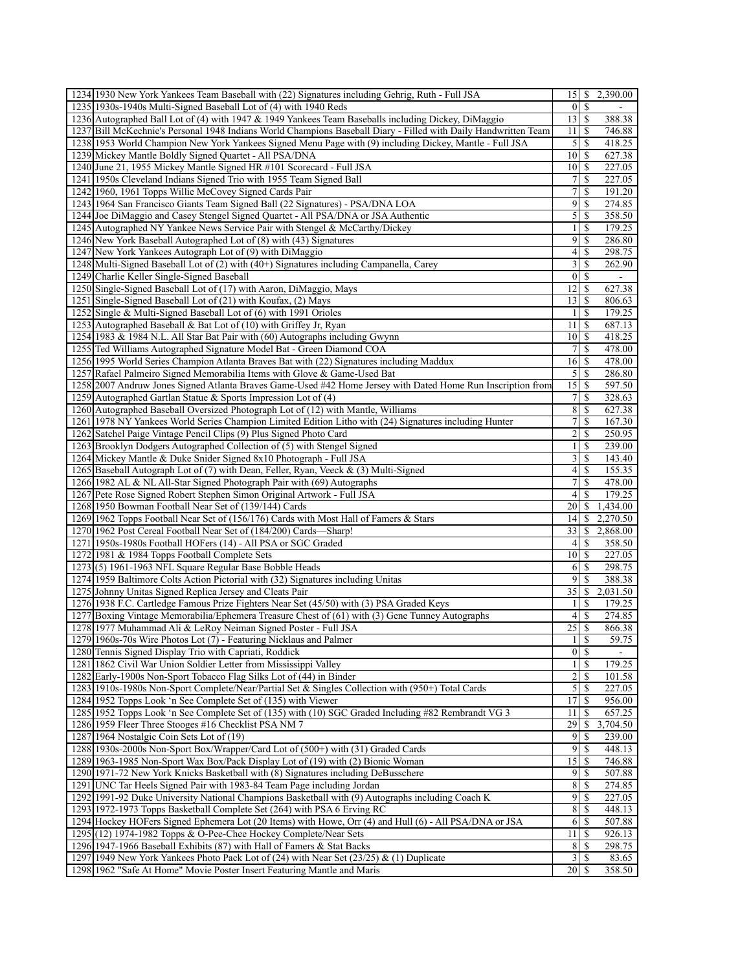| 1234 1930 New York Yankees Team Baseball with (22) Signatures including Gehrig, Ruth - Full JSA                 |                         |                      | 15 \ \$ 2,390.00 |
|-----------------------------------------------------------------------------------------------------------------|-------------------------|----------------------|------------------|
| 1235 1930s-1940s Multi-Signed Baseball Lot of (4) with 1940 Reds                                                |                         | $0 \mid S$           | ۰                |
| 1236 Autographed Ball Lot of (4) with 1947 & 1949 Yankees Team Baseballs including Dickey, DiMaggio             | $13$ $\sqrt{5}$         |                      | 388.38           |
| 1237 Bill McKechnie's Personal 1948 Indians World Champions Baseball Diary - Filled with Daily Handwritten Team | 11                      | -S                   | 746.88           |
| 1238 1953 World Champion New York Yankees Signed Menu Page with (9) including Dickey, Mantle - Full JSA         | $\mathfrak{S}$          | \$                   | 418.25           |
| 1239 Mickey Mantle Boldly Signed Quartet - All PSA/DNA                                                          | $10 \mid$ \$            |                      | 627.38           |
| 1240 June 21, 1955 Mickey Mantle Signed HR #101 Scorecard - Full JSA                                            | $10$ $\sqrt{5}$         |                      | 227.05           |
| 1241 1950s Cleveland Indians Signed Trio with 1955 Team Signed Ball                                             | 7                       | \$                   | 227.05           |
|                                                                                                                 | 7                       | \$                   | 191.20           |
| 1242 1960, 1961 Topps Willie McCovey Signed Cards Pair                                                          |                         |                      |                  |
| 1243 1964 San Francisco Giants Team Signed Ball (22 Signatures) - PSA/DNA LOA                                   | 9                       | <sup>\$</sup>        | 274.85           |
| 1244 Joe DiMaggio and Casey Stengel Signed Quartet - All PSA/DNA or JSA Authentic                               | $\mathfrak{S}$          | S                    | 358.50           |
| 1245 Autographed NY Yankee News Service Pair with Stengel & McCarthy/Dickey                                     | 11                      | <sup>\$</sup>        | 179.25           |
| 1246 New York Baseball Autographed Lot of (8) with (43) Signatures                                              | 9                       | -S                   | 286.80           |
| 1247 New York Yankees Autograph Lot of (9) with DiMaggio                                                        | $\left 4\right $        | S                    | 298.75           |
| 1248 Multi-Signed Baseball Lot of (2) with (40+) Signatures including Campanella, Carey                         | $\overline{\mathbf{3}}$ | \$                   | 262.90           |
| 1249 Charlie Keller Single-Signed Baseball                                                                      |                         | $0 \mid \mathcal{S}$ | $\blacksquare$   |
| 1250 Single-Signed Baseball Lot of (17) with Aaron, DiMaggio, Mays                                              | 12 <sup>1</sup>         | $\mathbb{S}$         | 627.38           |
| 1251 Single-Signed Baseball Lot of (21) with Koufax, (2) Mays                                                   | $13$ $\sqrt{5}$         |                      | 806.63           |
| 1252 Single & Multi-Signed Baseball Lot of (6) with 1991 Orioles                                                | $\mathbf{1}$            | $\mathbb{S}$         | 179.25           |
| 1253 Autographed Baseball & Bat Lot of (10) with Griffey Jr, Ryan                                               | 11 <sup>1</sup>         | -S                   | 687.13           |
| 1254 1983 & 1984 N.L. All Star Bat Pair with (60) Autographs including Gwynn                                    | 10 <sup>1</sup>         | <sup>\$</sup>        | 418.25           |
| 1255 Ted Williams Autographed Signature Model Bat - Green Diamond COA                                           | $\overline{7}$          | \$                   | 478.00           |
| 1256 1995 World Series Champion Atlanta Braves Bat with (22) Signatures including Maddux                        |                         |                      | 478.00           |
| 1257 Rafael Palmeiro Signed Memorabilia Items with Glove & Game-Used Bat                                        | 5                       | -S                   | 286.80           |
| 1258 2007 Andruw Jones Signed Atlanta Braves Game-Used #42 Home Jersey with Dated Home Run Inscription from     | 15                      | \$                   | 597.50           |
| 1259 Autographed Gartlan Statue & Sports Impression Lot of (4)                                                  | $7\vert$                | \$                   | 328.63           |
| 1260 Autographed Baseball Oversized Photograph Lot of (12) with Mantle, Williams                                | 8                       | <sup>\$</sup>        | 627.38           |
|                                                                                                                 | $\overline{7}$          | \$.                  |                  |
| 1261 1978 NY Yankees World Series Champion Limited Edition Litho with (24) Signatures including Hunter          | $\overline{2}$          | <sup>\$</sup>        | 167.30<br>250.95 |
| 1262 Satchel Paige Vintage Pencil Clips (9) Plus Signed Photo Card                                              |                         |                      |                  |
| 1263 Brooklyn Dodgers Autographed Collection of (5) with Stengel Signed                                         | 1 <sup>1</sup>          | <sup>\$</sup>        | 239.00           |
| 1264 Mickey Mantle & Duke Snider Signed 8x10 Photograph - Full JSA                                              | $\overline{\mathbf{3}}$ | \$                   | 143.40           |
| 1265 Baseball Autograph Lot of (7) with Dean, Feller, Ryan, Veeck & (3) Multi-Signed                            | $\left 4\right $        | S                    | 155.35           |
| 1266 1982 AL & NL All-Star Signed Photograph Pair with (69) Autographs                                          | $\overline{7}$          | \$                   | 478.00           |
| 1267 Pete Rose Signed Robert Stephen Simon Original Artwork - Full JSA                                          | 41                      | \$                   | 179.25           |
| 1268 1950 Bowman Football Near Set of (139/144) Cards                                                           | 20                      | <sup>\$</sup>        | 1,434.00         |
| 1269 1962 Topps Football Near Set of (156/176) Cards with Most Hall of Famers & Stars                           | 14 <sup>1</sup>         | \$                   | 2,270.50         |
| 1270 1962 Post Cereal Football Near Set of (184/200) Cards—Sharp!                                               | 33                      | S                    | 2,868.00         |
| 1271 1950s-1980s Football HOFers (14) - All PSA or SGC Graded                                                   | 4 <sup>1</sup>          | <sup>\$</sup>        | 358.50           |
| 1272 1981 & 1984 Topps Football Complete Sets                                                                   | 10I                     | \$                   | 227.05           |
| $1273(5) 1961-1963$ NFL Square Regular Base Bobble Heads                                                        | <sup>6</sup>            | -S                   | 298.75           |
| 1274 1959 Baltimore Colts Action Pictorial with (32) Signatures including Unitas                                | 9                       | -S                   | 388.38           |
| 1275 Johnny Unitas Signed Replica Jersey and Cleats Pair                                                        | 35                      | \$                   | 2,031.50         |
| 1276 1938 F.C. Cartledge Famous Prize Fighters Near Set (45/50) with (3) PSA Graded Keys                        | 1                       | S                    | 179.25           |
| 1277 Boxing Vintage Memorabilia/Ephemera Treasure Chest of (61) with (3) Gene Tunney Autographs                 | 41                      | $\mathbb{S}$         | 274.85           |
| 1278 1977 Muhammad Ali & LeRoy Neiman Signed Poster - Full JSA                                                  | 25                      | \$                   | 866.38           |
| 1279 1960s-70s Wire Photos Lot (7) - Featuring Nicklaus and Palmer                                              |                         | $\overline{1}$ s     | 59.75            |
| 1280 Tennis Signed Display Trio with Capriati, Roddick                                                          |                         | $0 \mid S$           |                  |
| 1281 1862 Civil War Union Soldier Letter from Mississippi Valley                                                | $\frac{1}{2}$           | -S                   | 179.25           |
| 1282 Early-1900s Non-Sport Tobacco Flag Silks Lot of (44) in Binder                                             | $\overline{c}$          | \$                   | 101.58           |
| 1283 1910s-1980s Non-Sport Complete/Near/Partial Set & Singles Collection with (950+) Total Cards               | $\mathcal{S}$           | -S                   | 227.05           |
| 1284 1952 Topps Look 'n See Complete Set of (135) with Viewer                                                   | 17 <sup>1</sup>         | -S                   | 956.00           |
| 1285   1952 Topps Look 'n See Complete Set of (135) with (10) SGC Graded Including #82 Rembrandt VG 3           | 11                      | <sup>\$</sup>        | 657.25           |
| 1286 1959 Fleer Three Stooges #16 Checklist PSA NM 7                                                            | 29                      | \$                   | 3,704.50         |
| 1287 1964 Nostalgic Coin Sets Lot of (19)                                                                       | $\overline{9}$          | -S                   | 239.00           |
| 1288 1930s-2000s Non-Sport Box/Wrapper/Card Lot of (500+) with (31) Graded Cards                                | 9                       | -S                   | 448.13           |
| 1289 1963-1985 Non-Sport Wax Box/Pack Display Lot of (19) with (2) Bionic Woman                                 | 15                      | S                    | 746.88           |
| 1290 1971-72 New York Knicks Basketball with (8) Signatures including DeBusschere                               | 9                       | <sup>\$</sup>        | 507.88           |
| 1291 UNC Tar Heels Signed Pair with 1983-84 Team Page including Jordan                                          | $\sqrt{8}$              | <sup>\$</sup>        | 274.85           |
| 1292 1991-92 Duke University National Champions Basketball with (9) Autographs including Coach K                | $\overline{9}$          | \$                   | 227.05           |
| 1293 1972-1973 Topps Basketball Complete Set (264) with PSA 6 Erving RC                                         | 8                       | <sup>\$</sup>        | 448.13           |
| 1294 Hockey HOFers Signed Ephemera Lot (20 Items) with Howe, Orr (4) and Hull (6) - All PSA/DNA or JSA          | 6                       | <sup>\$</sup>        | 507.88           |
| 1295(12) 1974-1982 Topps & O-Pee-Chee Hockey Complete/Near Sets                                                 | 11 <sup>1</sup>         | -S                   | 926.13           |
| 1296 1947-1966 Baseball Exhibits (87) with Hall of Famers & Stat Backs                                          | 8 <sup>l</sup>          | <sup>\$</sup>        | 298.75           |
| 1297 1949 New York Yankees Photo Pack Lot of (24) with Near Set (23/25) & (1) Duplicate                         |                         | $3 \mid S$           | 83.65            |
| 1298 1962 "Safe At Home" Movie Poster Insert Featuring Mantle and Maris                                         |                         |                      | 358.50           |
|                                                                                                                 |                         |                      |                  |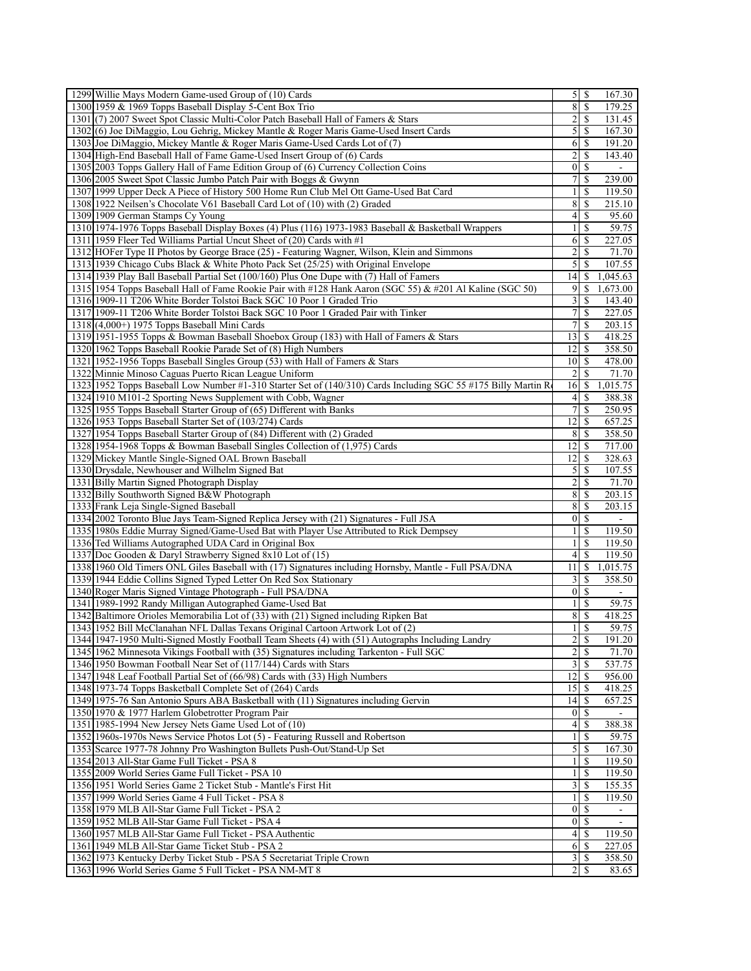| 1299 Willie Mays Modern Game-used Group of (10) Cards                                                                                    |                  |                            | 167.30                   |
|------------------------------------------------------------------------------------------------------------------------------------------|------------------|----------------------------|--------------------------|
| 1300 1959 & 1969 Topps Baseball Display 5-Cent Box Trio                                                                                  | 8                | $\mathbb{S}$               | 179.25                   |
| 1301 (7) 2007 Sweet Spot Classic Multi-Color Patch Baseball Hall of Famers & Stars                                                       | $\overline{2}$   | \$.                        | 131.45                   |
| 1302(6) Joe DiMaggio, Lou Gehrig, Mickey Mantle & Roger Maris Game-Used Insert Cards                                                     | 5                | -S                         | 167.30                   |
| 1303 Joe DiMaggio, Mickey Mantle & Roger Maris Game-Used Cards Lot of (7)                                                                | 6                | <sup>\$</sup>              | 191.20                   |
| 1304 High-End Baseball Hall of Fame Game-Used Insert Group of (6) Cards                                                                  | $\overline{2}$   | \$                         | 143.40                   |
| 1305 2003 Topps Gallery Hall of Fame Edition Group of (6) Currency Collection Coins                                                      | $\overline{0}$   | <sup>\$</sup>              | $\overline{\phantom{a}}$ |
| 1306 2005 Sweet Spot Classic Jumbo Patch Pair with Boggs & Gwynn                                                                         | 7                | \$                         | 239.00                   |
| 1307 1999 Upper Deck A Piece of History 500 Home Run Club Mel Ott Game-Used Bat Card                                                     | $\mathbf{1}$     | S                          | 119.50                   |
| 1308 1922 Neilsen's Chocolate V61 Baseball Card Lot of (10) with (2) Graded                                                              | 8                | -S                         | 215.10                   |
| 1309 1909 German Stamps Cy Young                                                                                                         | $\left 4\right $ | \$.                        | 95.60                    |
| 1310 1974-1976 Topps Baseball Display Boxes (4) Plus (116) 1973-1983 Baseball & Basketball Wrappers                                      |                  | $1 \overline{\smash{)}\,}$ | 59.75                    |
| 1311 1959 Fleer Ted Williams Partial Uncut Sheet of (20) Cards with #1                                                                   | 6                | -S                         | 227.05                   |
| 1312 HOFer Type II Photos by George Brace (25) - Featuring Wagner, Wilson, Klein and Simmons                                             | $\overline{2}$   | \$.                        | 71.70                    |
| 1313 1939 Chicago Cubs Black & White Photo Pack Set (25/25) with Original Envelope                                                       | $\overline{5}$   | \$                         | 107.55                   |
| 1314 1939 Play Ball Baseball Partial Set (100/160) Plus One Dupe with (7) Hall of Famers                                                 | 14               | \$.                        | 1,045.63                 |
| 1315 1954 Topps Baseball Hall of Fame Rookie Pair with #128 Hank Aaron (SGC 55) & #201 Al Kaline (SGC 50)                                | $\overline{9}$   | \$                         | 1,673.00                 |
| 1316 1909-11 T206 White Border Tolstoi Back SGC 10 Poor 1 Graded Trio                                                                    | $\overline{3}$   | -S                         | 143.40                   |
| 1317 1909-11 T206 White Border Tolstoi Back SGC 10 Poor 1 Graded Pair with Tinker                                                        |                  |                            | 227.05                   |
| $1318(4,000+)$ 1975 Topps Baseball Mini Cards                                                                                            | $\overline{7}$   | \$                         | 203.15                   |
| 1319 1951-1955 Topps & Bowman Baseball Shoebox Group (183) with Hall of Famers & Stars                                                   | 13 <sup>1</sup>  | -S                         | 418.25                   |
| 1320 1962 Topps Baseball Rookie Parade Set of (8) High Numbers                                                                           | 12 <sup>1</sup>  | -\$                        | 358.50                   |
| 1321 1952-1956 Topps Baseball Singles Group (53) with Hall of Famers & Stars                                                             |                  | $101$ S                    | 478.00                   |
| 1322 Minnie Minoso Caguas Puerto Rican League Uniform                                                                                    | $\overline{2}$   | \$                         | 71.70                    |
| 1323 1952 Topps Baseball Low Number #1-310 Starter Set of (140/310) Cards Including SGC 55 #175 Billy Martin R                           | 16               | \$                         | 1,015.75                 |
| 1324 1910 M101-2 Sporting News Supplement with Cobb, Wagner                                                                              | $\vert$          | S                          | 388.38                   |
| 1325 1955 Topps Baseball Starter Group of (65) Different with Banks                                                                      | $7\vert$         | <sup>\$</sup>              | 250.95                   |
| 1326 1953 Topps Baseball Starter Set of (103/274) Cards                                                                                  | 12               | \$                         | 657.25                   |
| 1327 1954 Topps Baseball Starter Group of (84) Different with (2) Graded                                                                 | 8 <sup>1</sup>   | -S                         | 358.50                   |
| 1328 1954-1968 Topps & Bowman Baseball Singles Collection of (1,975) Cards                                                               | 12               | -S                         | 717.00                   |
| 1329 Mickey Mantle Single-Signed OAL Brown Baseball                                                                                      | 12               | \$.                        | 328.63                   |
| 1330 Drysdale, Newhouser and Wilhelm Signed Bat                                                                                          | $\mathfrak{S}$   | \$                         | 107.55                   |
| 1331 Billy Martin Signed Photograph Display                                                                                              | $\overline{2}$   | -S                         | 71.70                    |
| 1332 Billy Southworth Signed B&W Photograph                                                                                              | 8                | \$                         | 203.15                   |
| 1333 Frank Leja Single-Signed Baseball                                                                                                   | 8                | -S                         | 203.15                   |
| 1334 2002 Toronto Blue Jays Team-Signed Replica Jersey with (21) Signatures - Full JSA                                                   |                  | $\overline{0}$<br>-S       | $\blacksquare$           |
| 1335 1980s Eddie Murray Signed/Game-Used Bat with Player Use Attributed to Rick Dempsey                                                  | $\frac{1}{2}$    | \$.                        | 119.50                   |
| 1336 Ted Williams Autographed UDA Card in Original Box                                                                                   | $\frac{1}{2}$    | <sup>\$</sup>              | 119.50                   |
| 1337 Doc Gooden & Daryl Strawberry Signed 8x10 Lot of (15)                                                                               | $\left 4\right $ | \$                         | 119.50                   |
| 1338 1960 Old Timers ONL Giles Baseball with (17) Signatures including Hornsby, Mantle - Full PSA/DNA                                    | 11               | -S                         | 1,015.75                 |
| 1339 1944 Eddie Collins Signed Typed Letter On Red Sox Stationary                                                                        | $\frac{3}{2}$    | <sup>\$</sup>              | 358.50                   |
| 1340 Roger Maris Signed Vintage Photograph - Full PSA/DNA                                                                                | $\vert 0 \vert$  | \$                         |                          |
| 1341 1989-1992 Randy Milligan Autographed Game-Used Bat                                                                                  | $\frac{1}{2}$    | <sup>\$</sup>              | 59.75                    |
| 1342 Baltimore Orioles Memorabilia Lot of (33) with (21) Signed including Ripken Bat                                                     | 8                | <sup>\$</sup>              | 418.25                   |
| 1343 1952 Bill McClanahan NFL Dallas Texans Original Cartoon Artwork Lot of (2)                                                          |                  | \$                         |                          |
| 1344 1947-1950 Multi-Signed Mostly Football Team Sheets (4) with (51) Autographs Including Landry                                        | $\frac{1}{2}$    | 2s                         | 59.75<br>191.20          |
| 1345 1962 Minnesota Vikings Football with (35) Signatures including Tarkenton - Full SGC                                                 | $\overline{2}$   | -S                         | 71.70                    |
| 1346 1950 Bowman Football Near Set of (117/144) Cards with Stars                                                                         | $\frac{3}{2}$    | -S                         | 537.75                   |
| 1347 1948 Leaf Football Partial Set of (66/98) Cards with (33) High Numbers                                                              | 12               | -S                         | 956.00                   |
|                                                                                                                                          |                  |                            |                          |
| 1348 1973-74 Topps Basketball Complete Set of (264) Cards                                                                                |                  | $15$ $\sqrt{5}$            | 418.25                   |
| 1349 1975-76 San Antonio Spurs ABA Basketball with (11) Signatures including Gervin<br>1350 1970 & 1977 Harlem Globetrotter Program Pair | 14               | <sup>\$</sup>              | 657.25                   |
|                                                                                                                                          | $\vert 0 \vert$  | -S                         |                          |
| 1351 1985-1994 New Jersey Nets Game Used Lot of (10)                                                                                     | $\vert 4 \vert$  | S                          | 388.38                   |
| 1352 1960s-1970s News Service Photos Lot (5) - Featuring Russell and Robertson                                                           | $\frac{1}{2}$    | <sup>\$</sup>              | 59.75                    |
| 1353 Scarce 1977-78 Johnny Pro Washington Bullets Push-Out/Stand-Up Set                                                                  | $\mathcal{S}$    | -S                         | 167.30                   |
| 1354 2013 All-Star Game Full Ticket - PSA 8                                                                                              | $\frac{1}{2}$    | \$                         | 119.50                   |
| 1355 2009 World Series Game Full Ticket - PSA 10                                                                                         | $\frac{1}{2}$    | <sup>\$</sup>              | 119.50                   |
| 1356 1951 World Series Game 2 Ticket Stub - Mantle's First Hit                                                                           | 3                | -S                         | 155.35                   |
| 1357 1999 World Series Game 4 Full Ticket - PSA 8                                                                                        | $\frac{1}{2}$    | \$                         | 119.50                   |
| 1358 1979 MLB All-Star Game Full Ticket - PSA 2                                                                                          | $\vert 0 \vert$  | \$                         |                          |
| 1359 1952 MLB All-Star Game Full Ticket - PSA 4                                                                                          | 0                | <sup>\$</sup>              | $\overline{a}$           |
| 1360 1957 MLB All-Star Game Full Ticket - PSA Authentic                                                                                  | $\left 4\right $ | <sup>\$</sup>              | 119.50                   |
| 1361 1949 MLB All-Star Game Ticket Stub - PSA 2                                                                                          |                  | $6$ \ $\sqrt{3}$           | 227.05                   |
| 1362 1973 Kentucky Derby Ticket Stub - PSA 5 Secretariat Triple Crown                                                                    |                  |                            | 358.50                   |
| 1363 1996 World Series Game 5 Full Ticket - PSA NM-MT 8                                                                                  | $\overline{2}$   | S                          | 83.65                    |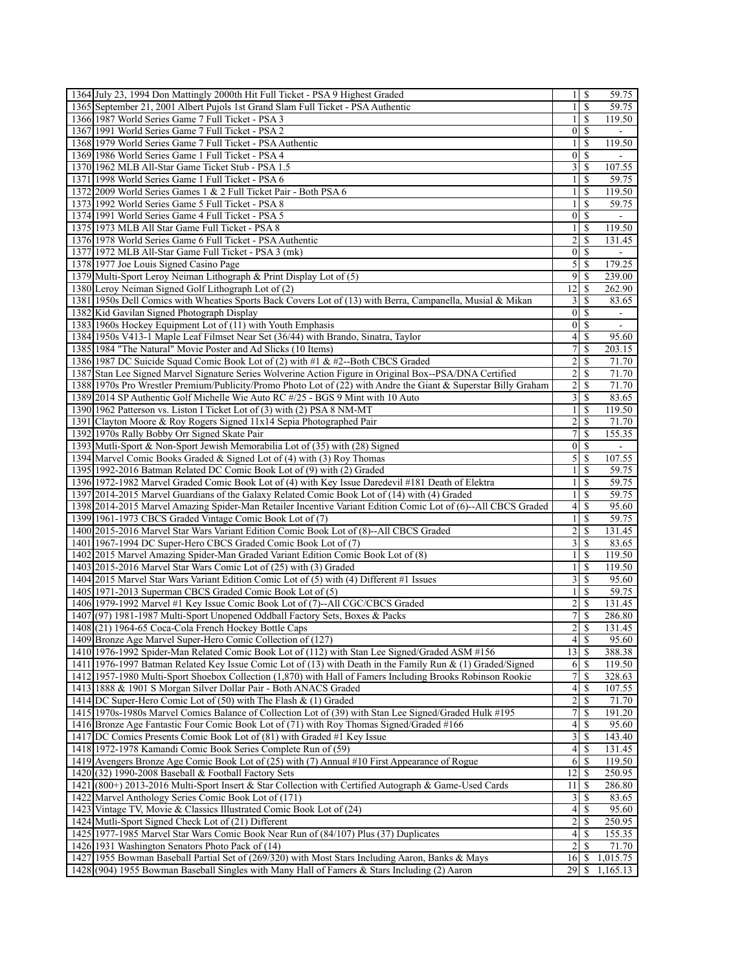|      | 1364 July 23, 1994 Don Mattingly 2000th Hit Full Ticket - PSA 9 Highest Graded                                                  |                          | $1 \mid S$    | 59.75           |
|------|---------------------------------------------------------------------------------------------------------------------------------|--------------------------|---------------|-----------------|
|      | 1365 September 21, 2001 Albert Pujols 1st Grand Slam Full Ticket - PSA Authentic                                                | $\mathbf{1}$             | S             | 59.75           |
|      | 1366 1987 World Series Game 7 Full Ticket - PSA 3                                                                               | 1                        | \$            | 119.50          |
|      | 1367 1991 World Series Game 7 Full Ticket - PSA 2                                                                               | $\vert 0 \vert$          | <sup>\$</sup> |                 |
|      | 1368 1979 World Series Game 7 Full Ticket - PSA Authentic                                                                       | $\mathbf{1}$             | \$            | 119.50          |
|      | 1369 1986 World Series Game 1 Full Ticket - PSA 4                                                                               | $\overline{0}$           | \$            |                 |
|      | 1370 1962 MLB All-Star Game Ticket Stub - PSA 1.5                                                                               | $\frac{3}{2}$            | \$            | 107.55          |
|      | 1371 1998 World Series Game 1 Full Ticket - PSA 6                                                                               | $\mathbf{1}$             | \$            | 59.75           |
|      | 1372 2009 World Series Games 1 & 2 Full Ticket Pair - Both PSA 6                                                                | 1                        | \$            | 119.50          |
|      | 1373 1992 World Series Game 5 Full Ticket - PSA 8                                                                               | 1                        | \$            | 59.75           |
|      | 1374 1991 World Series Game 4 Full Ticket - PSA 5                                                                               | $\boldsymbol{0}$         | \$            | $\blacksquare$  |
|      | 1375 1973 MLB All Star Game Full Ticket - PSA 8                                                                                 | 1                        | S             | 119.50          |
|      | 1376 1978 World Series Game 6 Full Ticket - PSA Authentic                                                                       | 2                        | \$            | 131.45          |
|      | 1377 1972 MLB All-Star Game Full Ticket - PSA 3 (mk)                                                                            | 0                        | S             |                 |
|      | 1378 1977 Joe Louis Signed Casino Page                                                                                          | $\mathfrak{S}$           | -S            | 179.25          |
|      | 1379 Multi-Sport Leroy Neiman Lithograph & Print Display Lot of (5)                                                             | 91                       | -S            | 239.00          |
|      | 1380 Leroy Neiman Signed Golf Lithograph Lot of (2)                                                                             | 12                       | \$            | 262.90          |
|      | 1381 1950s Dell Comics with Wheaties Sports Back Covers Lot of (13) with Berra, Campanella, Musial & Mikan                      | 3                        | \$            | 83.65           |
|      | 1382 Kid Gavilan Signed Photograph Display                                                                                      | $\vert 0 \vert$          | -S            | $\blacksquare$  |
|      | 1383 1960s Hockey Equipment Lot of (11) with Youth Emphasis                                                                     | $\vert 0 \vert$          | <sup>\$</sup> | $\blacksquare$  |
|      | 1384 1950s V413-1 Maple Leaf Filmset Near Set (36/44) with Brando, Sinatra, Taylor                                              | 4                        | <sup>\$</sup> | 95.60           |
|      | 1385 1984 "The Natural" Movie Poster and Ad Slicks (10 Items)                                                                   | 7                        | \$            | 203.15          |
|      | 1386 1987 DC Suicide Squad Comic Book Lot of (2) with #1 & #2--Both CBCS Graded                                                 | 2                        | S             | 71.70           |
|      | 1387 Stan Lee Signed Marvel Signature Series Wolverine Action Figure in Original Box--PSA/DNA Certified                         | $\overline{c}$           | S             | 71.70           |
|      | 1388 1970s Pro Wrestler Premium/Publicity/Promo Photo Lot of (22) with Andre the Giant & Superstar Billy Graham                 | 2                        | S             | 71.70           |
|      | 1389 2014 SP Authentic Golf Michelle Wie Auto RC #/25 - BGS 9 Mint with 10 Auto                                                 | $\frac{3}{2}$            | S             | 83.65           |
|      | 1390 1962 Patterson vs. Liston I Ticket Lot of (3) with (2) PSA 8 NM-MT                                                         | $\frac{1}{2}$            | S             | 119.50          |
|      | 1391 Clayton Moore & Roy Rogers Signed 11x14 Sepia Photographed Pair                                                            | 2                        | \$            | 71.70           |
|      | 1392 1970s Rally Bobby Orr Signed Skate Pair                                                                                    | 7                        | \$            | 155.35          |
|      | 1393 Mutli-Sport & Non-Sport Jewish Memorabilia Lot of (35) with (28) Signed                                                    | $\vert 0 \vert$          | <sup>\$</sup> |                 |
|      | 1394 Marvel Comic Books Graded & Signed Lot of (4) with (3) Roy Thomas                                                          | 5                        | \$            | 107.55          |
|      | 1395 1992-2016 Batman Related DC Comic Book Lot of (9) with (2) Graded                                                          | $\frac{1}{2}$            | <sup>\$</sup> | 59.75           |
|      | 1396 1972-1982 Marvel Graded Comic Book Lot of (4) with Key Issue Daredevil #181 Death of Elektra                               | 1                        | \$            | 59.75           |
|      | 1397 2014-2015 Marvel Guardians of the Galaxy Related Comic Book Lot of (14) with (4) Graded                                    | 1                        | S             | 59.75           |
|      | 1398 2014-2015 Marvel Amazing Spider-Man Retailer Incentive Variant Edition Comic Lot of (6)--All CBCS Graded                   | 4                        | S             | 95.60           |
|      | 1399 1961-1973 CBCS Graded Vintage Comic Book Lot of (7)                                                                        | $\mathbf{1}$             | S             | 59.75           |
|      | 1400 2015-2016 Marvel Star Wars Variant Edition Comic Book Lot of (8)--All CBCS Graded                                          | $\overline{c}$           | \$            | 131.45          |
|      | 1401 1967-1994 DC Super-Hero CBCS Graded Comic Book Lot of (7)                                                                  | 3                        | <sup>\$</sup> | 83.65           |
|      | 1402 2015 Marvel Amazing Spider-Man Graded Variant Edition Comic Book Lot of (8)                                                | $\mathbf{1}$             | \$            | 119.50          |
|      | 1403 2015-2016 Marvel Star Wars Comic Lot of (25) with (3) Graded                                                               | 1                        | \$            | 119.50          |
|      | 1404 2015 Marvel Star Wars Variant Edition Comic Lot of (5) with (4) Different #1 Issues                                        | 3                        | \$            | 95.60           |
|      | 1405 1971-2013 Superman CBCS Graded Comic Book Lot of (5)                                                                       | $\mathbf{1}$             | \$            | 59.75           |
|      | 1406 1979-1992 Marvel #1 Key Issue Comic Book Lot of (7)--All CGC/CBCS Graded                                                   | $\overline{\mathbf{c}}$  | \$            | 131.45          |
| 1408 | 1407(97) 1981-1987 Multi-Sport Unopened Oddball Factory Sets, Boxes & Packs<br>(21) 1964-65 Coca-Cola French Hockey Bottle Caps | 7                        | S<br>\$       | 286.80          |
|      | 1409 Bronze Age Marvel Super-Hero Comic Collection of (127)                                                                     | 2<br>4S                  |               | 131.45<br>95.60 |
|      | 1410 1976-1992 Spider-Man Related Comic Book Lot of (112) with Stan Lee Signed/Graded ASM #156                                  | 13                       | <sup>\$</sup> | 388.38          |
|      | 1411 1976-1997 Batman Related Key Issue Comic Lot of (13) with Death in the Family Run & (1) Graded/Signed                      | 6                        | \$            | 119.50          |
|      | 1412 1957-1980 Multi-Sport Shoebox Collection (1,870) with Hall of Famers Including Brooks Robinson Rookie                      | 7                        | \$            | 328.63          |
|      | 1413 1888 & 1901 S Morgan Silver Dollar Pair - Both ANACS Graded                                                                | $\overline{\mathcal{A}}$ | S             | 107.55          |
|      | 1414 DC Super-Hero Comic Lot of (50) with The Flash & (1) Graded                                                                | 2                        | S             | 71.70           |
|      | 1415 1970s-1980s Marvel Comics Balance of Collection Lot of (39) with Stan Lee Signed/Graded Hulk #195                          | 7                        | S             | 191.20          |
|      | 1416 Bronze Age Fantastic Four Comic Book Lot of (71) with Roy Thomas Signed/Graded #166                                        | $\overline{\mathcal{A}}$ | -S            | 95.60           |
|      | 1417 DC Comics Presents Comic Book Lot of (81) with Graded #1 Key Issue                                                         | $\overline{\mathbf{3}}$  | S             | 143.40          |
|      | 1418 1972-1978 Kamandi Comic Book Series Complete Run of (59)                                                                   | 4                        | S             | 131.45          |
|      | 1419 Avengers Bronze Age Comic Book Lot of (25) with (7) Annual #10 First Appearance of Rogue                                   | 6                        | -S            | 119.50          |
|      | 1420 (32) 1990-2008 Baseball & Football Factory Sets                                                                            | 12                       | -S            | 250.95          |
|      | 1421 (800+) 2013-2016 Multi-Sport Insert & Star Collection with Certified Autograph & Game-Used Cards                           | 11                       | S             | 286.80          |
| 1422 | Marvel Anthology Series Comic Book Lot of (171)                                                                                 | 3                        | \$            | 83.65           |
|      | 1423 Vintage TV, Movie & Classics Illustrated Comic Book Lot of (24)                                                            | 4                        | S             | 95.60           |
|      | 1424 Mutli-Sport Signed Check Lot of (21) Different                                                                             | $\overline{c}$           | <sup>\$</sup> | 250.95          |
|      | 1425 1977-1985 Marvel Star Wars Comic Book Near Run of (84/107) Plus (37) Duplicates                                            | 4                        | \$            | 155.35          |
|      | 1426 1931 Washington Senators Photo Pack of (14)                                                                                | 2                        | S             | 71.70           |
|      | 1427 1955 Bowman Baseball Partial Set of (269/320) with Most Stars Including Aaron, Banks & Mays                                | 16                       | <sup>\$</sup> | 1,015.75        |
|      | 1428(904) 1955 Bowman Baseball Singles with Many Hall of Famers & Stars Including (2) Aaron                                     | 29                       | \$            | 1,165.13        |
|      |                                                                                                                                 |                          |               |                 |